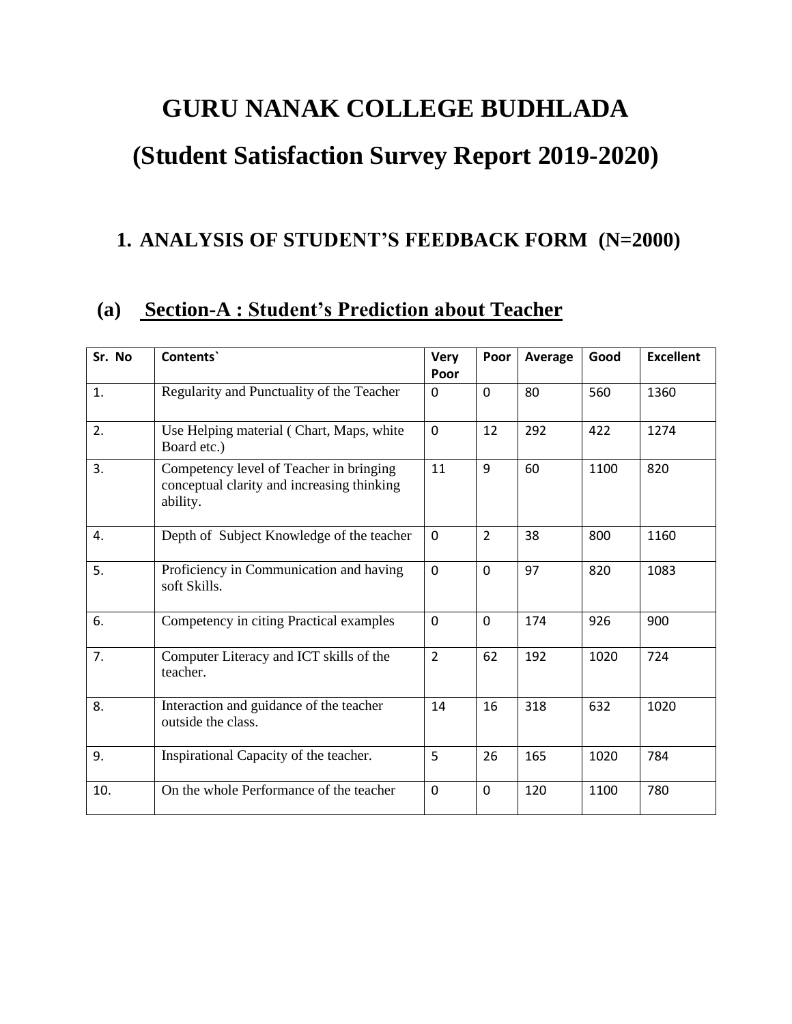# **GURU NANAK COLLEGE BUDHLADA**

# **(Student Satisfaction Survey Report 2019-2020)**

## **1. ANALYSIS OF STUDENT'S FEEDBACK FORM (N=2000)**

### **(a) Section-A : Student's Prediction about Teacher**

| Sr. No | Contents`                                                                                         | <b>Very</b>    | Poor           | Average | Good | <b>Excellent</b> |
|--------|---------------------------------------------------------------------------------------------------|----------------|----------------|---------|------|------------------|
|        |                                                                                                   | Poor           |                |         |      |                  |
| 1.     | Regularity and Punctuality of the Teacher                                                         | 0              | $\mathbf 0$    | 80      | 560  | 1360             |
| 2.     | Use Helping material (Chart, Maps, white<br>Board etc.)                                           | 0              | 12             | 292     | 422  | 1274             |
| 3.     | Competency level of Teacher in bringing<br>conceptual clarity and increasing thinking<br>ability. | 11             | 9              | 60      | 1100 | 820              |
| 4.     | Depth of Subject Knowledge of the teacher                                                         | $\Omega$       | $\overline{2}$ | 38      | 800  | 1160             |
| 5.     | Proficiency in Communication and having<br>soft Skills.                                           | $\mathbf 0$    | $\mathbf 0$    | 97      | 820  | 1083             |
| 6.     | Competency in citing Practical examples                                                           | $\overline{0}$ | $\mathbf 0$    | 174     | 926  | 900              |
| 7.     | Computer Literacy and ICT skills of the<br>teacher.                                               | $\overline{2}$ | 62             | 192     | 1020 | 724              |
| 8.     | Interaction and guidance of the teacher<br>outside the class.                                     | 14             | 16             | 318     | 632  | 1020             |
| 9.     | Inspirational Capacity of the teacher.                                                            | 5              | 26             | 165     | 1020 | 784              |
| 10.    | On the whole Performance of the teacher                                                           | $\Omega$       | $\mathbf 0$    | 120     | 1100 | 780              |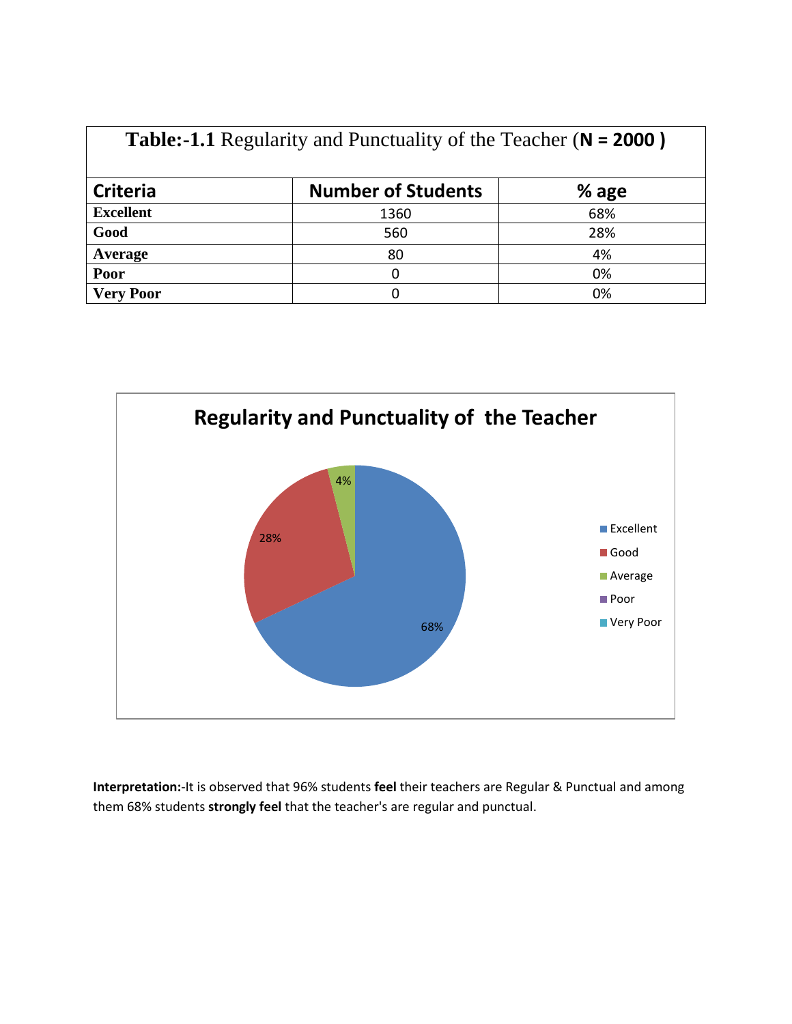|                  | $=$ $\frac{1}{2}$ $\frac{1}{2}$ $\frac{1}{2}$ $\frac{1}{2}$ $\frac{1}{2}$ $\frac{1}{2}$ $\frac{1}{2}$ $\frac{1}{2}$ $\frac{1}{2}$ $\frac{1}{2}$ $\frac{1}{2}$ $\frac{1}{2}$ $\frac{1}{2}$ $\frac{1}{2}$ $\frac{1}{2}$ $\frac{1}{2}$ $\frac{1}{2}$ $\frac{1}{2}$ $\frac{1}{2}$ $\frac{1}{2}$ $\frac{1}{2}$ $\frac{1}{2$ |       |
|------------------|------------------------------------------------------------------------------------------------------------------------------------------------------------------------------------------------------------------------------------------------------------------------------------------------------------------------|-------|
| <b>Criteria</b>  | <b>Number of Students</b>                                                                                                                                                                                                                                                                                              | % age |
| <b>Excellent</b> | 1360                                                                                                                                                                                                                                                                                                                   | 68%   |
| Good             | 560                                                                                                                                                                                                                                                                                                                    | 28%   |
| Average          | 80                                                                                                                                                                                                                                                                                                                     | 4%    |
| Poor             |                                                                                                                                                                                                                                                                                                                        | 0%    |
| <b>Very Poor</b> |                                                                                                                                                                                                                                                                                                                        | 0%    |

**Table:-1.1** Regularity and Punctuality of the Teacher (**N = 2000 )**



**Interpretation:**-It is observed that 96% students **feel** their teachers are Regular & Punctual and among them 68% students **strongly feel** that the teacher's are regular and punctual.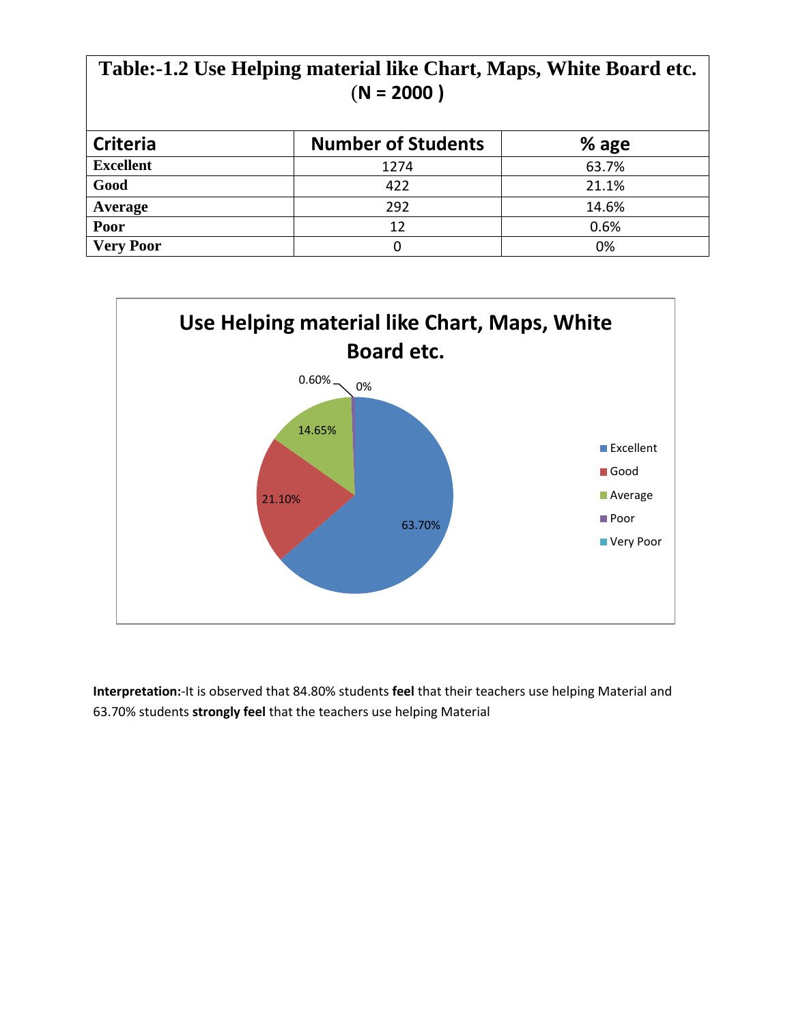| Table:-1.2 Use Helping material like Chart, Maps, White Board etc.<br>$(N = 2000)$ |                           |         |  |
|------------------------------------------------------------------------------------|---------------------------|---------|--|
| <b>Criteria</b>                                                                    | <b>Number of Students</b> | $%$ age |  |
| <b>Excellent</b>                                                                   | 1274                      | 63.7%   |  |
| Good                                                                               | 422                       | 21.1%   |  |
| Average                                                                            | 292                       | 14.6%   |  |
| Poor                                                                               | 12                        | 0.6%    |  |
| <b>Very Poor</b>                                                                   | 0                         | 0%      |  |



**Interpretation:**-It is observed that 84.80% students **feel** that their teachers use helping Material and 63.70% students **strongly feel** that the teachers use helping Material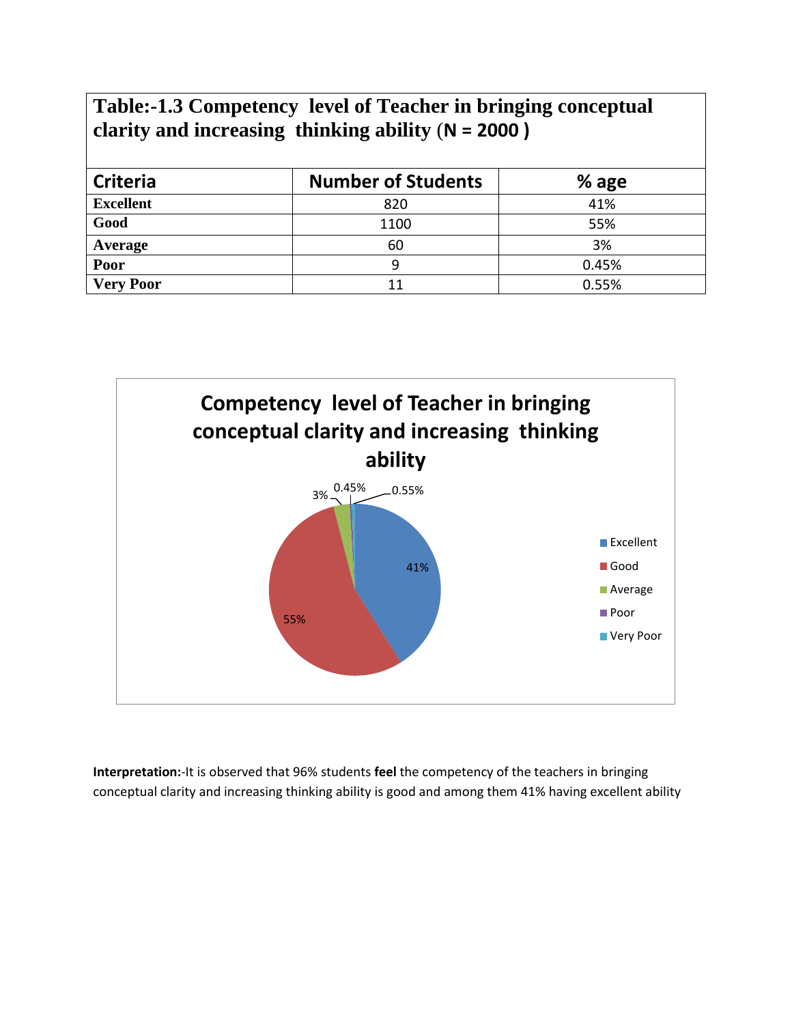## **Table:-1.3 Competency level of Teacher in bringing conceptual clarity and increasing thinking ability** (**N = 2000 )**

| <b>Criteria</b>  | <b>Number of Students</b> | $%$ age |
|------------------|---------------------------|---------|
| <b>Excellent</b> | 820                       | 41%     |
| Good             | 1100                      | 55%     |
| Average          | 60                        | 3%      |
| Poor             |                           | 0.45%   |
| <b>Very Poor</b> | 11                        | 0.55%   |



**Interpretation:**-It is observed that 96% students **feel** the competency of the teachers in bringing conceptual clarity and increasing thinking ability is good and among them 41% having excellent ability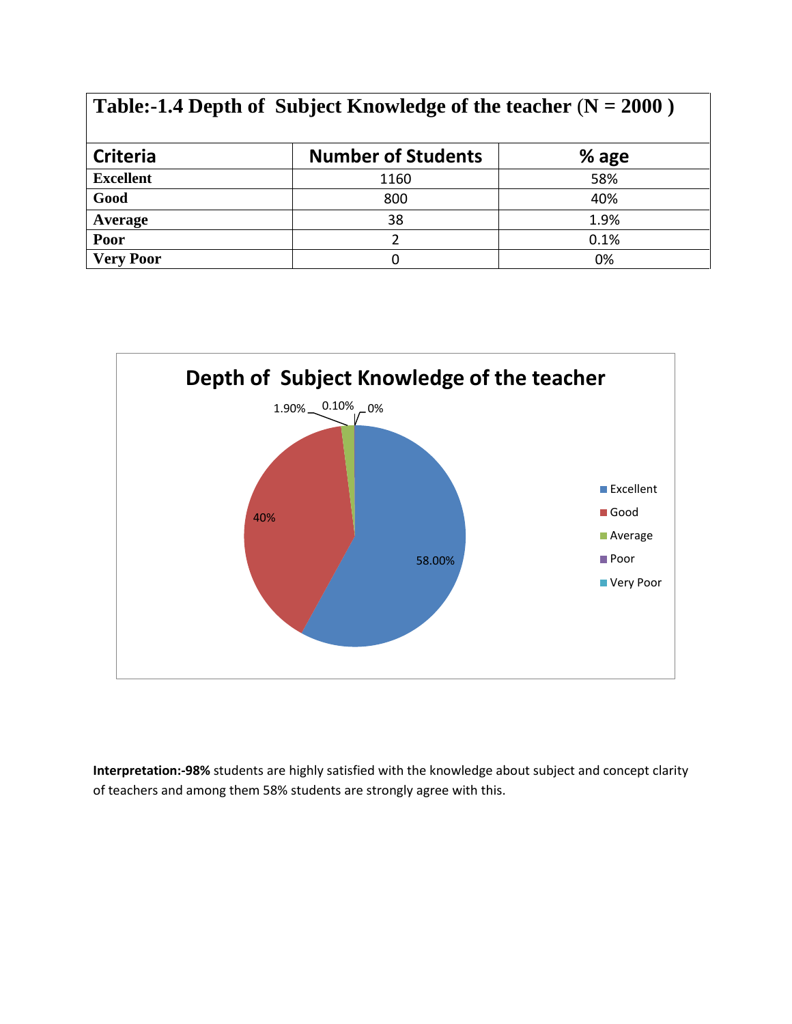| Table:-1.4 Depth of Subject Knowledge of the teacher $(N = 2000)$ |                           |         |  |
|-------------------------------------------------------------------|---------------------------|---------|--|
| <b>Criteria</b>                                                   | <b>Number of Students</b> | $%$ age |  |
| <b>Excellent</b>                                                  | 1160                      | 58%     |  |
| Good                                                              | 800                       | 40%     |  |
| Average                                                           | 38                        | 1.9%    |  |
| Poor                                                              | $\mathcal{P}$             | 0.1%    |  |
| <b>Very Poor</b>                                                  | 0                         | 0%      |  |



**Interpretation:-98%** students are highly satisfied with the knowledge about subject and concept clarity of teachers and among them 58% students are strongly agree with this.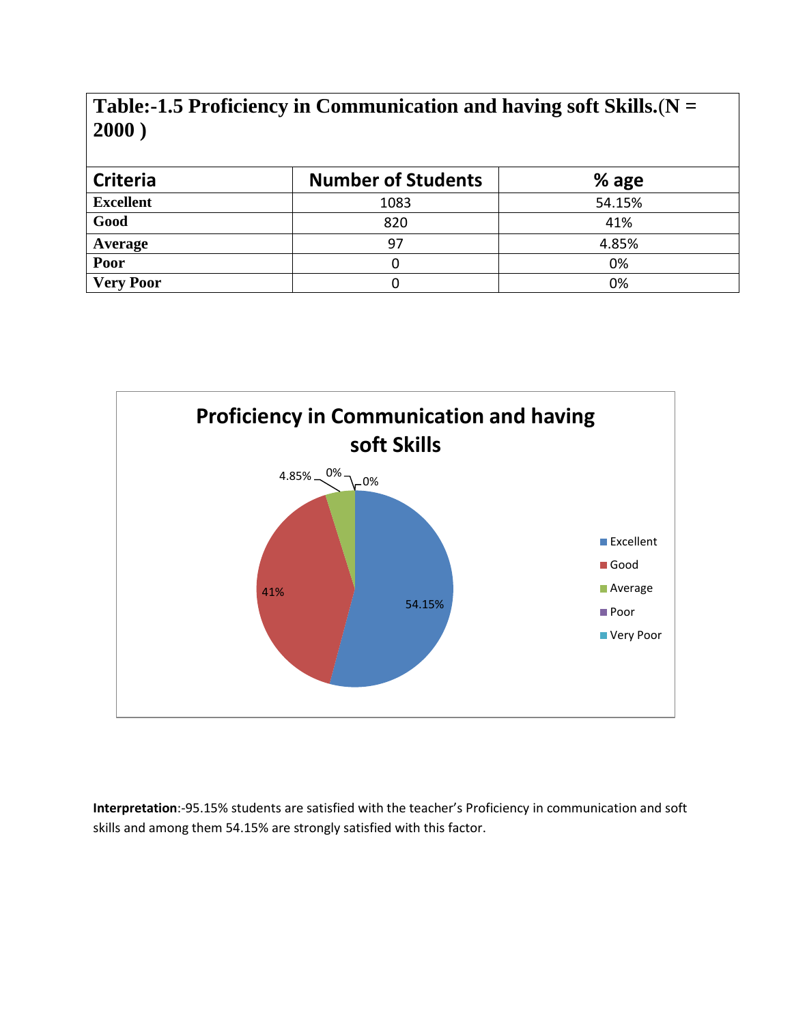#### **Table:-1.5 Proficiency in Communication and having soft Skills.**(**N = 2000 )**

| <b>Criteria</b>  | <b>Number of Students</b> | $%$ age |
|------------------|---------------------------|---------|
| <b>Excellent</b> | 1083                      | 54.15%  |
| Good             | 820                       | 41%     |
| Average          | 97                        | 4.85%   |
| Poor             |                           | 0%      |
| <b>Very Poor</b> |                           | 0%      |



**Interpretation**:-95.15% students are satisfied with the teacher's Proficiency in communication and soft skills and among them 54.15% are strongly satisfied with this factor.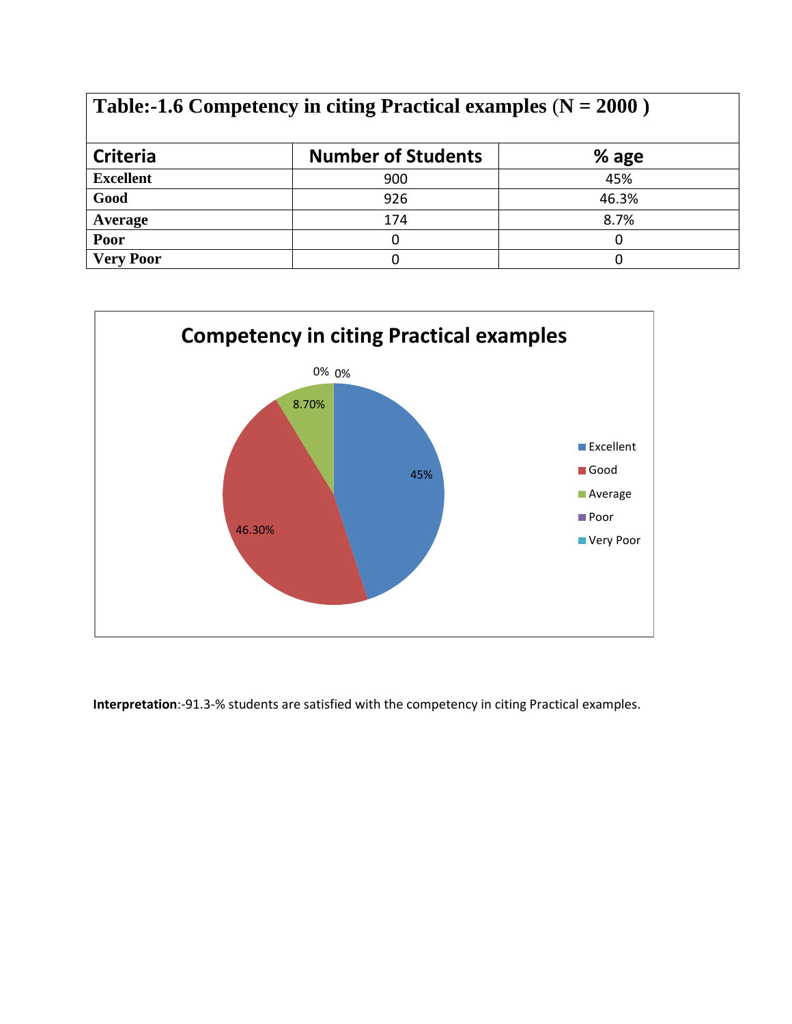| Table:-1.6 Competency in citing Practical examples ( $N = 2000$ ) |                           |         |  |
|-------------------------------------------------------------------|---------------------------|---------|--|
| <b>Criteria</b>                                                   | <b>Number of Students</b> | $%$ age |  |
| <b>Excellent</b>                                                  | 900                       | 45%     |  |
| Good                                                              | 926                       | 46.3%   |  |
| Average                                                           | 174                       | 8.7%    |  |
| Poor                                                              |                           |         |  |
| <b>Very Poor</b>                                                  |                           |         |  |



**Interpretation**:-91.3-% students are satisfied with the competency in citing Practical examples.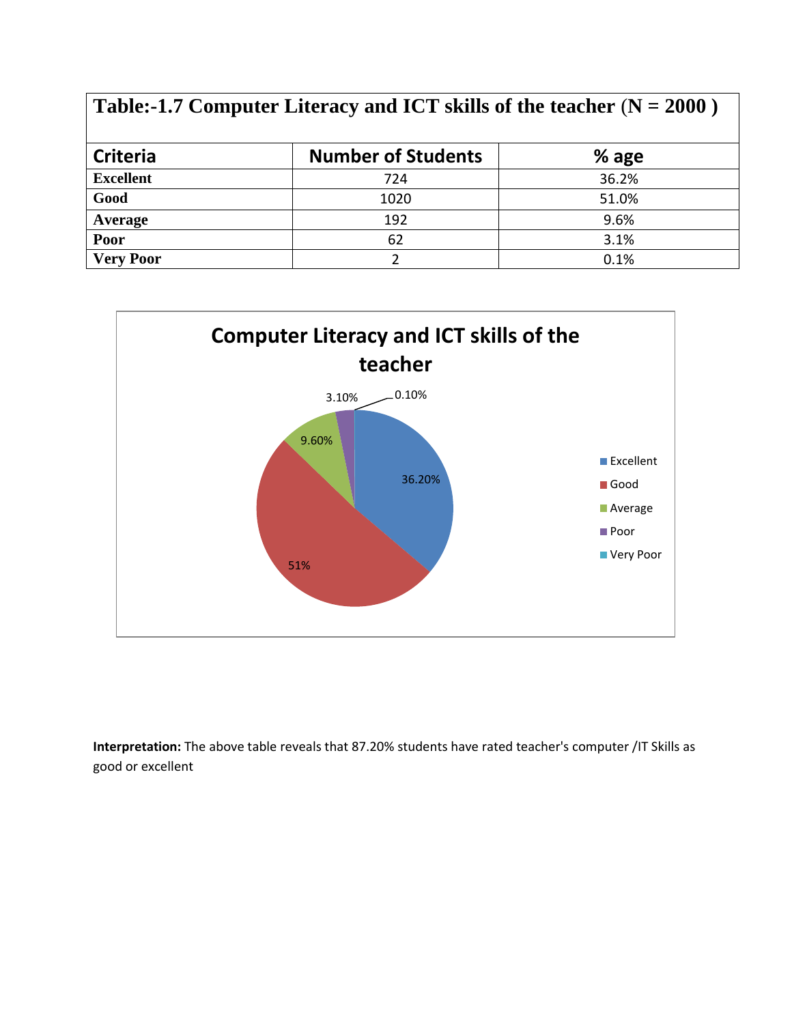| Table:-1.7 Computer Literacy and ICT skills of the teacher $(N = 2000)$ |                           |         |  |
|-------------------------------------------------------------------------|---------------------------|---------|--|
| <b>Criteria</b>                                                         | <b>Number of Students</b> | $%$ age |  |
| <b>Excellent</b>                                                        | 724                       | 36.2%   |  |
| Good                                                                    | 1020                      | 51.0%   |  |
| Average                                                                 | 192                       | 9.6%    |  |
| Poor                                                                    | 62                        | 3.1%    |  |
| <b>Very Poor</b>                                                        |                           | 0.1%    |  |



**Interpretation:** The above table reveals that 87.20% students have rated teacher's computer /IT Skills as good or excellent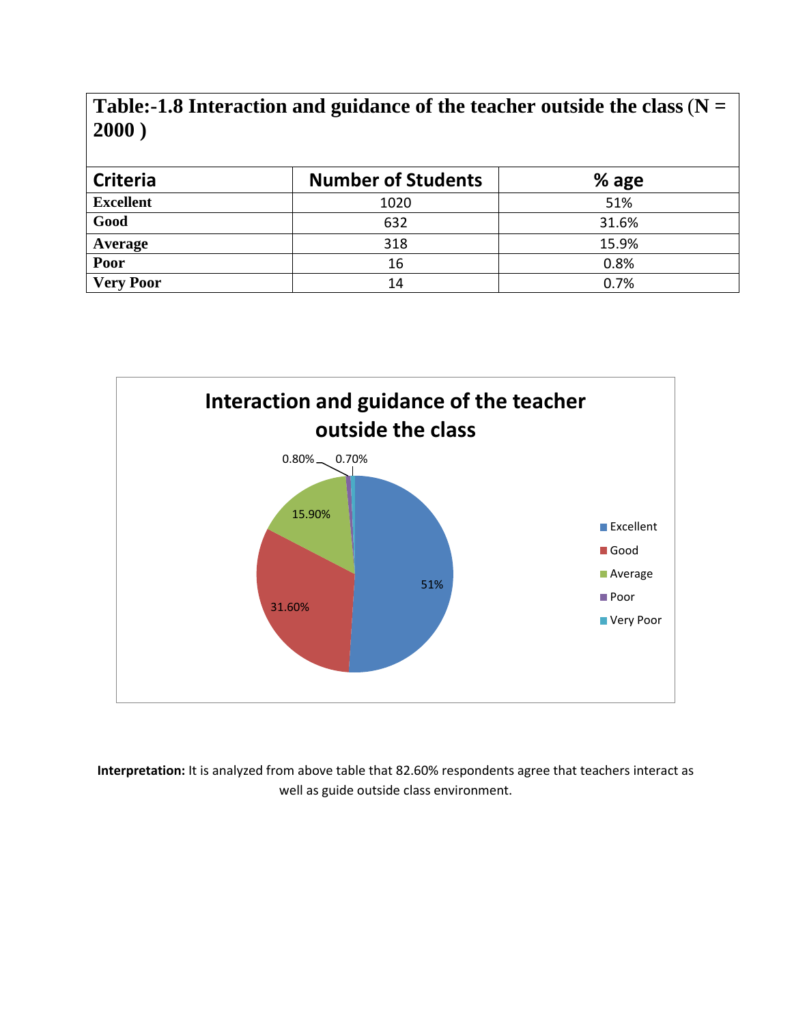**Table:-1.8 Interaction and guidance of the teacher outside the class**(**N = 2000 )**

| <b>Criteria</b>  | <b>Number of Students</b> | % age |
|------------------|---------------------------|-------|
| <b>Excellent</b> | 1020                      | 51%   |
| Good             | 632                       | 31.6% |
| Average          | 318                       | 15.9% |
| Poor             | 16                        | 0.8%  |
| <b>Very Poor</b> | 14                        | 0.7%  |



**Interpretation:** It is analyzed from above table that 82.60% respondents agree that teachers interact as well as guide outside class environment.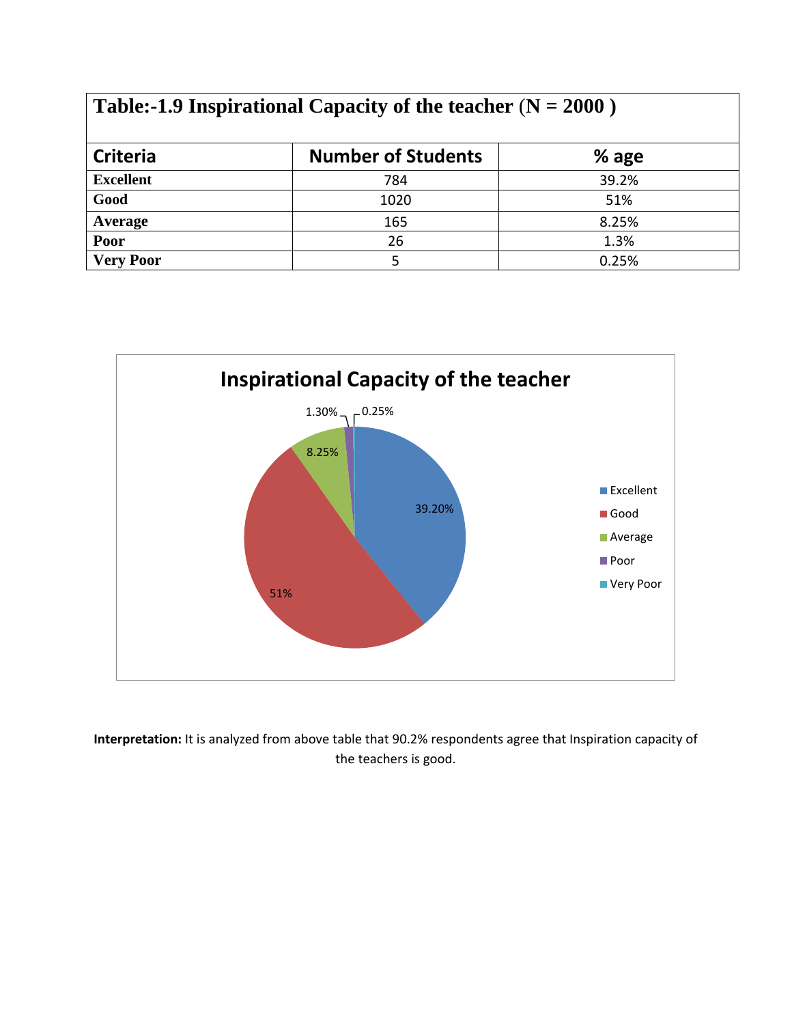| Table:-1.9 Inspirational Capacity of the teacher $(N = 2000)$ |                           |       |  |
|---------------------------------------------------------------|---------------------------|-------|--|
| <b>Criteria</b>                                               | <b>Number of Students</b> | % age |  |
| <b>Excellent</b>                                              | 784                       | 39.2% |  |
| Good                                                          | 1020                      | 51%   |  |
| Average                                                       | 165                       | 8.25% |  |
| Poor                                                          | 26                        | 1.3%  |  |
| <b>Very Poor</b>                                              | 5                         | 0.25% |  |



**Interpretation:** It is analyzed from above table that 90.2% respondents agree that Inspiration capacity of the teachers is good.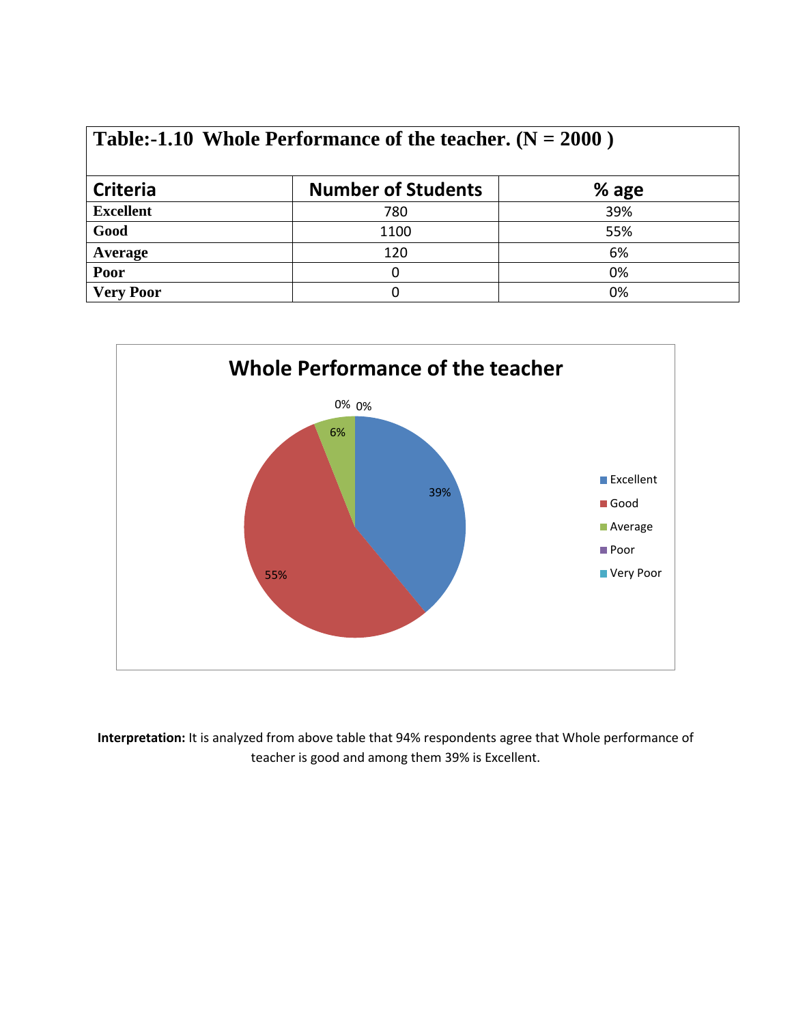| <b>Criteria</b>  | <b>Number of Students</b> | % age |
|------------------|---------------------------|-------|
| <b>Excellent</b> | 780                       | 39%   |
| Good             | 1100                      | 55%   |
| <b>Average</b>   | 120                       | 6%    |
| Poor             |                           | 0%    |
| <b>Very Poor</b> |                           | 0%    |



**Interpretation:** It is analyzed from above table that 94% respondents agree that Whole performance of teacher is good and among them 39% is Excellent.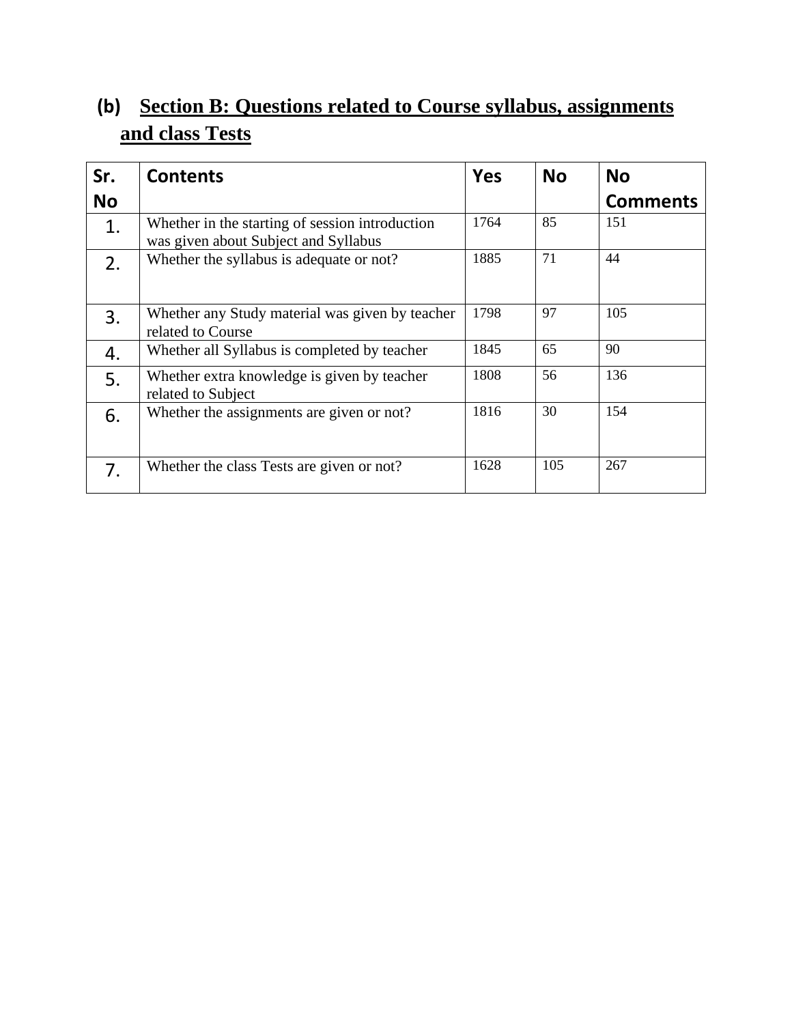# **(b) Section B: Questions related to Course syllabus, assignments and class Tests**

| Sr.       | <b>Contents</b>                                                                         | <b>Yes</b> | <b>No</b> | <b>No</b>       |
|-----------|-----------------------------------------------------------------------------------------|------------|-----------|-----------------|
| <b>No</b> |                                                                                         |            |           | <b>Comments</b> |
| 1.        | Whether in the starting of session introduction<br>was given about Subject and Syllabus | 1764       | 85        | 151             |
| 2.        | Whether the syllabus is adequate or not?                                                | 1885       | 71        | 44              |
| 3.        | Whether any Study material was given by teacher<br>related to Course                    | 1798       | 97        | 105             |
| 4.        | Whether all Syllabus is completed by teacher                                            | 1845       | 65        | 90              |
| 5.        | Whether extra knowledge is given by teacher<br>related to Subject                       | 1808       | 56        | 136             |
| 6.        | Whether the assignments are given or not?                                               | 1816       | 30        | 154             |
| 7.        | Whether the class Tests are given or not?                                               | 1628       | 105       | 267             |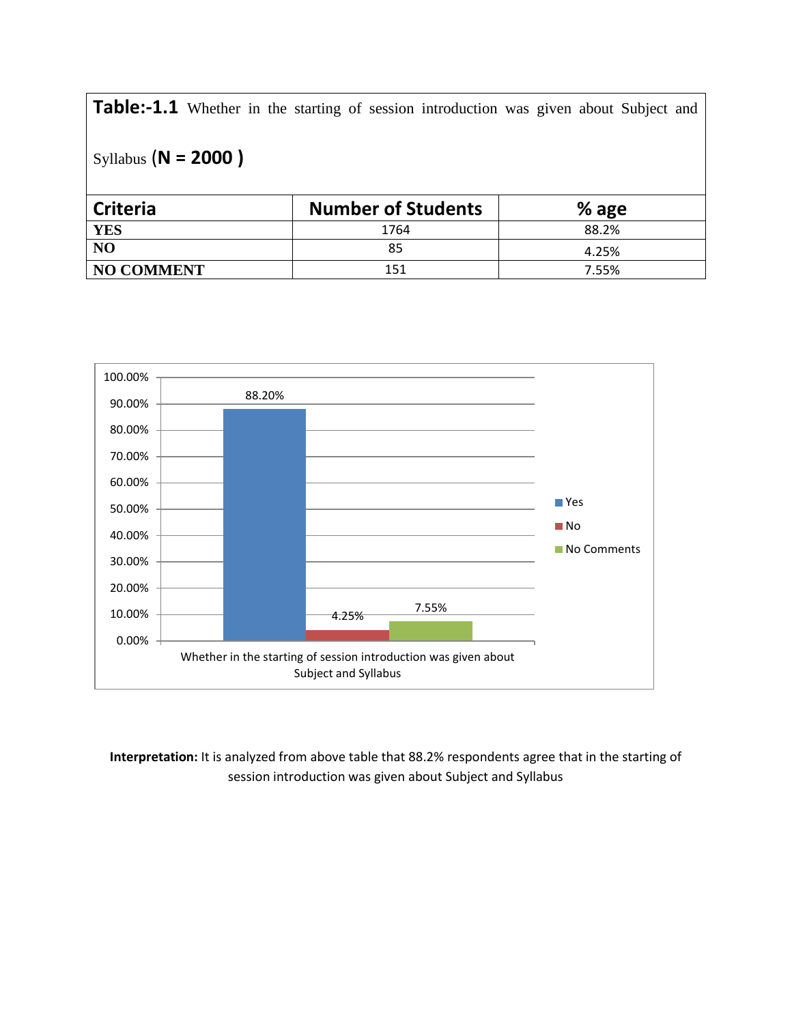**Table:-1.1** Whether in the starting of session introduction was given about Subject and

```
Syllabus (N = 2000 )
```

| <b>Criteria</b>   | <b>Number of Students</b> | $%$ age |
|-------------------|---------------------------|---------|
| <b>YES</b>        | 1764                      | 88.2%   |
| N <sub>O</sub>    | 85                        | 4.25%   |
| <b>NO COMMENT</b> | 151                       | 7.55%   |



**Interpretation:** It is analyzed from above table that 88.2% respondents agree that in the starting of session introduction was given about Subject and Syllabus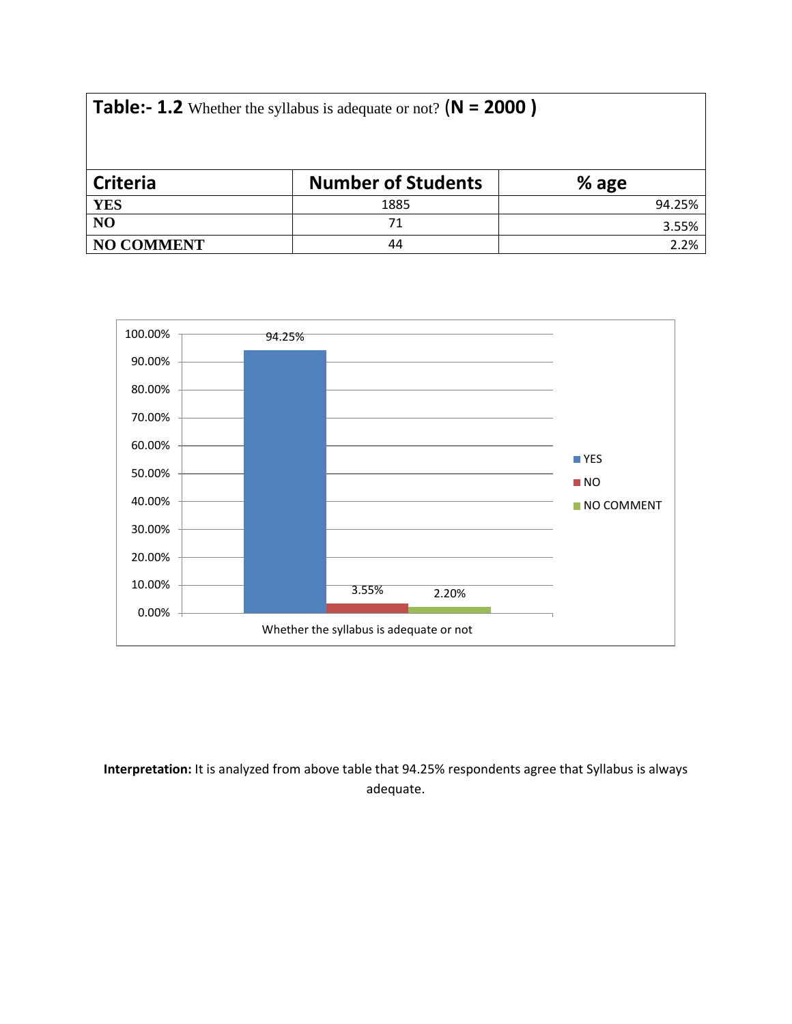|  | <b>Table:- 1.2</b> Whether the syllabus is adequate or not? $(N = 2000)$ |  |
|--|--------------------------------------------------------------------------|--|
|--|--------------------------------------------------------------------------|--|

| <b>Criteria</b>   | <b>Number of Students</b> | $%$ age |
|-------------------|---------------------------|---------|
| <b>YES</b>        | 1885                      | 94.25%  |
| NO                |                           | 3.55%   |
| <b>NO COMMENT</b> | 44                        | 2.2%    |



**Interpretation:** It is analyzed from above table that 94.25% respondents agree that Syllabus is always adequate.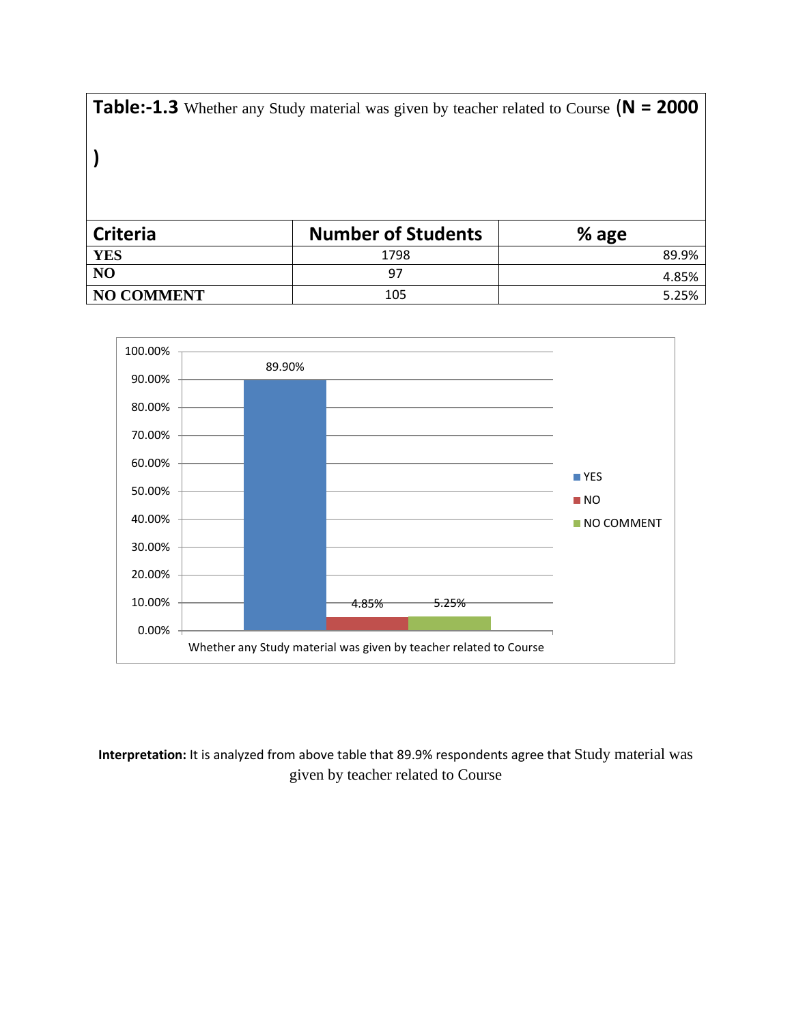**Table:-1.3** Whether any Study material was given by teacher related to Course (**N = 2000** 

**)**

| <b>Criteria</b>   | <b>Number of Students</b> | % age |
|-------------------|---------------------------|-------|
| <b>YES</b>        | 1798                      | 89.9% |
| N <sub>O</sub>    | 97                        | 4.85% |
| <b>NO COMMENT</b> | 105                       | 5.25% |



**Interpretation:** It is analyzed from above table that 89.9% respondents agree that Study material was given by teacher related to Course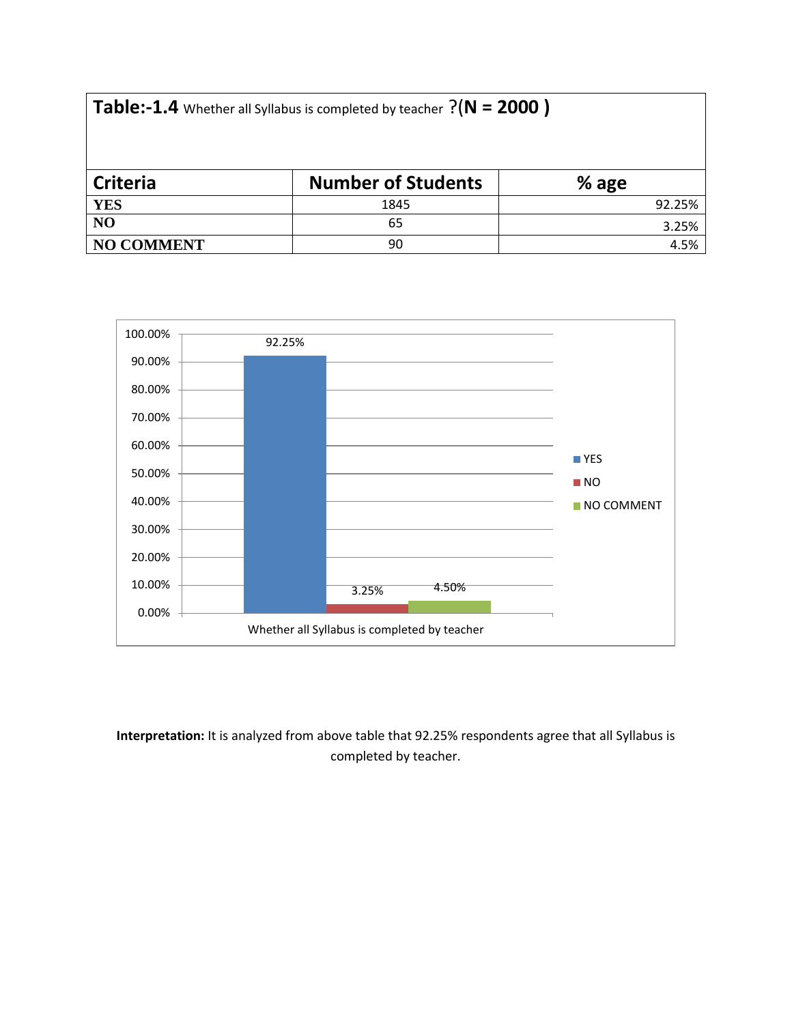| Table:-1.4 Whether all Syllabus is completed by teacher $?$ ( $N = 2000$ ) |  |  |  |
|----------------------------------------------------------------------------|--|--|--|
|----------------------------------------------------------------------------|--|--|--|

| <b>Criteria</b> | <b>Number of Students</b> | % age  |
|-----------------|---------------------------|--------|
| <b>YES</b>      | 1845                      | 92.25% |
| N <sub>O</sub>  | 65                        | 3.25%  |
| NO COMMENT      | 90                        | 4.5%   |



**Interpretation:** It is analyzed from above table that 92.25% respondents agree that all Syllabus is completed by teacher.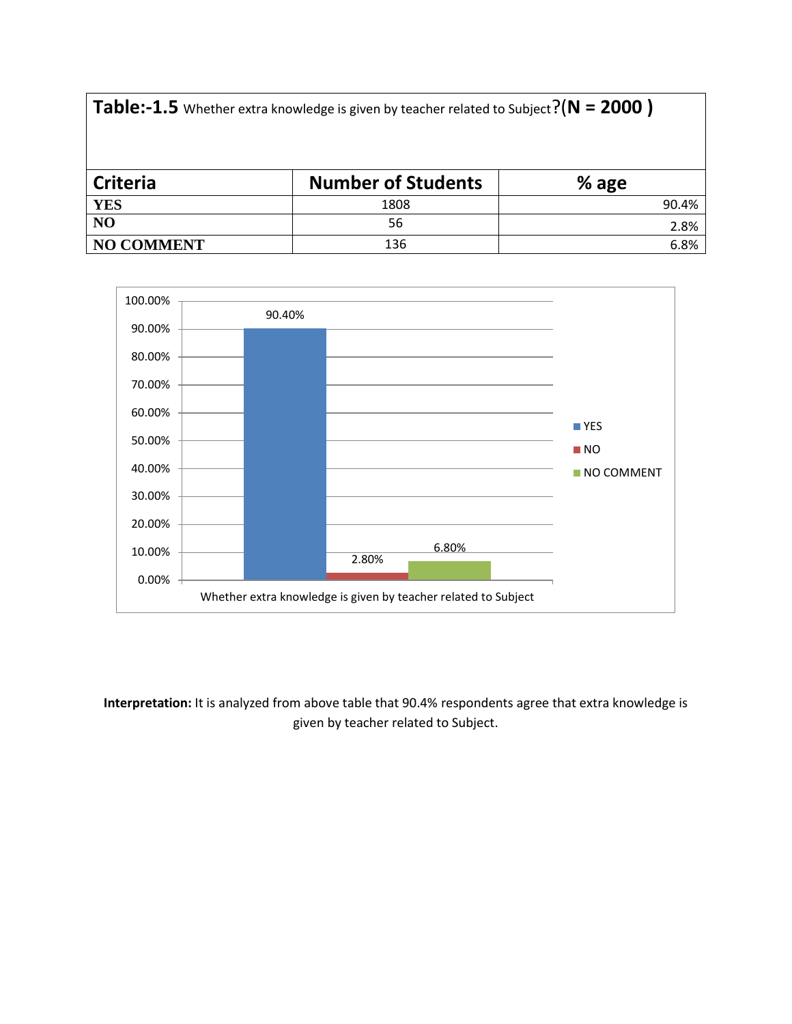| <b>Table:-1.5</b> Whether extra knowledge is given by teacher related to Subject? $(N = 2000)$ |      |       |  |  |  |
|------------------------------------------------------------------------------------------------|------|-------|--|--|--|
|                                                                                                |      |       |  |  |  |
| <b>YES</b>                                                                                     | 1808 | 90.4% |  |  |  |
| N <sub>O</sub>                                                                                 | 56   | 2.8%  |  |  |  |
| <b>NO COMMENT</b>                                                                              | 136  | 6.8%  |  |  |  |



**Interpretation:** It is analyzed from above table that 90.4% respondents agree that extra knowledge is given by teacher related to Subject.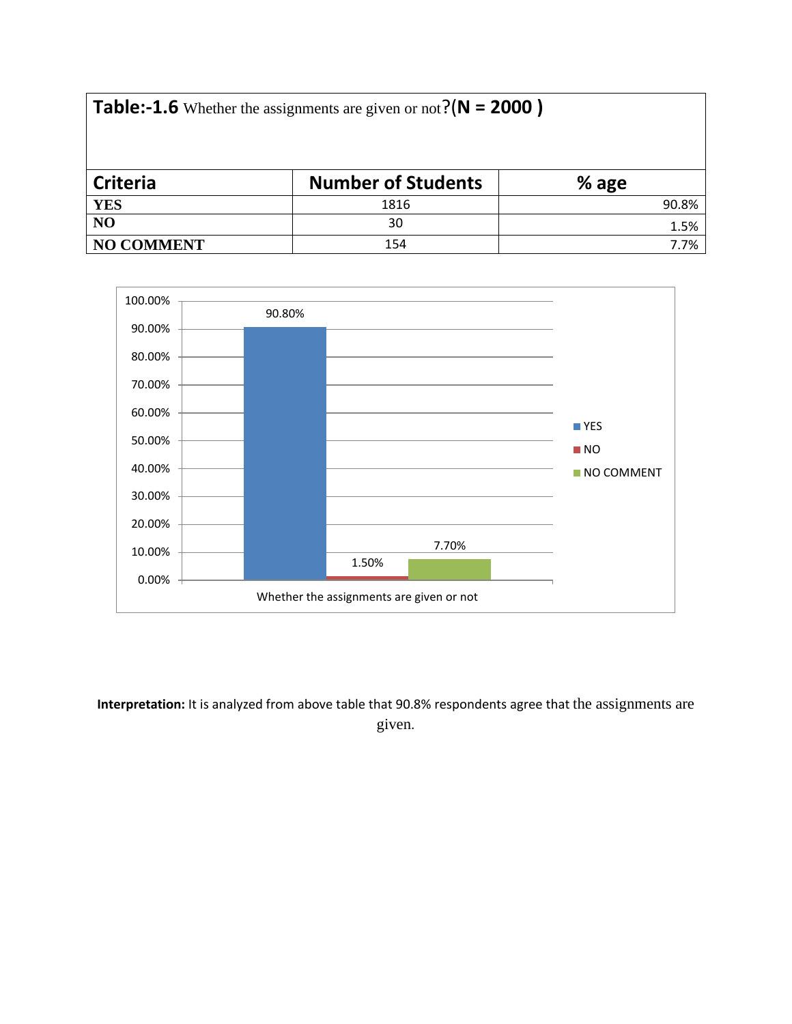**Table:-1.6** Whether the assignments are given or not?(**N = 2000 )**

| Criteria          | <b>Number of Students</b> | % age |
|-------------------|---------------------------|-------|
| <b>YES</b>        | 1816                      | 90.8% |
| NO                | 30                        | 1.5%  |
| <b>NO COMMENT</b> | 154                       | 7.7%  |



**Interpretation:** It is analyzed from above table that 90.8% respondents agree that the assignments are given.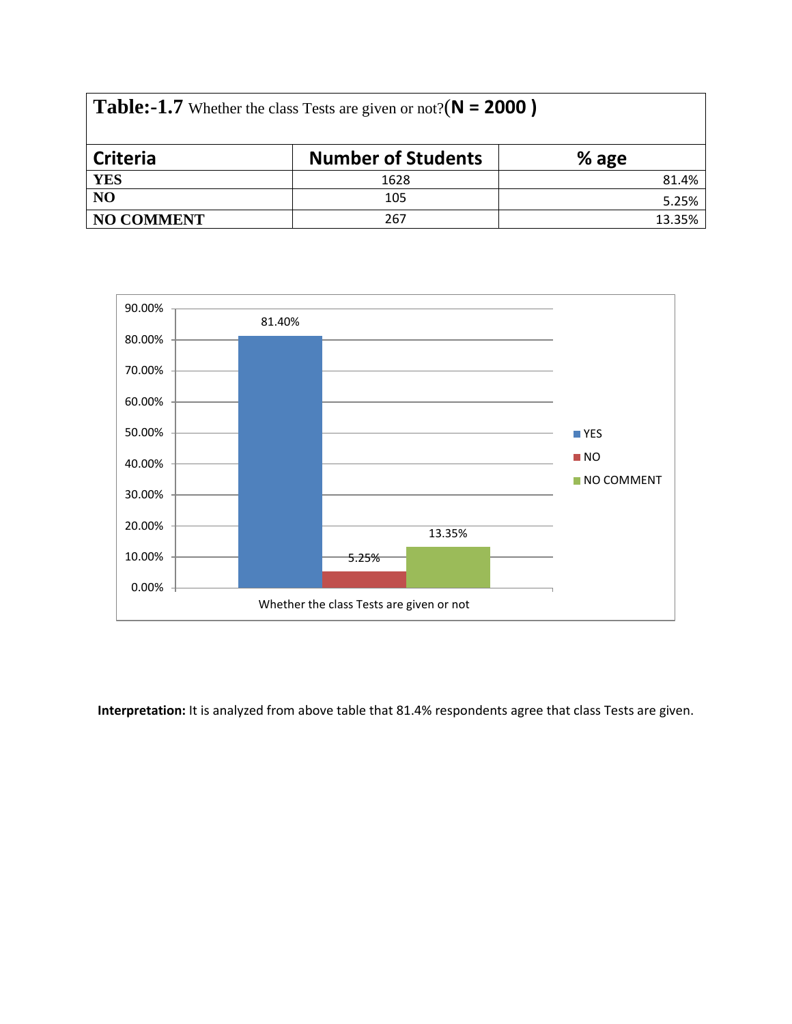| <b>Table:-1.7</b> Whether the class Tests are given or not?( $N = 2000$ ) |                           |         |  |  |
|---------------------------------------------------------------------------|---------------------------|---------|--|--|
| <b>Criteria</b>                                                           | <b>Number of Students</b> | $%$ age |  |  |
| <b>YES</b>                                                                | 1628                      | 81.4%   |  |  |
| N <sub>O</sub>                                                            | 105                       | 5.25%   |  |  |
| <b>NO COMMENT</b>                                                         | 267                       | 13.35%  |  |  |



**Interpretation:** It is analyzed from above table that 81.4% respondents agree that class Tests are given.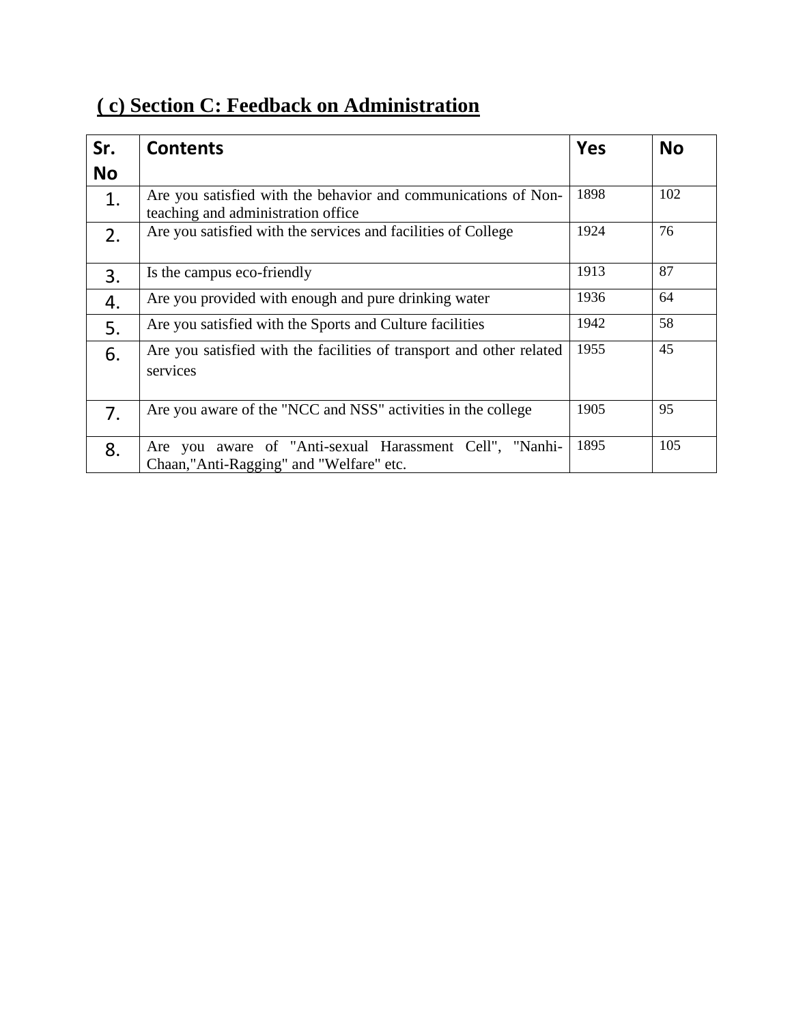| (c) Section C: Feedback on Administration |
|-------------------------------------------|
|-------------------------------------------|

| Sr.       | <b>Contents</b>                                                                                      | <b>Yes</b> | <b>No</b> |
|-----------|------------------------------------------------------------------------------------------------------|------------|-----------|
| <b>No</b> |                                                                                                      |            |           |
| 1.        | Are you satisfied with the behavior and communications of Non-<br>teaching and administration office | 1898       | 102       |
| 2.        | Are you satisfied with the services and facilities of College                                        | 1924       | 76        |
| 3.        | Is the campus eco-friendly                                                                           | 1913       | 87        |
| 4.        | Are you provided with enough and pure drinking water                                                 | 1936       | 64        |
| 5.        | Are you satisfied with the Sports and Culture facilities                                             | 1942       | 58        |
| 6.        | Are you satisfied with the facilities of transport and other related<br>services                     | 1955       | 45        |
| 7.        | Are you aware of the "NCC and NSS" activities in the college                                         | 1905       | 95        |
| 8.        | Are you aware of "Anti-sexual Harassment Cell", "Nanhi-<br>Chaan,"Anti-Ragging" and "Welfare" etc.   | 1895       | 105       |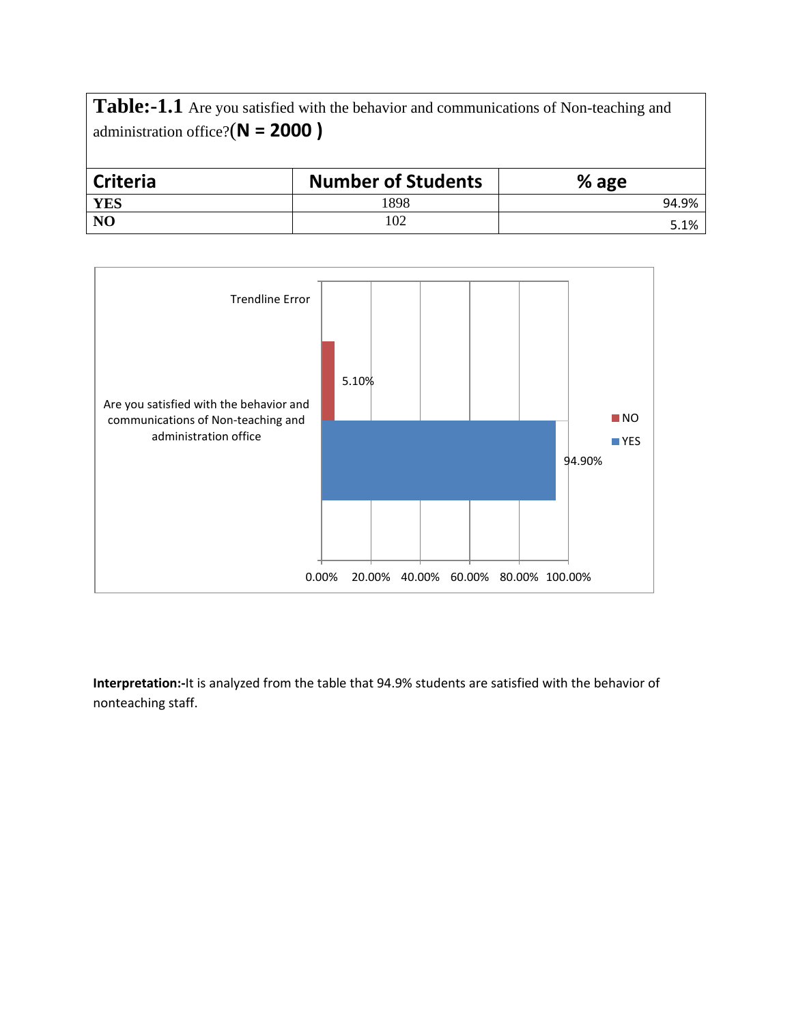**Table:-1.1** Are you satisfied with the behavior and communications of Non-teaching and administration office?(**N = 2000 )**

| <b>Criteria</b> | <b>Number of Students</b> | % age |
|-----------------|---------------------------|-------|
| <b>YES</b>      | 1898                      | 94.9% |
| N <sub>O</sub>  | 102                       | 5.1%  |



**Interpretation:-**It is analyzed from the table that 94.9% students are satisfied with the behavior of nonteaching staff.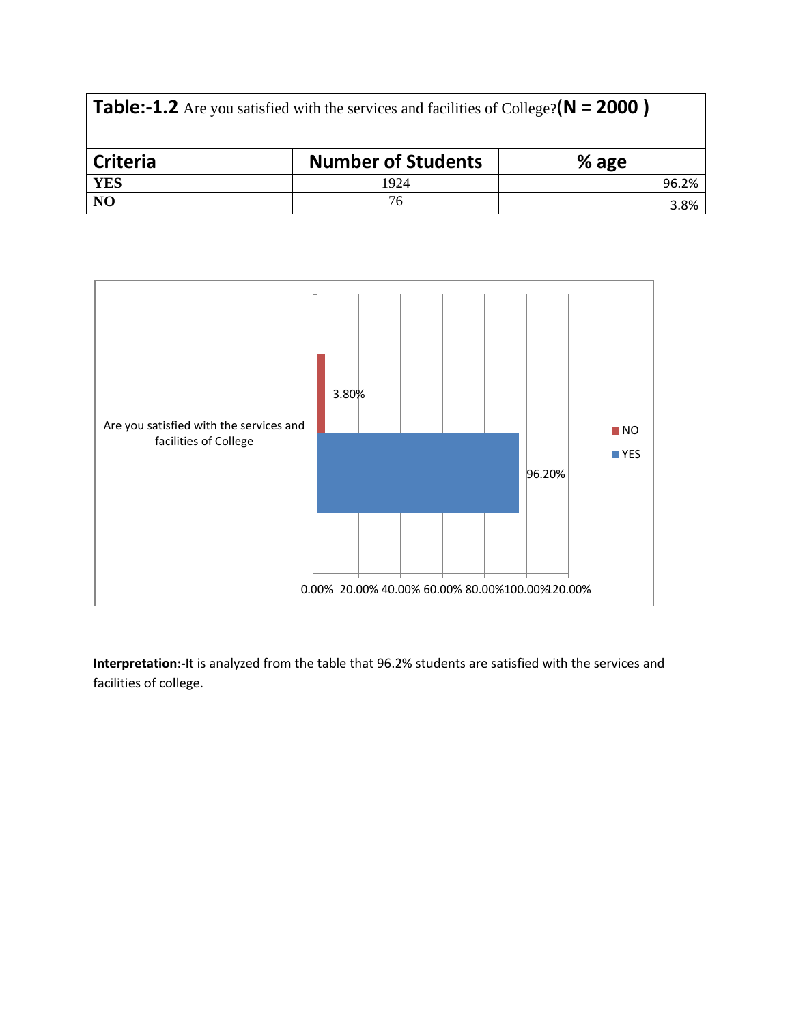| <b>Table:-1.2</b> Are you satisfied with the services and facilities of College? $(N = 2000)$ |                           |         |  |  |  |
|-----------------------------------------------------------------------------------------------|---------------------------|---------|--|--|--|
| <b>Criteria</b>                                                                               | <b>Number of Students</b> | $%$ age |  |  |  |
| <b>YES</b>                                                                                    | 1924                      | 96.2%   |  |  |  |
| N <sub>O</sub>                                                                                | 76                        | 3.8%    |  |  |  |



**Interpretation:-**It is analyzed from the table that 96.2% students are satisfied with the services and facilities of college.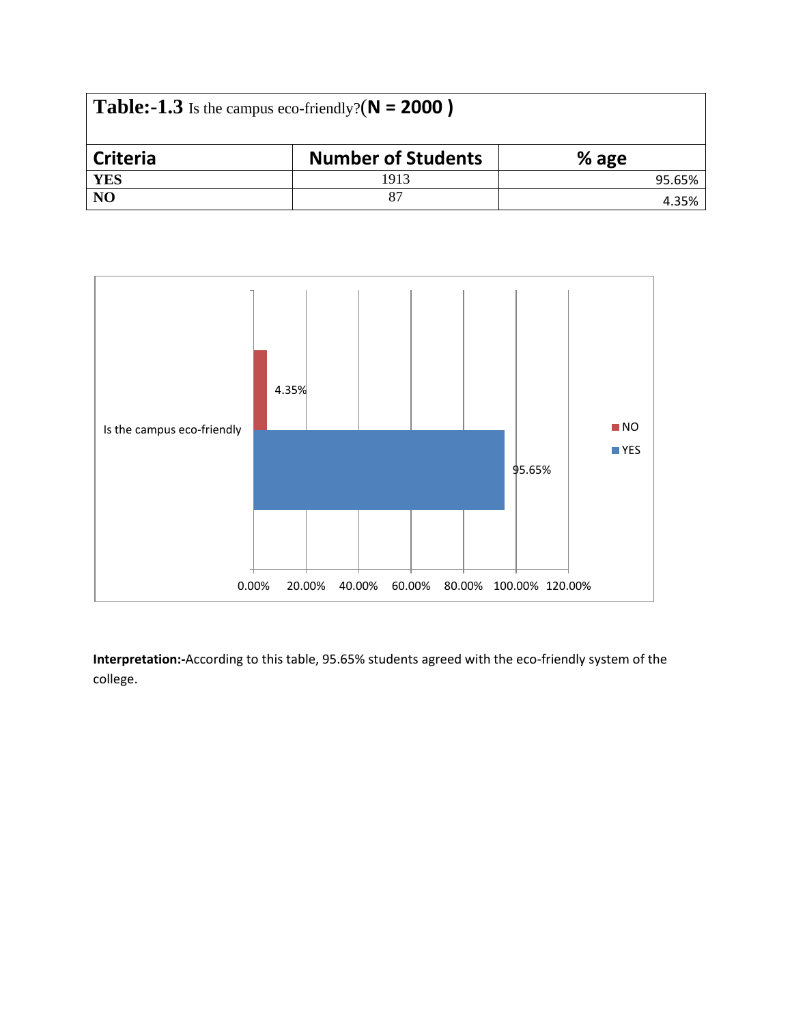| <b>Table:-1.3</b> Is the campus eco-friendly? $(N = 2000)$ |                           |         |  |  |  |  |
|------------------------------------------------------------|---------------------------|---------|--|--|--|--|
| <b>Criteria</b>                                            | <b>Number of Students</b> | $%$ age |  |  |  |  |
| <b>YES</b>                                                 | 1913                      | 95.65%  |  |  |  |  |
| NO                                                         | 87                        | 4.35%   |  |  |  |  |



**Interpretation:-**According to this table, 95.65% students agreed with the eco-friendly system of the college.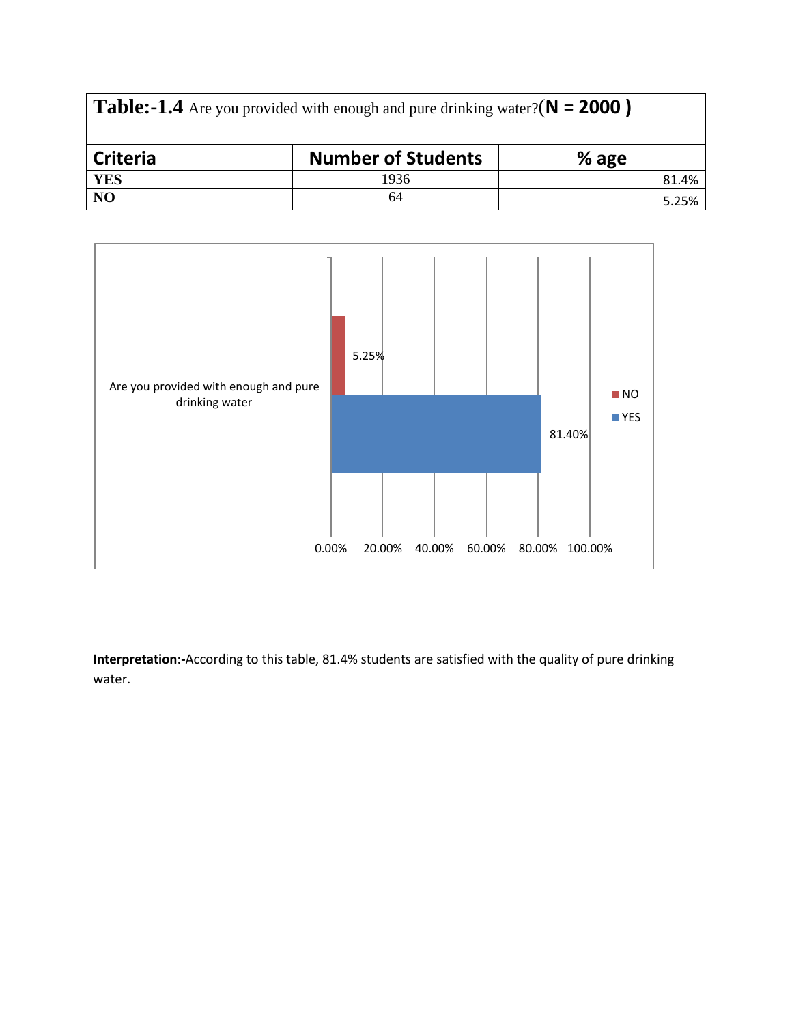| <b>Table:-1.4</b> Are you provided with enough and pure drinking water?( $N = 2000$ ) |                           |         |  |  |  |
|---------------------------------------------------------------------------------------|---------------------------|---------|--|--|--|
| <b>Criteria</b>                                                                       | <b>Number of Students</b> | $%$ age |  |  |  |
| <b>YES</b>                                                                            | 1936                      | 81.4%   |  |  |  |
| NO                                                                                    | 64                        | 5.25%   |  |  |  |



**Interpretation:-**According to this table, 81.4% students are satisfied with the quality of pure drinking water.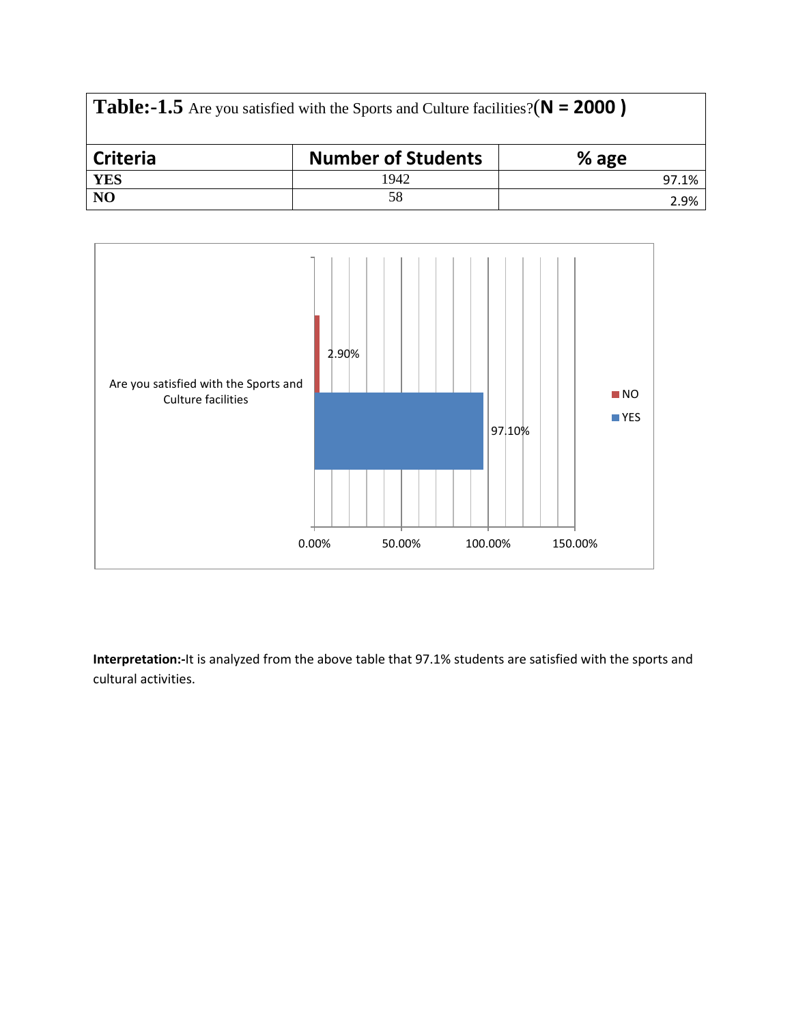| <b>Table:-1.5</b> Are you satisfied with the Sports and Culture facilities?( $N = 2000$ ) |                           |         |  |  |  |
|-------------------------------------------------------------------------------------------|---------------------------|---------|--|--|--|
| Criteria                                                                                  | <b>Number of Students</b> | $%$ age |  |  |  |
| <b>YES</b>                                                                                | 1942                      | 97.1%   |  |  |  |
| N <sub>O</sub>                                                                            | 58                        | 2.9%    |  |  |  |



**Interpretation:-**It is analyzed from the above table that 97.1% students are satisfied with the sports and cultural activities.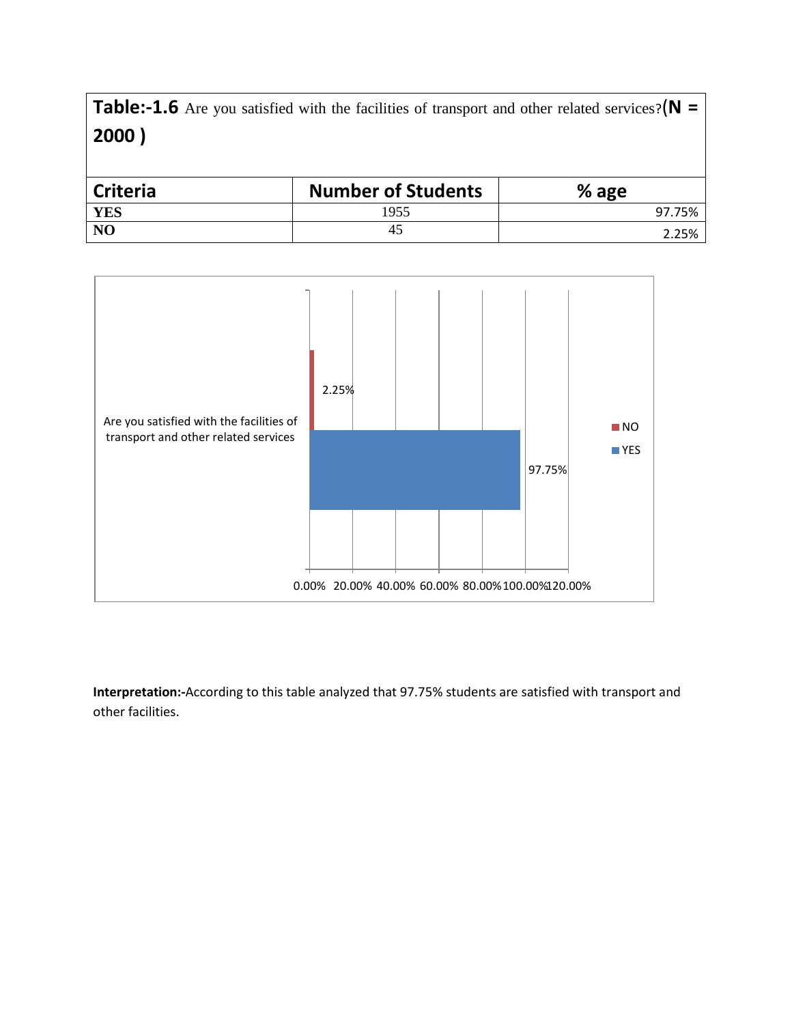**Table:-1.6** Are you satisfied with the facilities of transport and other related services?(**N = 2000 )**

| <b>Criteria</b> | <b>Number of Students</b> | % age  |
|-----------------|---------------------------|--------|
| <b>YES</b>      | 1955                      | 97.75% |
| N <sub>O</sub>  | 40                        | 2.25%  |



**Interpretation:-**According to this table analyzed that 97.75% students are satisfied with transport and other facilities.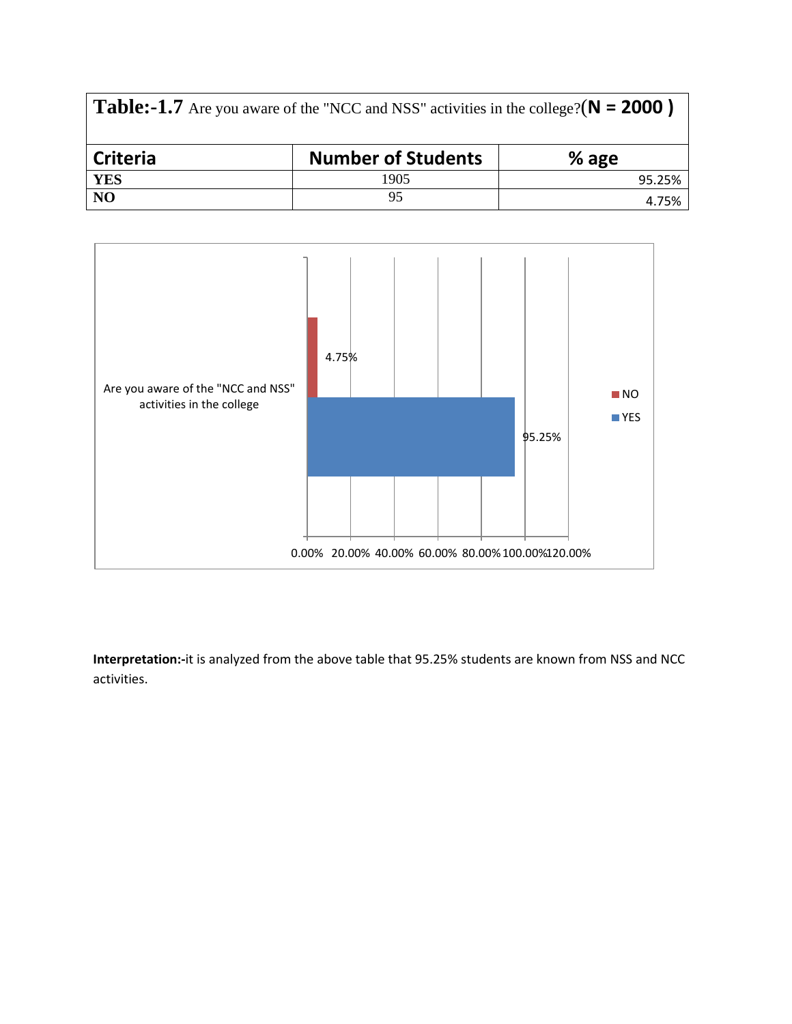| <b>Table:-1.7</b> Are you aware of the "NCC and NSS" activities in the college?( $N = 2000$ ) |                           |         |  |  |  |
|-----------------------------------------------------------------------------------------------|---------------------------|---------|--|--|--|
| Criteria                                                                                      | <b>Number of Students</b> | $%$ age |  |  |  |
| <b>YES</b>                                                                                    | 1905                      | 95.25%  |  |  |  |
| NO                                                                                            | 95                        | 4.75%   |  |  |  |



**Interpretation:-**it is analyzed from the above table that 95.25% students are known from NSS and NCC activities.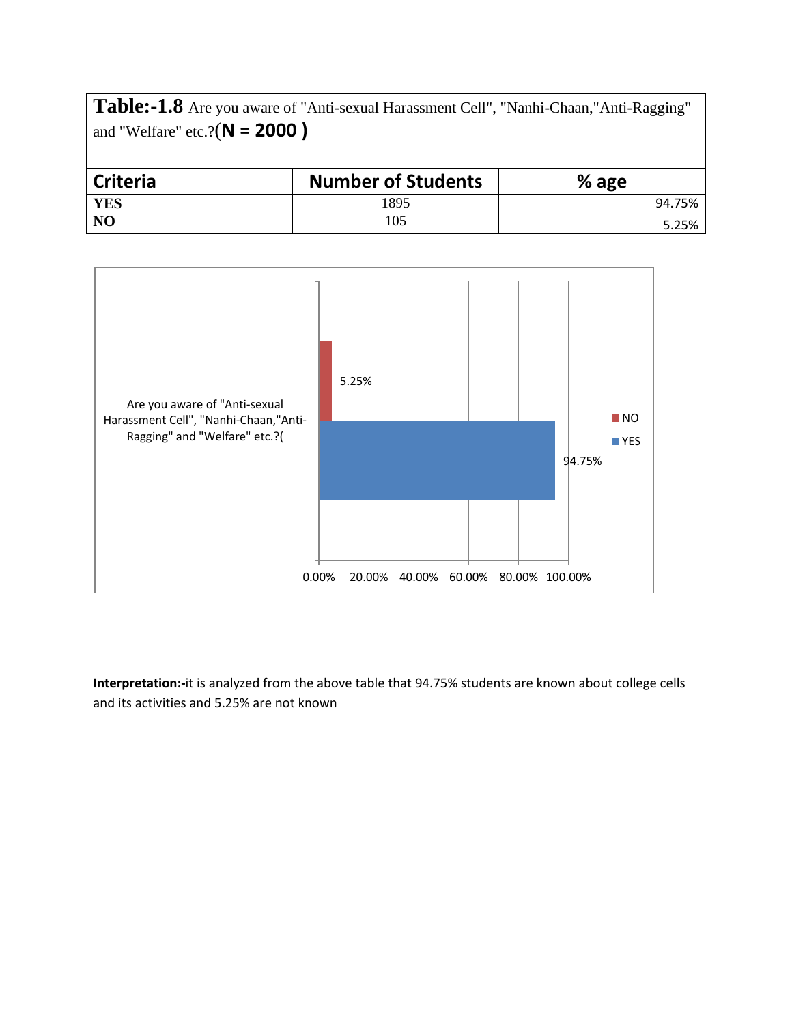**Table:-1.8** Are you aware of "Anti-sexual Harassment Cell", "Nanhi-Chaan,"Anti-Ragging" and "Welfare" etc.?(**N = 2000 )**

| <b>Criteria</b> | <b>Number of Students</b> | % age  |
|-----------------|---------------------------|--------|
| <b>YES</b>      | 1895                      | 94.75% |
| N <sub>O</sub>  | 105                       | 5.25%  |



**Interpretation:-**it is analyzed from the above table that 94.75% students are known about college cells and its activities and 5.25% are not known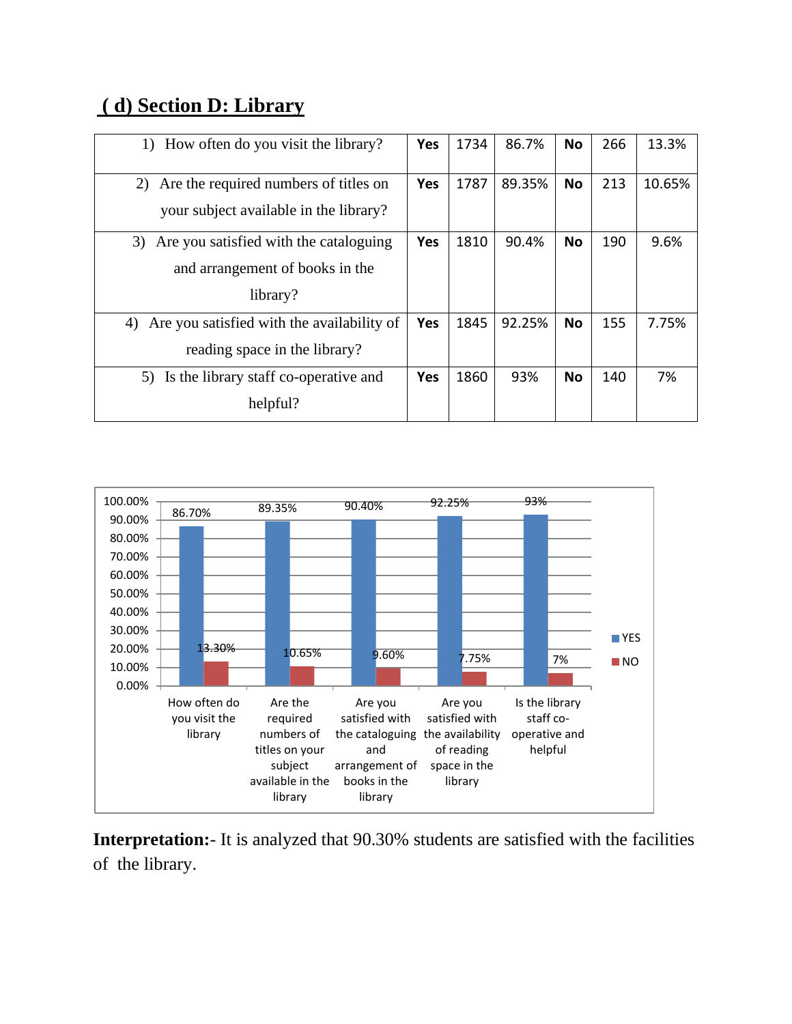### **( d) Section D: Library**

| 1) How often do you visit the library?                                                      |            | 1734 | 86.7%  | <b>No</b> | 266 | 13.3%  |
|---------------------------------------------------------------------------------------------|------------|------|--------|-----------|-----|--------|
| 2)<br>Are the required numbers of titles on<br>your subject available in the library?       |            | 1787 | 89.35% | <b>No</b> | 213 | 10.65% |
| Are you satisfied with the cataloguing<br>3)<br>and arrangement of books in the<br>library? | Yes        | 1810 | 90.4%  | <b>No</b> | 190 | 9.6%   |
| Are you satisfied with the availability of<br>4)<br>reading space in the library?           |            | 1845 | 92.25% | <b>No</b> | 155 | 7.75%  |
| Is the library staff co-operative and<br>5)<br>helpful?                                     | <b>Yes</b> | 1860 | 93%    | <b>No</b> | 140 | 7%     |



**Interpretation:**- It is analyzed that 90.30% students are satisfied with the facilities of the library.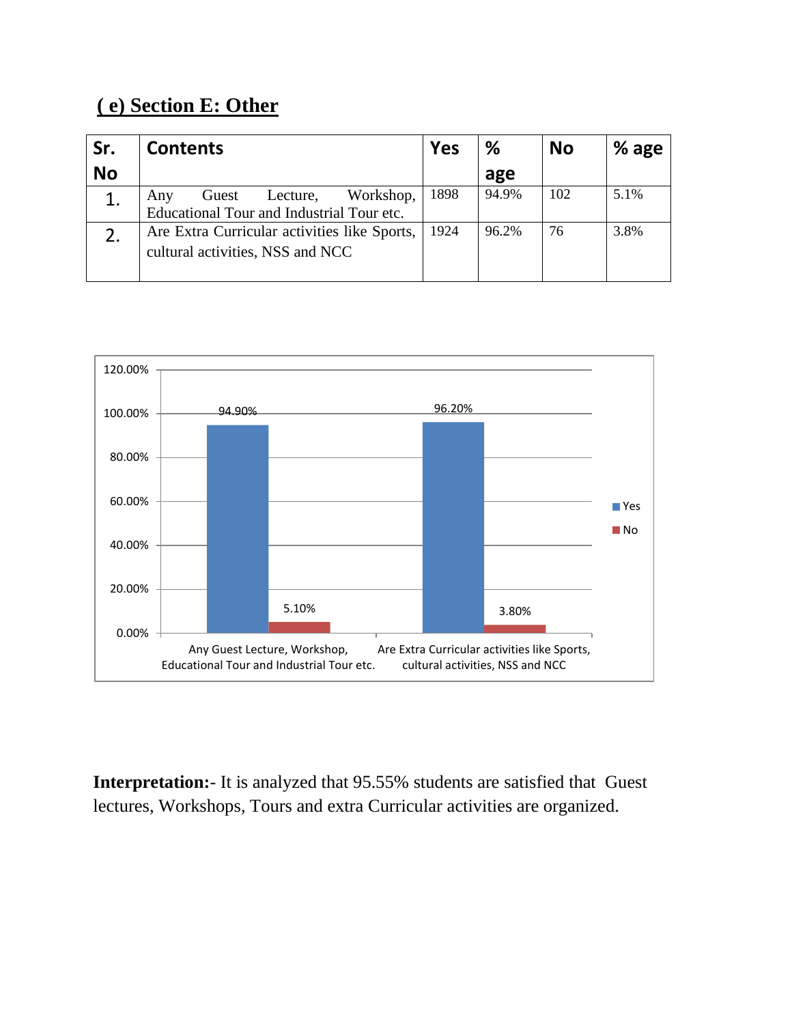### **( e) Section E: Other**

| Sr.       | <b>Contents</b>                                                                    | Yes  | ℅     | <b>No</b> | % age |
|-----------|------------------------------------------------------------------------------------|------|-------|-----------|-------|
| <b>No</b> |                                                                                    |      | age   |           |       |
|           | Workshop,<br>Guest<br>Lecture,<br>Any<br>Educational Tour and Industrial Tour etc. | 1898 | 94.9% | 102       | 5.1%  |
|           | Are Extra Curricular activities like Sports,<br>cultural activities, NSS and NCC   | 1924 | 96.2% | 76        | 3.8%  |



**Interpretation:**- It is analyzed that 95.55% students are satisfied that Guest lectures, Workshops, Tours and extra Curricular activities are organized.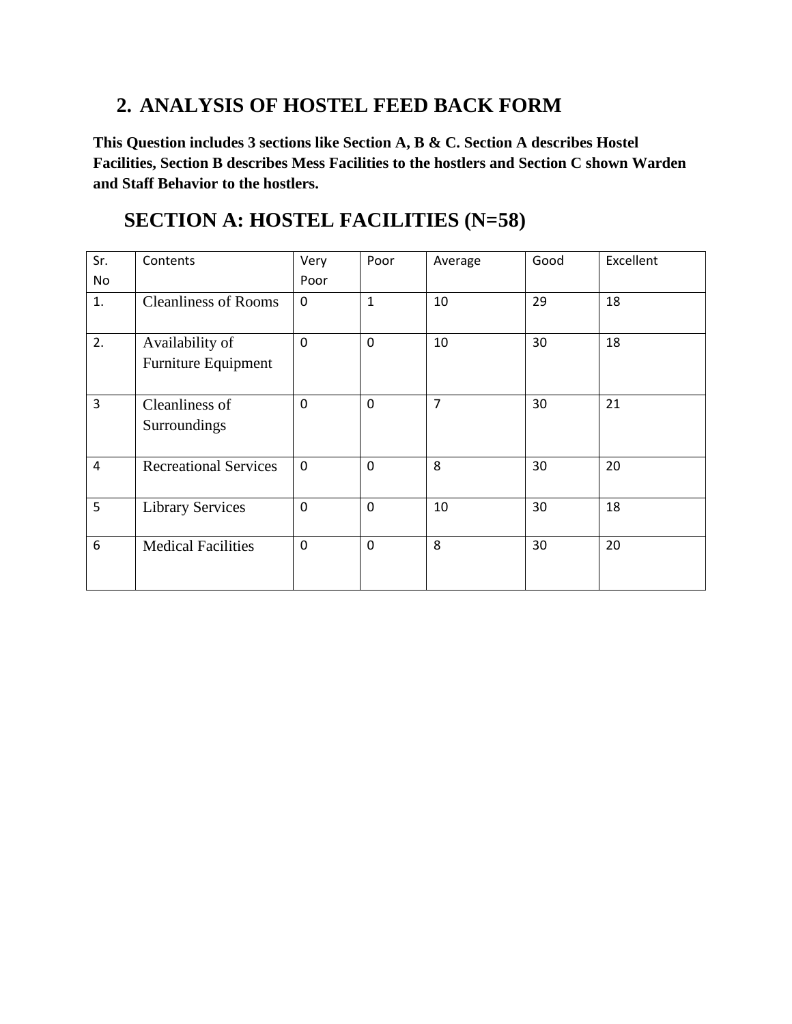#### **2. ANALYSIS OF HOSTEL FEED BACK FORM**

**This Question includes 3 sections like Section A, B & C. Section A describes Hostel Facilities, Section B describes Mess Facilities to the hostlers and Section C shown Warden and Staff Behavior to the hostlers.**

### **SECTION A: HOSTEL FACILITIES (N=58)**

| Sr.                     | Contents                               | Very        | Poor           | Average        | Good | Excellent |
|-------------------------|----------------------------------------|-------------|----------------|----------------|------|-----------|
| No                      |                                        | Poor        |                |                |      |           |
| 1.                      | <b>Cleanliness of Rooms</b>            | 0           | $\mathbf{1}$   | 10             | 29   | 18        |
| 2.                      | Availability of<br>Furniture Equipment | $\mathbf 0$ | $\overline{0}$ | 10             | 30   | 18        |
| $\overline{3}$          | Cleanliness of<br>Surroundings         | $\mathbf 0$ | $\mathbf 0$    | $\overline{7}$ | 30   | 21        |
| $\overline{\mathbf{4}}$ | <b>Recreational Services</b>           | $\mathbf 0$ | $\mathbf 0$    | 8              | 30   | 20        |
| 5                       | <b>Library Services</b>                | $\mathbf 0$ | $\overline{0}$ | 10             | 30   | 18        |
| 6                       | <b>Medical Facilities</b>              | $\mathbf 0$ | $\overline{0}$ | 8              | 30   | 20        |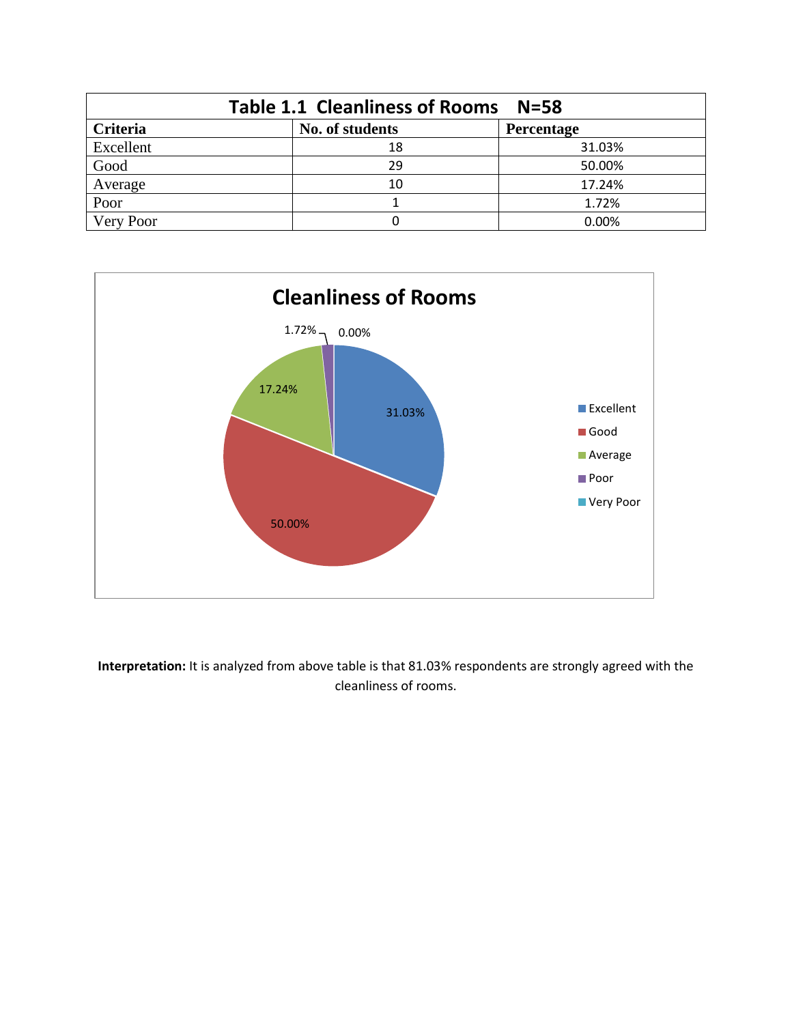| Table 1.1 Cleanliness of Rooms N=58              |    |        |  |  |  |  |  |
|--------------------------------------------------|----|--------|--|--|--|--|--|
| Criteria<br>No. of students<br><b>Percentage</b> |    |        |  |  |  |  |  |
| Excellent                                        | 18 | 31.03% |  |  |  |  |  |
| Good                                             | 29 | 50.00% |  |  |  |  |  |
| Average                                          | 10 | 17.24% |  |  |  |  |  |
| Poor                                             |    | 1.72%  |  |  |  |  |  |
| Very Poor                                        |    | 0.00%  |  |  |  |  |  |



**Interpretation:** It is analyzed from above table is that 81.03% respondents are strongly agreed with the cleanliness of rooms.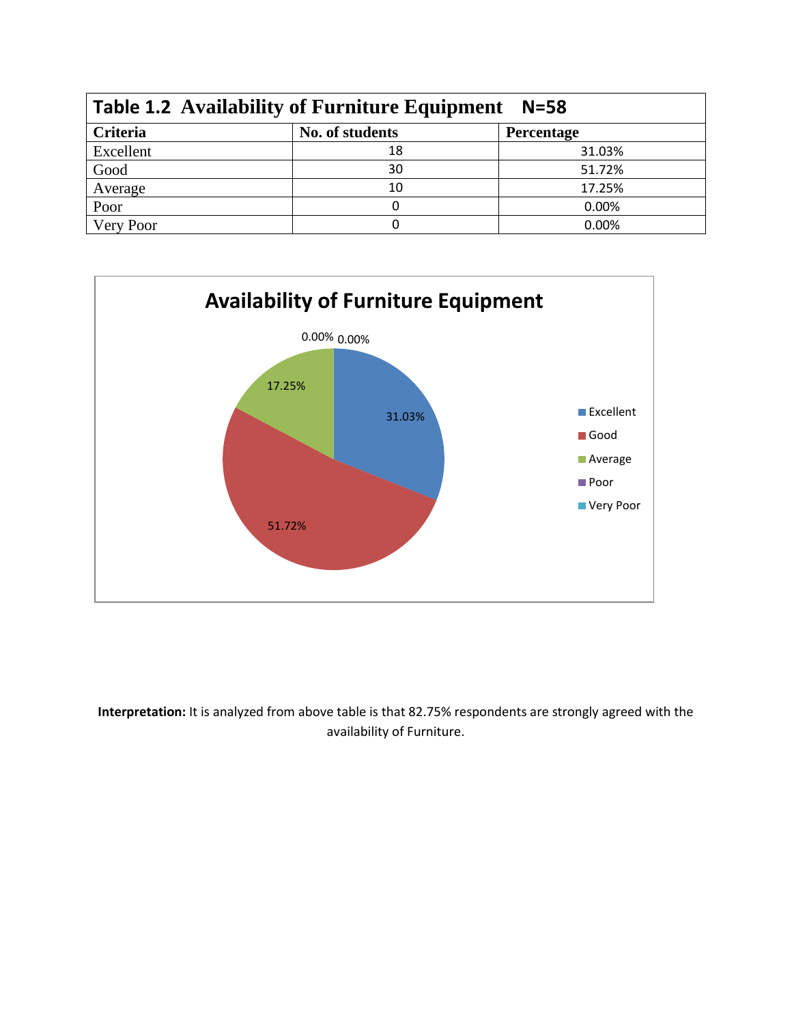| <b>Table 1.2 Availability of Furniture Equipment</b><br>$N = 58$ |                 |            |  |  |
|------------------------------------------------------------------|-----------------|------------|--|--|
| Criteria                                                         | No. of students | Percentage |  |  |
| Excellent                                                        | 18              | 31.03%     |  |  |
| Good                                                             | 30              | 51.72%     |  |  |
| Average                                                          | 10              | 17.25%     |  |  |
| Poor                                                             |                 | 0.00%      |  |  |
| Very Poor                                                        |                 | 0.00%      |  |  |



**Interpretation:** It is analyzed from above table is that 82.75% respondents are strongly agreed with the availability of Furniture.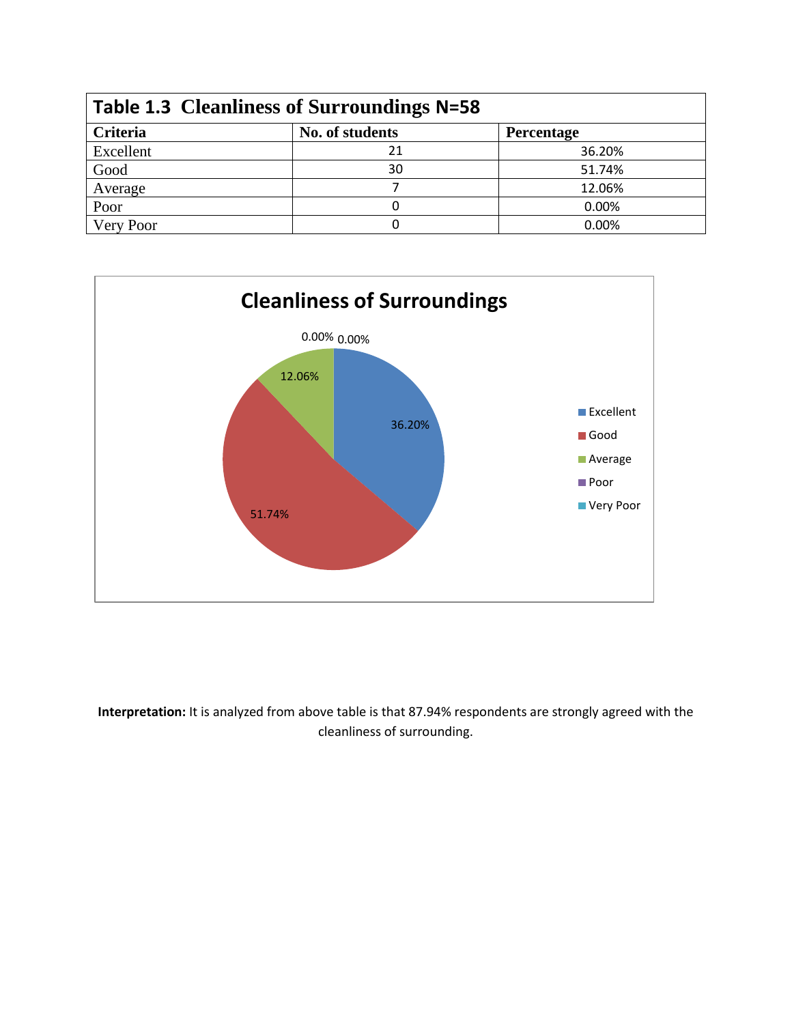| Table 1.3 Cleanliness of Surroundings N=58 |                 |                   |  |  |
|--------------------------------------------|-----------------|-------------------|--|--|
| <b>Criteria</b>                            | No. of students | <b>Percentage</b> |  |  |
| Excellent                                  | 21              | 36.20%            |  |  |
| Good                                       | 30              | 51.74%            |  |  |
| Average                                    |                 | 12.06%            |  |  |
| Poor                                       |                 | 0.00%             |  |  |
| Very Poor                                  |                 | 0.00%             |  |  |



**Interpretation:** It is analyzed from above table is that 87.94% respondents are strongly agreed with the cleanliness of surrounding.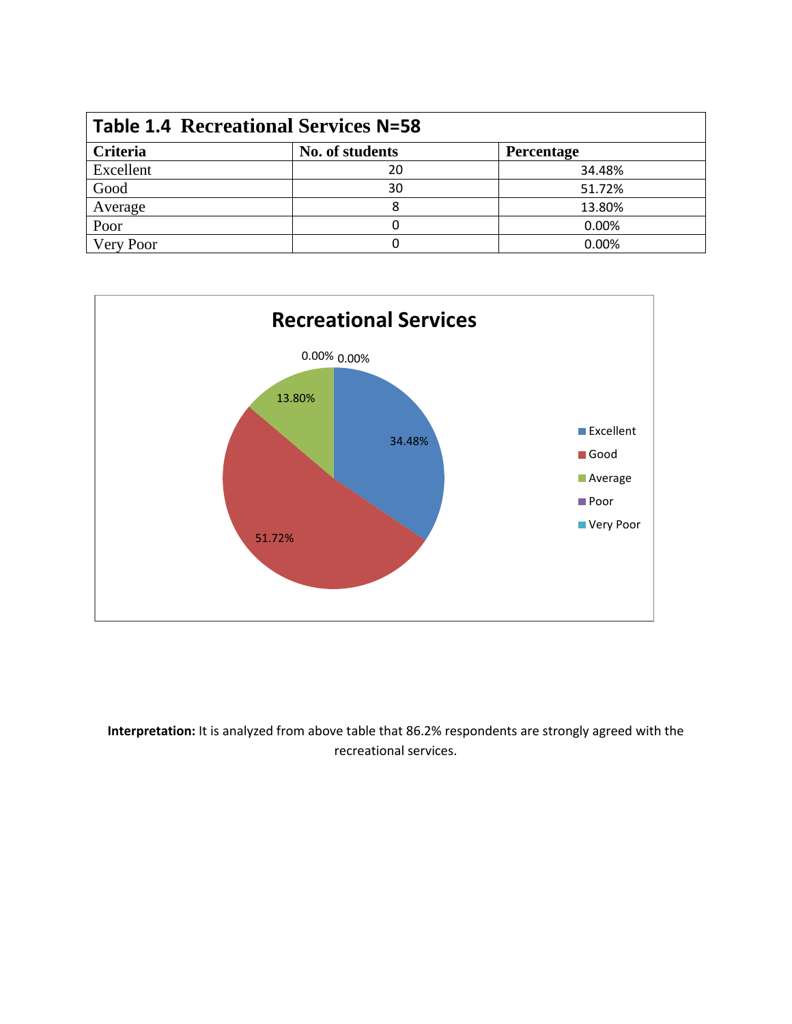| <b>Table 1.4 Recreational Services N=58</b> |                 |                   |  |  |
|---------------------------------------------|-----------------|-------------------|--|--|
| Criteria                                    | No. of students | <b>Percentage</b> |  |  |
| Excellent                                   | 20              | 34.48%            |  |  |
| Good                                        | 30              | 51.72%            |  |  |
| Average                                     |                 | 13.80%            |  |  |
| Poor                                        |                 | 0.00%             |  |  |
| Very Poor                                   |                 | 0.00%             |  |  |



**Interpretation:** It is analyzed from above table that 86.2% respondents are strongly agreed with the recreational services.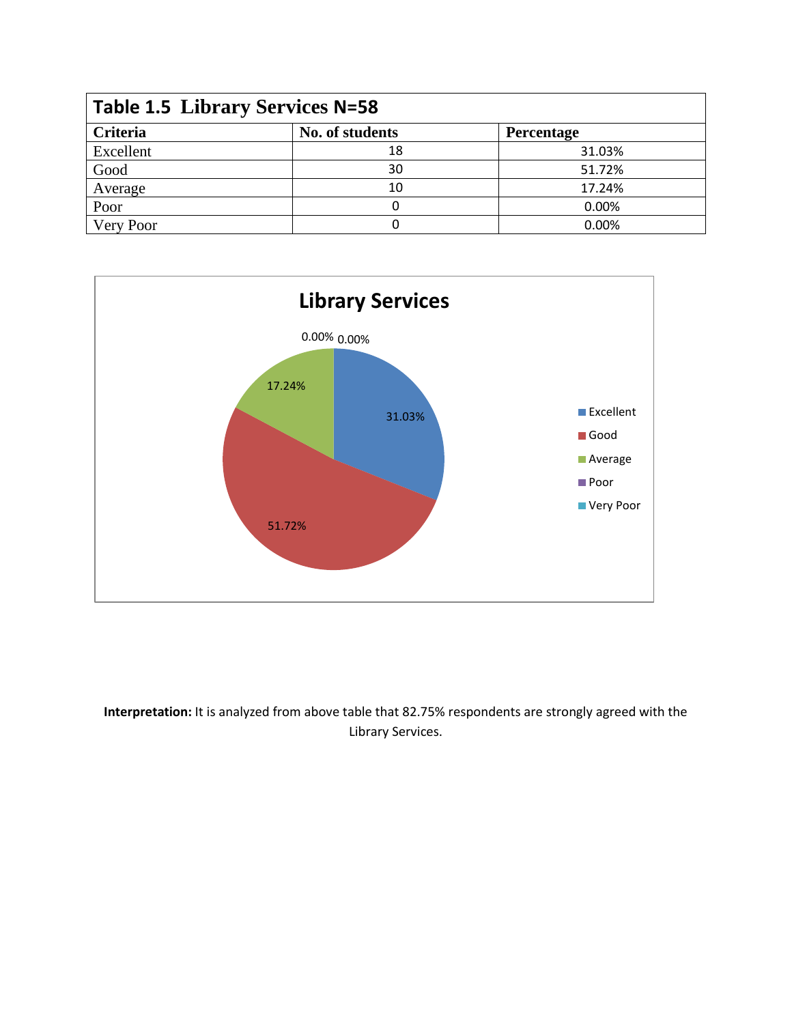| <b>Table 1.5 Library Services N=58</b> |                 |                   |  |  |
|----------------------------------------|-----------------|-------------------|--|--|
| <b>Criteria</b>                        | No. of students | <b>Percentage</b> |  |  |
| Excellent                              | 18              | 31.03%            |  |  |
| Good                                   | 30              | 51.72%            |  |  |
| Average                                | 10              | 17.24%            |  |  |
| Poor                                   |                 | 0.00%             |  |  |
| Very Poor                              |                 | 0.00%             |  |  |



**Interpretation:** It is analyzed from above table that 82.75% respondents are strongly agreed with the Library Services.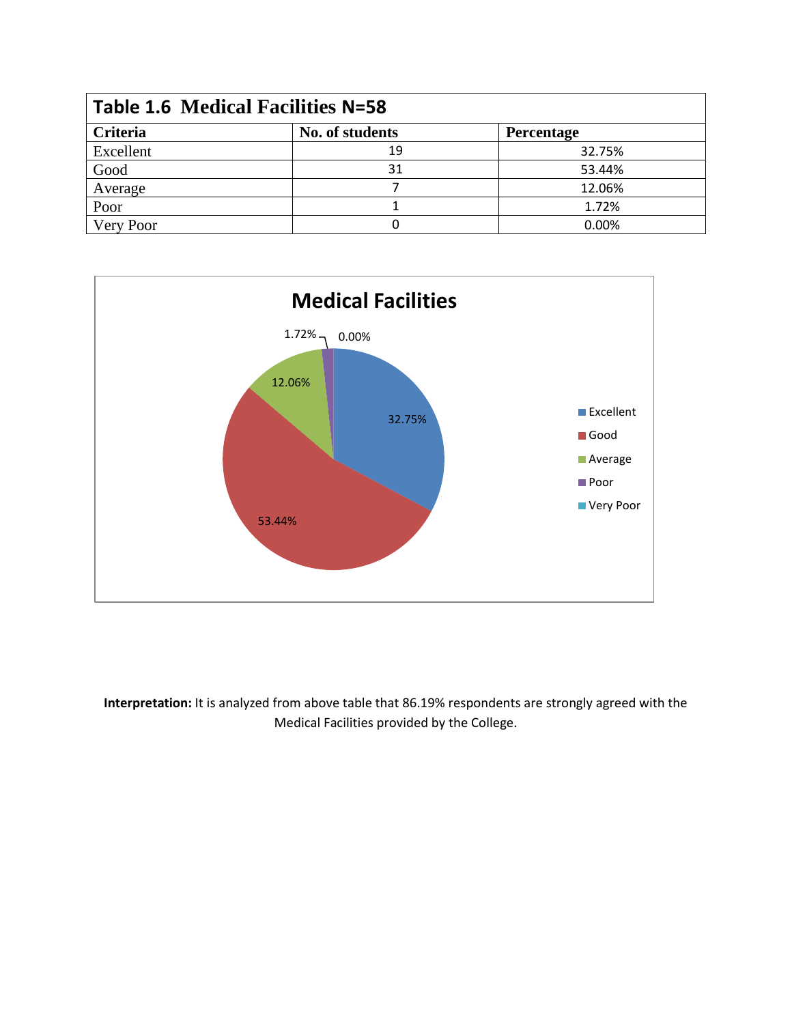| <b>Table 1.6 Medical Facilities N=58</b> |                 |            |  |  |  |
|------------------------------------------|-----------------|------------|--|--|--|
| <b>Criteria</b>                          | No. of students | Percentage |  |  |  |
| Excellent                                | 19              | 32.75%     |  |  |  |
| Good                                     | 31              | 53.44%     |  |  |  |
| Average                                  |                 | 12.06%     |  |  |  |
| Poor                                     |                 | 1.72%      |  |  |  |
| Very Poor                                |                 | 0.00%      |  |  |  |



**Interpretation:** It is analyzed from above table that 86.19% respondents are strongly agreed with the Medical Facilities provided by the College.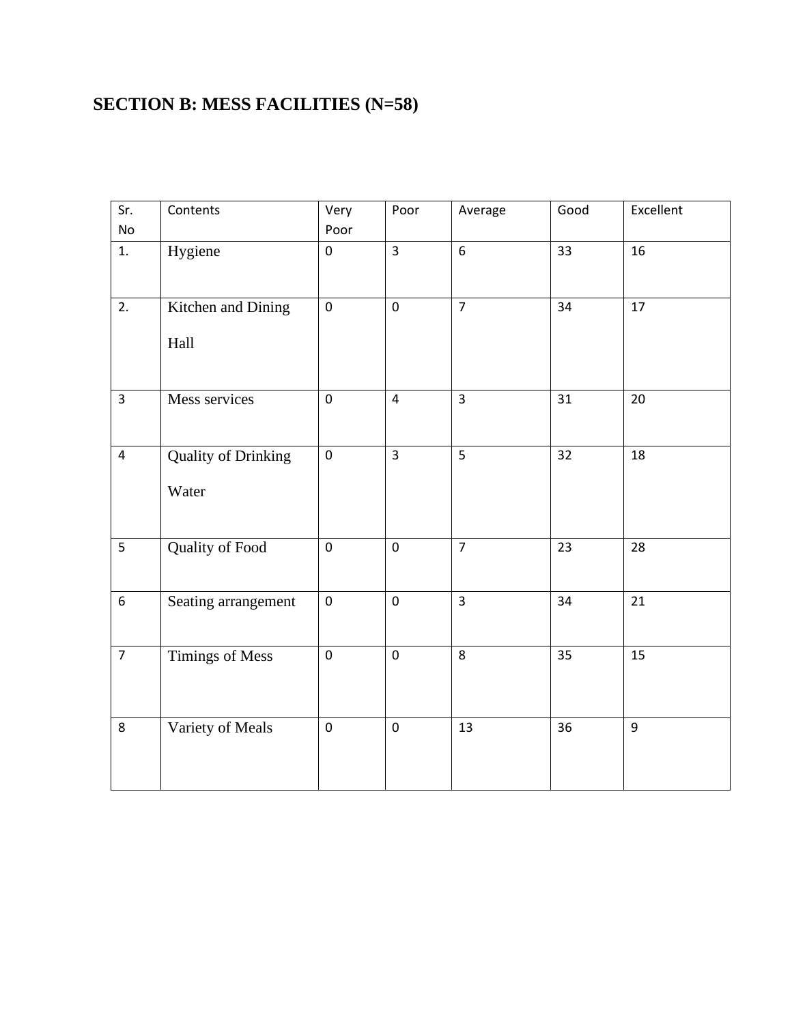#### **SECTION B: MESS FACILITIES (N=58)**

| Sr.<br>No      | Contents                            | Very<br>Poor | Poor           | Average         | Good | Excellent       |
|----------------|-------------------------------------|--------------|----------------|-----------------|------|-----------------|
| 1.             | Hygiene                             | $\pmb{0}$    | $\overline{3}$ | $6\overline{6}$ | 33   | 16              |
| 2.             | Kitchen and Dining<br>Hall          | $\pmb{0}$    | $\mathbf 0$    | $\overline{7}$  | 34   | 17              |
| $\overline{3}$ | Mess services                       | $\pmb{0}$    | $\overline{4}$ | $\overline{3}$  | 31   | 20              |
| $\overline{4}$ | <b>Quality of Drinking</b><br>Water | $\mathbf 0$  | $\overline{3}$ | 5               | 32   | 18              |
| 5              | Quality of Food                     | $\pmb{0}$    | $\pmb{0}$      | $\overline{7}$  | 23   | 28              |
| $\overline{6}$ | Seating arrangement                 | $\pmb{0}$    | $\mathbf 0$    | $\overline{3}$  | 34   | $\overline{21}$ |
| $\overline{7}$ | Timings of Mess                     | $\pmb{0}$    | $\mathbf 0$    | 8               | 35   | 15              |
| 8              | Variety of Meals                    | $\pmb{0}$    | $\pmb{0}$      | 13              | 36   | 9               |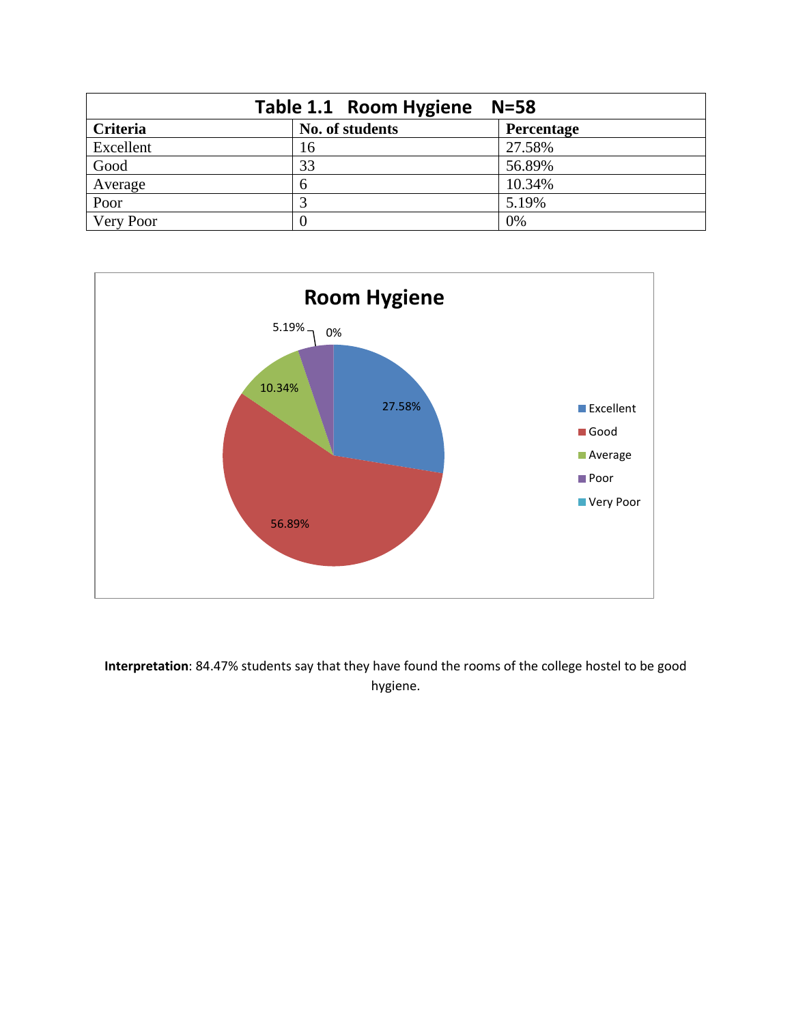| Table 1.1 Room Hygiene<br>$N = 58$ |                 |            |  |  |  |
|------------------------------------|-----------------|------------|--|--|--|
| Criteria                           | No. of students | Percentage |  |  |  |
| Excellent                          | 16              | 27.58%     |  |  |  |
| Good                               | 33              | 56.89%     |  |  |  |
| Average                            | 6               | 10.34%     |  |  |  |
| Poor                               | 3               | 5.19%      |  |  |  |
| Very Poor                          | $\theta$        | 0%         |  |  |  |



**Interpretation**: 84.47% students say that they have found the rooms of the college hostel to be good hygiene.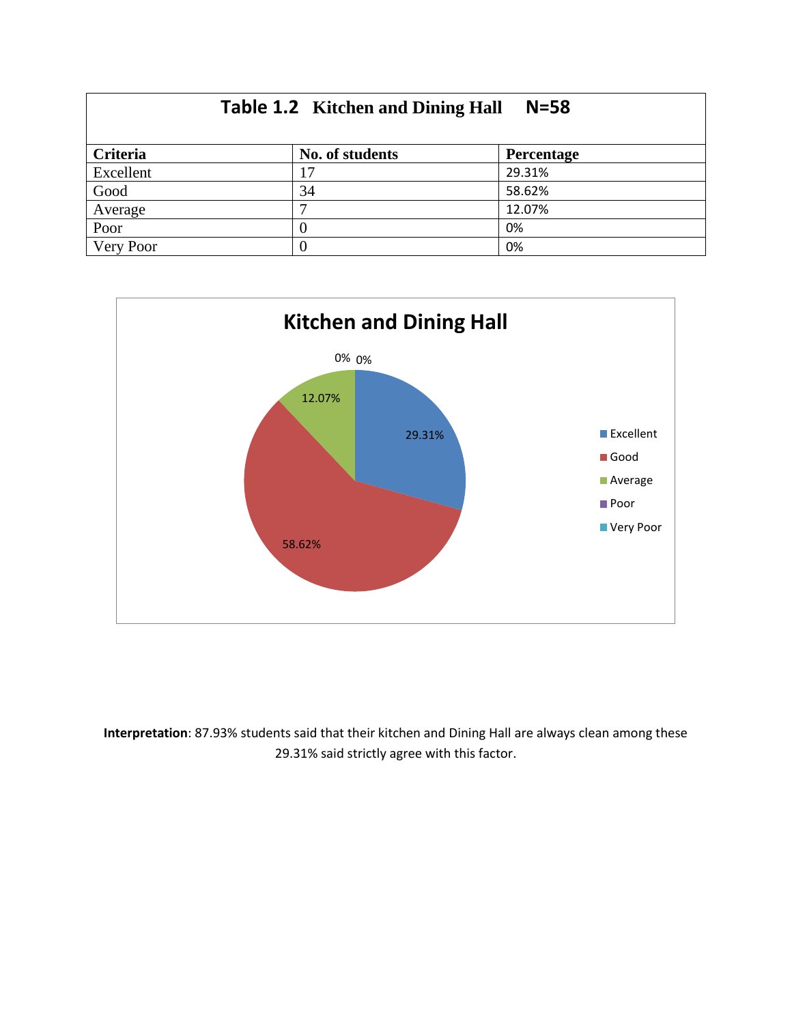| <b>Table 1.2</b> Kitchen and Dining Hall<br>$N = 58$ |                 |                   |  |  |  |
|------------------------------------------------------|-----------------|-------------------|--|--|--|
| Criteria                                             | No. of students | <b>Percentage</b> |  |  |  |
| Excellent                                            |                 | 29.31%            |  |  |  |
| Good                                                 | 34              | 58.62%            |  |  |  |
| Average                                              |                 | 12.07%            |  |  |  |
| Poor                                                 |                 | 0%                |  |  |  |
| Very Poor                                            |                 | 0%                |  |  |  |



**Interpretation**: 87.93% students said that their kitchen and Dining Hall are always clean among these 29.31% said strictly agree with this factor.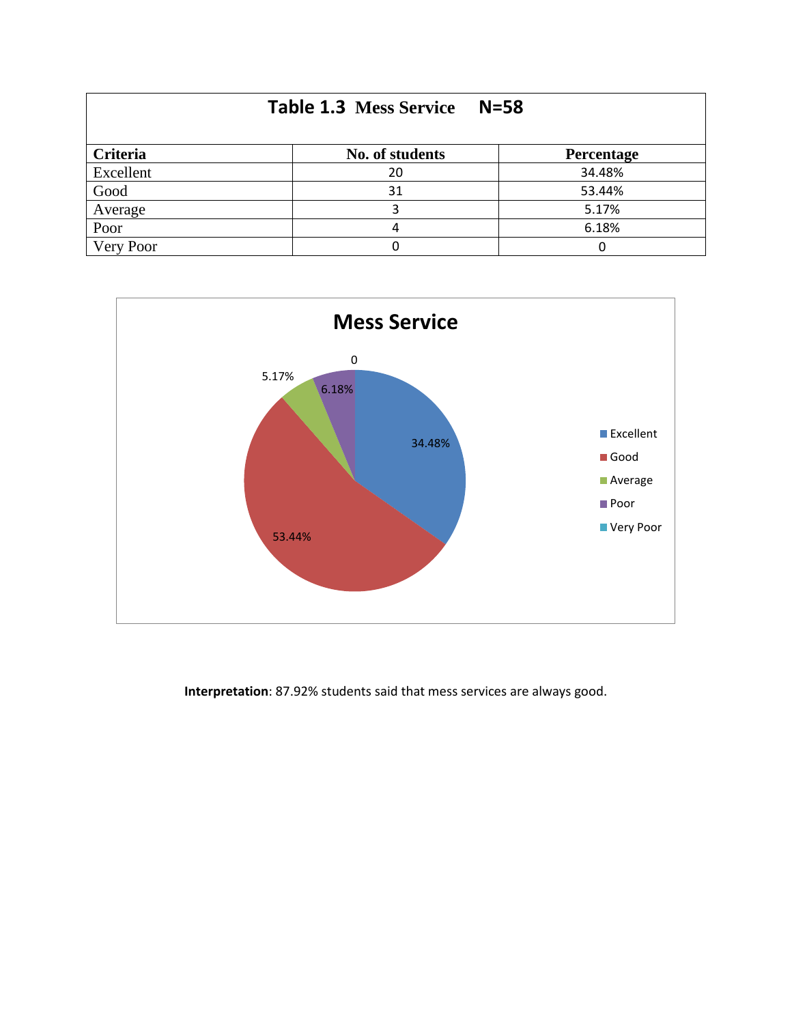| <b>Table 1.3 Mess Service</b><br>$N = 58$ |                 |            |  |  |  |  |
|-------------------------------------------|-----------------|------------|--|--|--|--|
| <b>Criteria</b>                           | No. of students | Percentage |  |  |  |  |
| Excellent                                 | 20              | 34.48%     |  |  |  |  |
| Good                                      | 31              | 53.44%     |  |  |  |  |
| Average                                   |                 | 5.17%      |  |  |  |  |
| Poor                                      |                 | 6.18%      |  |  |  |  |
| Very Poor                                 |                 |            |  |  |  |  |



**Interpretation**: 87.92% students said that mess services are always good.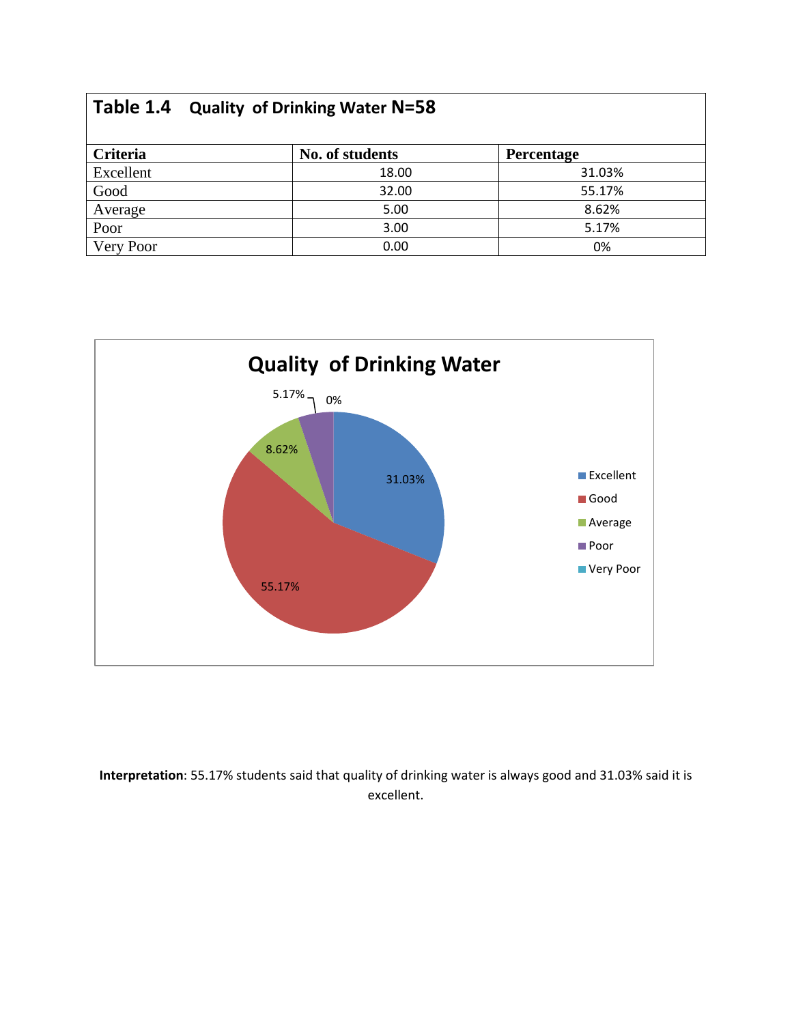|           | Table 1.4 Quality of Drinking Water N=58 |            |  |  |  |  |
|-----------|------------------------------------------|------------|--|--|--|--|
| Criteria  | No. of students                          | Percentage |  |  |  |  |
| Excellent | 18.00                                    | 31.03%     |  |  |  |  |
| Good      | 32.00                                    | 55.17%     |  |  |  |  |
| Average   | 5.00                                     | 8.62%      |  |  |  |  |
| Poor      | 3.00                                     | 5.17%      |  |  |  |  |
| Very Poor | 0.00                                     | 0%         |  |  |  |  |



**Interpretation**: 55.17% students said that quality of drinking water is always good and 31.03% said it is excellent.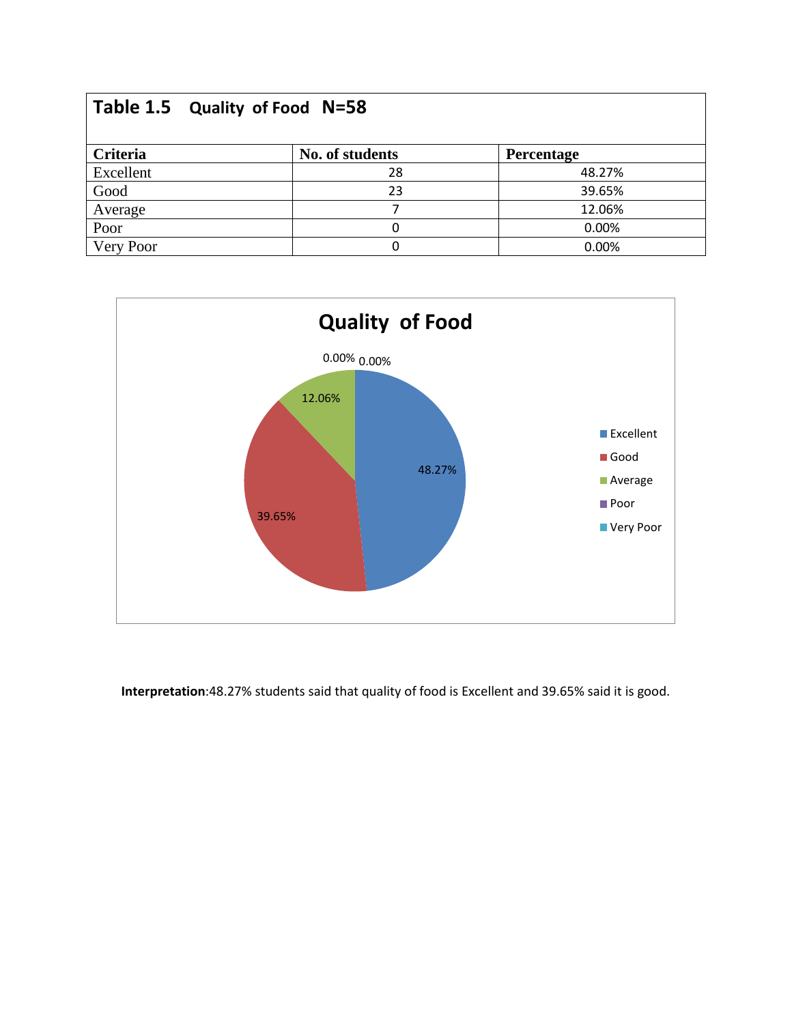|           | Table 1.5 Quality of Food N=58 |                 |                   |  |  |  |
|-----------|--------------------------------|-----------------|-------------------|--|--|--|
| Criteria  |                                | No. of students | <b>Percentage</b> |  |  |  |
| Excellent |                                | 28              | 48.27%            |  |  |  |
| Good      |                                | 23              | 39.65%            |  |  |  |
| Average   |                                |                 | 12.06%            |  |  |  |
| Poor      |                                | ი               | 0.00%             |  |  |  |
| Very Poor |                                |                 | 0.00%             |  |  |  |



**Interpretation**:48.27% students said that quality of food is Excellent and 39.65% said it is good.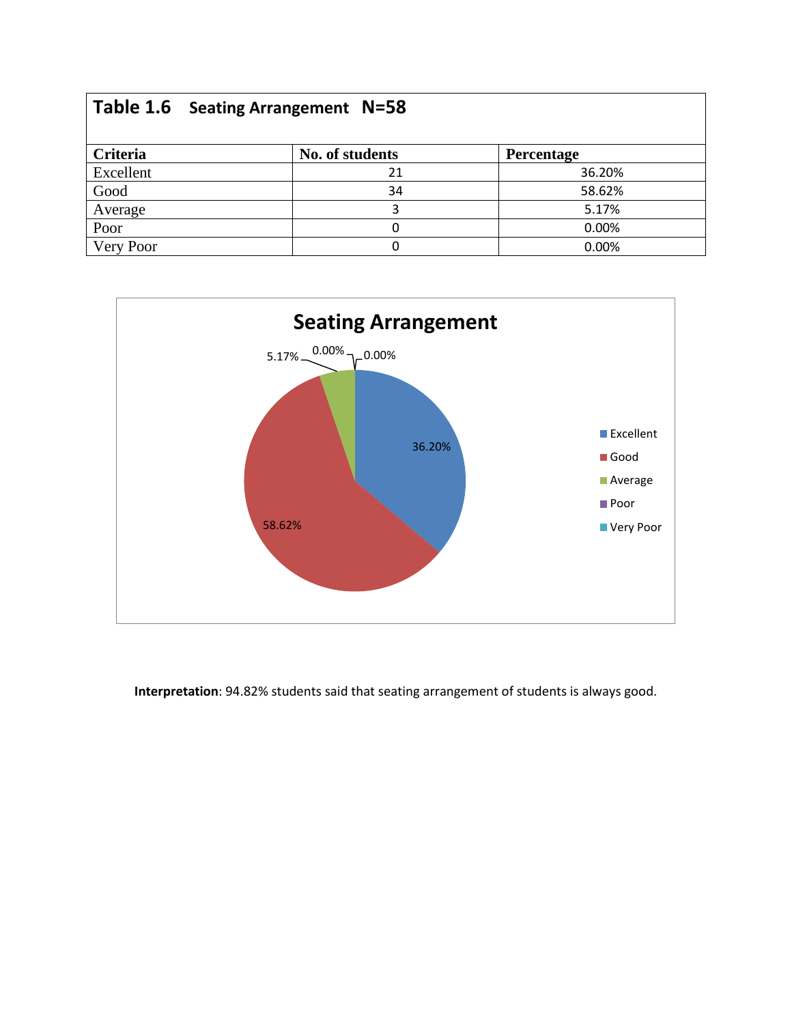|           | Table 1.6 Seating Arrangement N=58 |                   |
|-----------|------------------------------------|-------------------|
| Criteria  | No. of students                    | <b>Percentage</b> |
| Excellent | 21                                 | 36.20%            |
| Good      | 34                                 | 58.62%            |
| Average   | 3                                  | 5.17%             |
| Poor      |                                    | 0.00%             |
| Very Poor | 0                                  | 0.00%             |



**Interpretation**: 94.82% students said that seating arrangement of students is always good.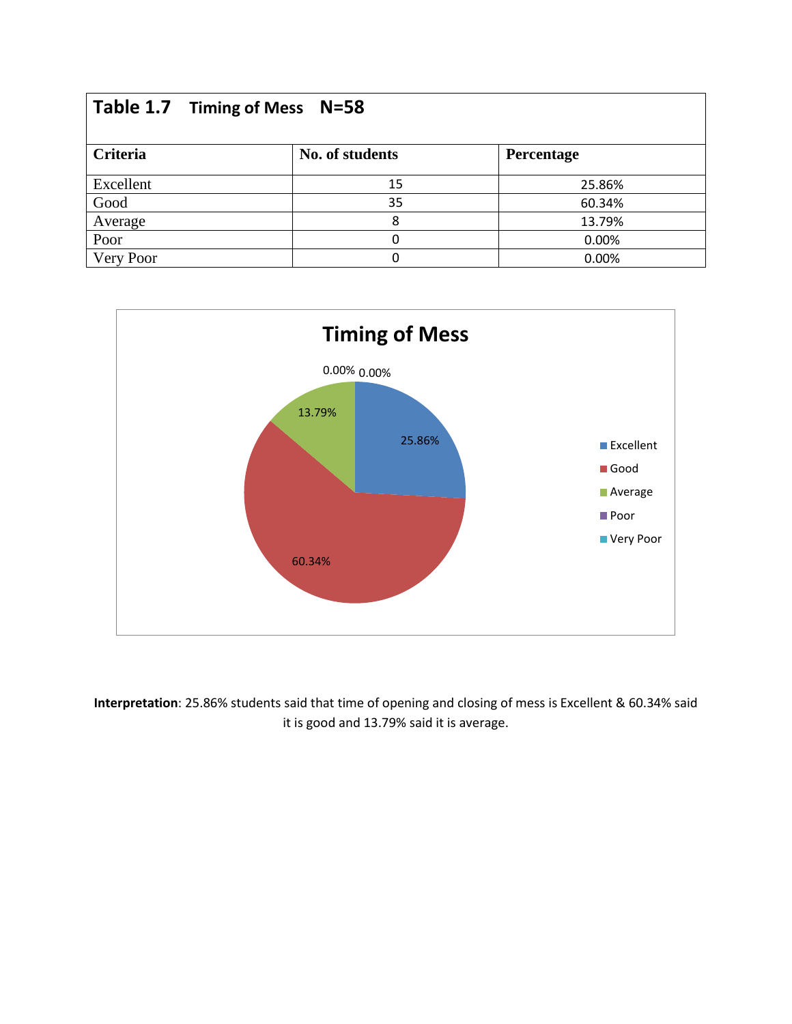| Table 1.7 Timing of Mess N=58 |  |                 |            |  |  |
|-------------------------------|--|-----------------|------------|--|--|
| Criteria                      |  | No. of students | Percentage |  |  |
| Excellent                     |  | 15              | 25.86%     |  |  |
| Good                          |  | 35              | 60.34%     |  |  |
| Average                       |  | 8               | 13.79%     |  |  |
| Poor                          |  | O               | 0.00%      |  |  |
| Very Poor                     |  |                 | 0.00%      |  |  |



**Interpretation**: 25.86% students said that time of opening and closing of mess is Excellent & 60.34% said it is good and 13.79% said it is average.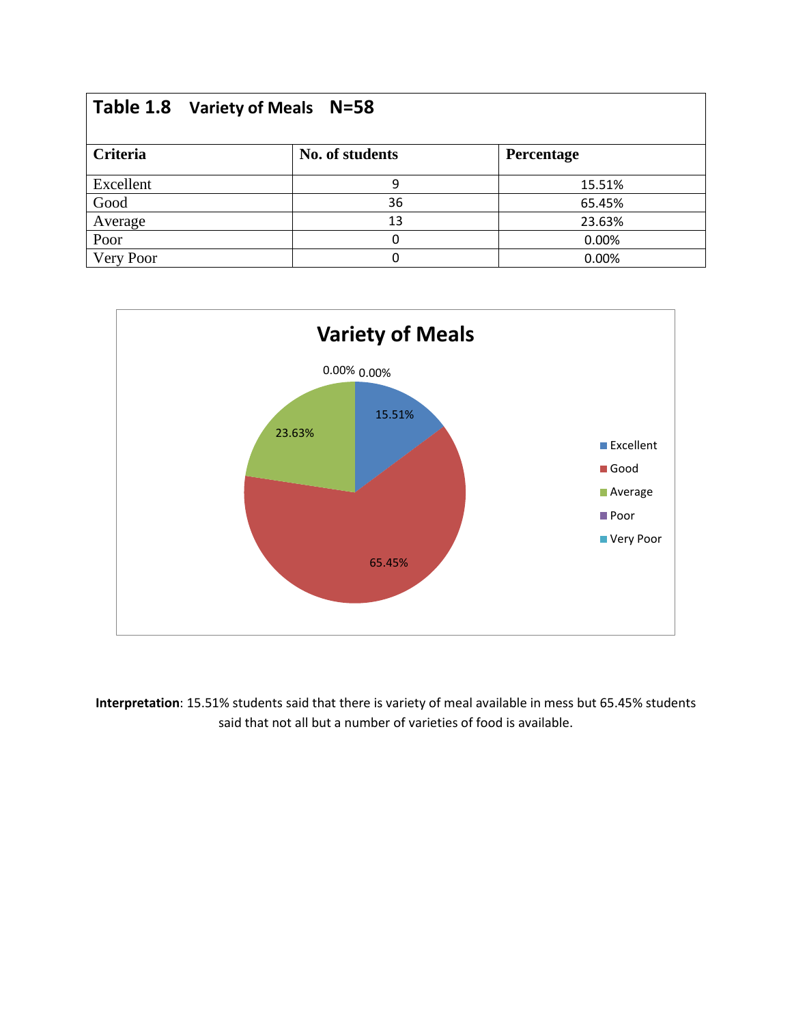|           | Table 1.8 Variety of Meals N=58 |                 |            |  |  |  |
|-----------|---------------------------------|-----------------|------------|--|--|--|
| Criteria  |                                 | No. of students | Percentage |  |  |  |
| Excellent |                                 | 9               | 15.51%     |  |  |  |
| Good      |                                 | 36              | 65.45%     |  |  |  |
| Average   |                                 | 13              | 23.63%     |  |  |  |
| Poor      |                                 | O               | 0.00%      |  |  |  |
| Very Poor |                                 | O               | 0.00%      |  |  |  |



**Interpretation**: 15.51% students said that there is variety of meal available in mess but 65.45% students said that not all but a number of varieties of food is available.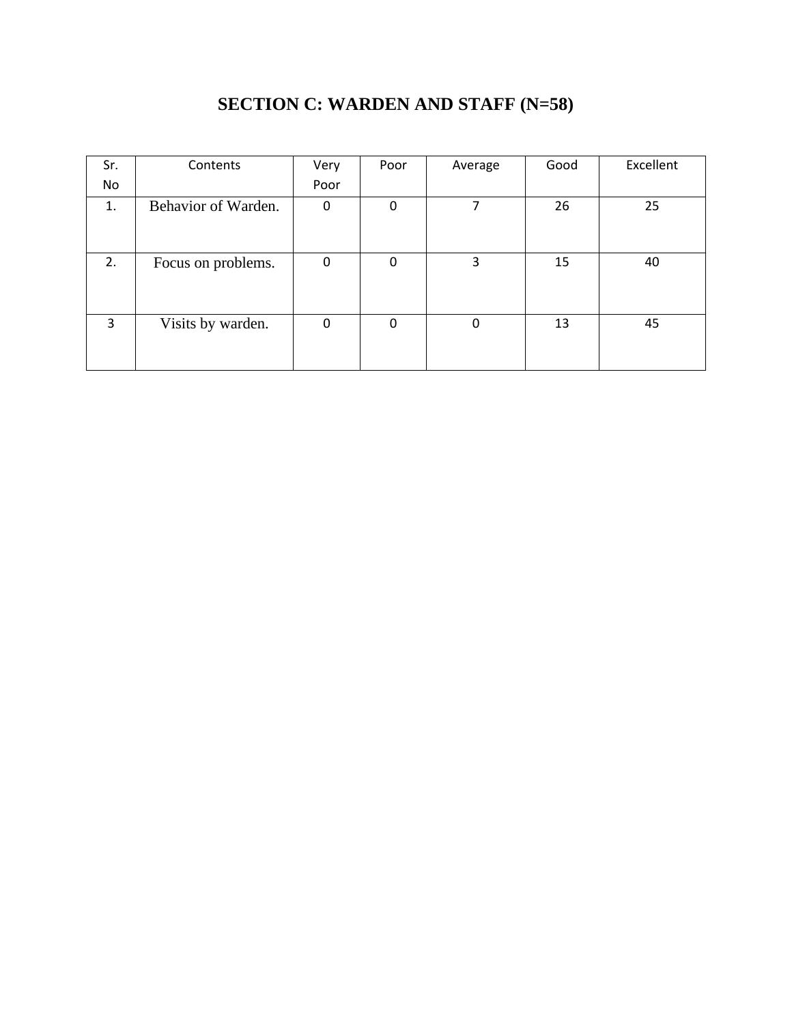| Sr. | Contents            | Very | Poor | Average | Good | Excellent |
|-----|---------------------|------|------|---------|------|-----------|
| No  |                     | Poor |      |         |      |           |
| 1.  | Behavior of Warden. | 0    | 0    |         | 26   | 25        |
| 2.  | Focus on problems.  | 0    | 0    | 3       | 15   | 40        |
| 3   | Visits by warden.   | 0    | 0    | 0       | 13   | 45        |

#### **SECTION C: WARDEN AND STAFF (N=58)**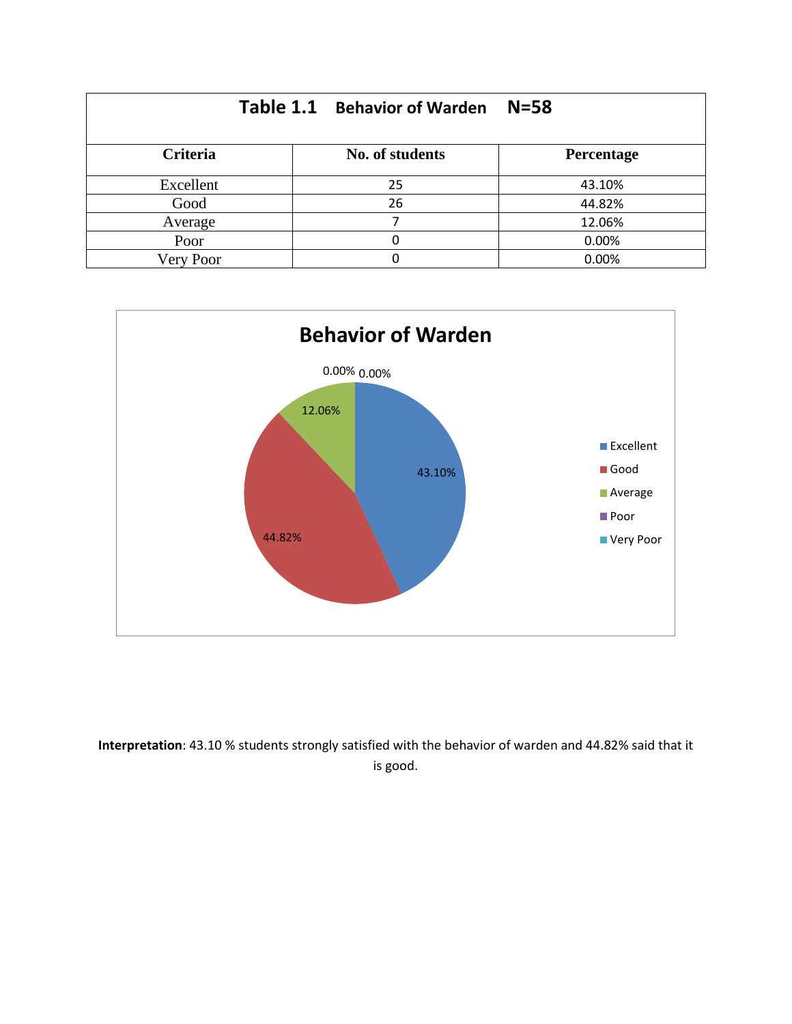|                 | Table 1.1 Behavior of Warden | $N = 58$   |
|-----------------|------------------------------|------------|
| <b>Criteria</b> | No. of students              | Percentage |
| Excellent       | 25                           | 43.10%     |
| Good            | 26                           | 44.82%     |
| Average         |                              | 12.06%     |
| Poor            |                              | 0.00%      |
| Very Poor       |                              | 0.00%      |



**Interpretation**: 43.10 % students strongly satisfied with the behavior of warden and 44.82% said that it is good.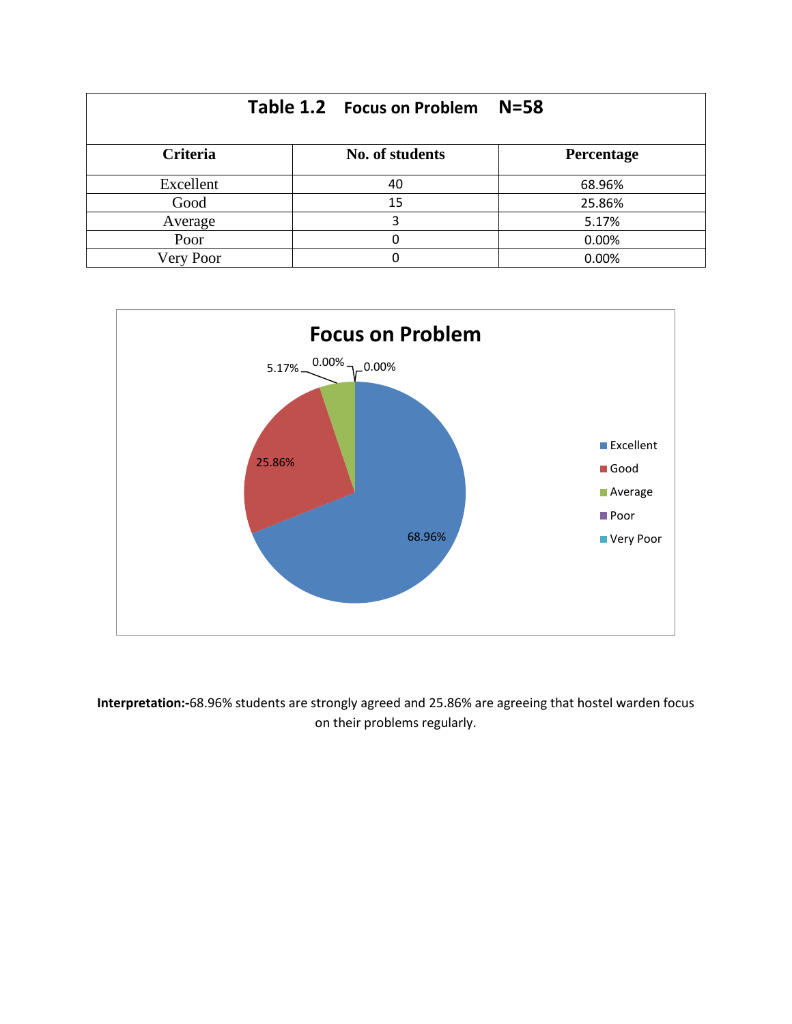|                 | Table 1.2 Focus on Problem | $N = 58$   |
|-----------------|----------------------------|------------|
| <b>Criteria</b> | No. of students            | Percentage |
| Excellent       | 40                         | 68.96%     |
| Good            | 15                         | 25.86%     |
| Average         | 3                          | 5.17%      |
| Poor            |                            | 0.00%      |
| Very Poor       |                            | 0.00%      |



**Interpretation:-**68.96% students are strongly agreed and 25.86% are agreeing that hostel warden focus on their problems regularly.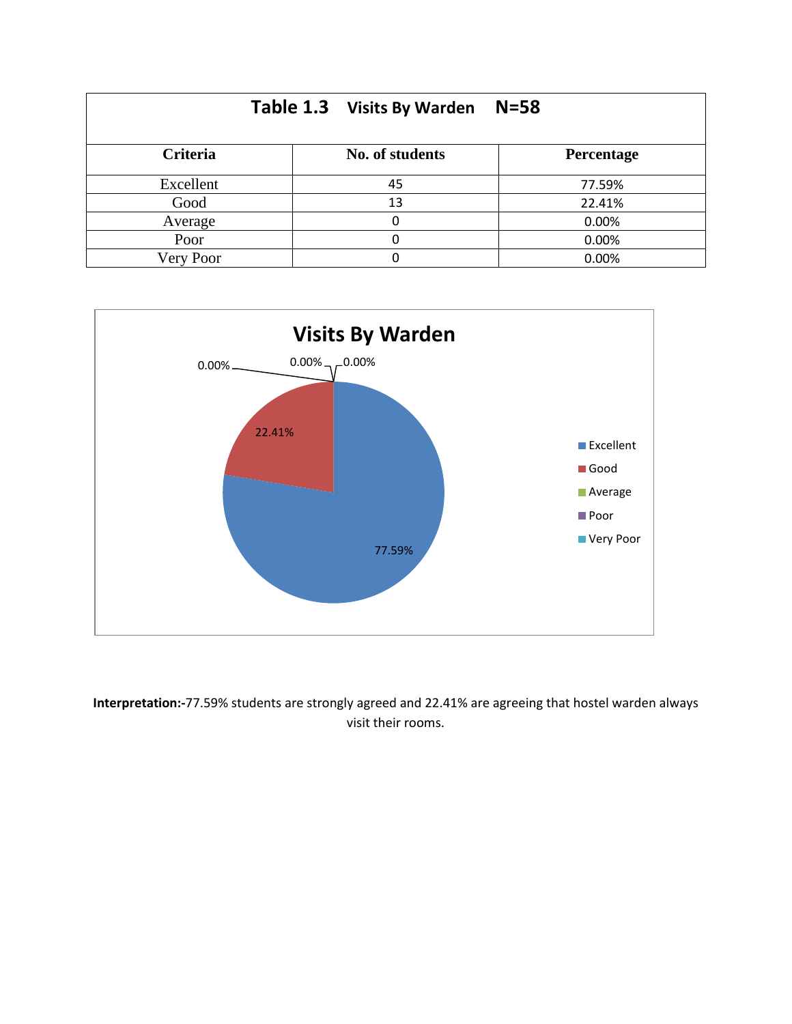|           | Table 1.3 Visits By Warden | $N = 58$   |
|-----------|----------------------------|------------|
| Criteria  | No. of students            | Percentage |
| Excellent | 45                         | 77.59%     |
| Good      | 13                         | 22.41%     |
| Average   |                            | 0.00%      |
| Poor      |                            | 0.00%      |
| Very Poor |                            | 0.00%      |



**Interpretation:-**77.59% students are strongly agreed and 22.41% are agreeing that hostel warden always visit their rooms.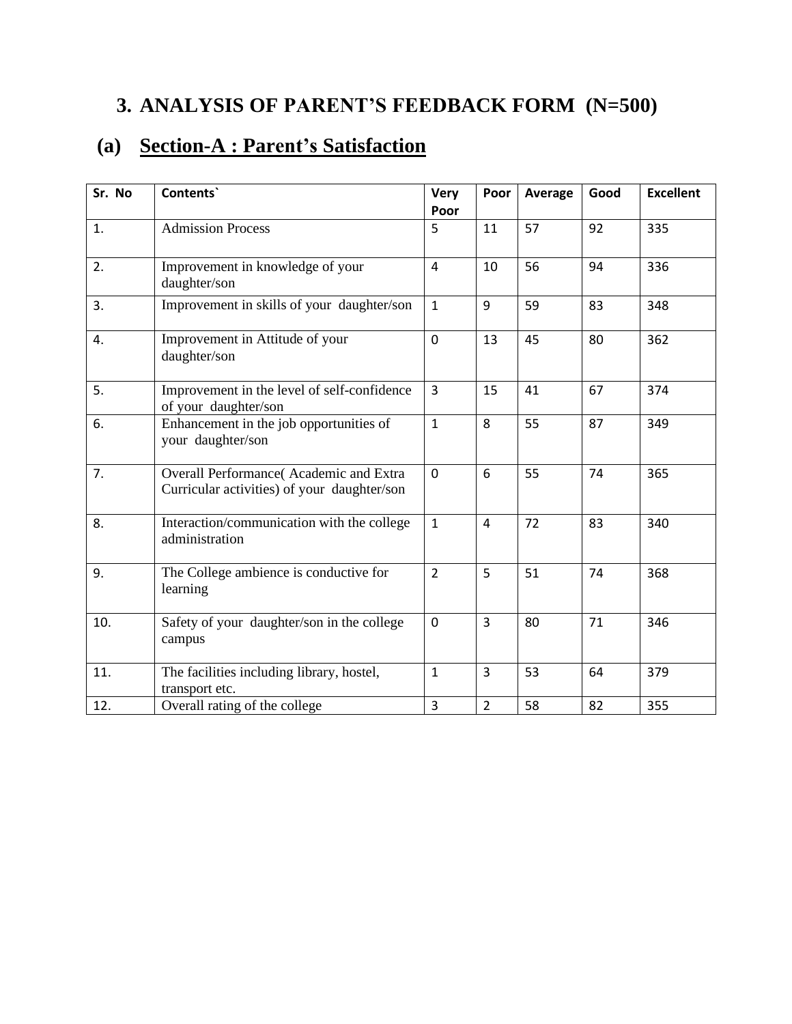## **3. ANALYSIS OF PARENT'S FEEDBACK FORM (N=500)**

### **(a) Section-A : Parent's Satisfaction**

| Sr. No | Contents`                                                                             | <b>Very</b><br>Poor | Poor           | Average | Good | <b>Excellent</b> |
|--------|---------------------------------------------------------------------------------------|---------------------|----------------|---------|------|------------------|
| 1.     | <b>Admission Process</b>                                                              | 5                   | 11             | 57      | 92   | 335              |
| 2.     | Improvement in knowledge of your<br>daughter/son                                      | $\overline{4}$      | 10             | 56      | 94   | 336              |
| 3.     | Improvement in skills of your daughter/son                                            | $\mathbf{1}$        | 9              | 59      | 83   | 348              |
| 4.     | Improvement in Attitude of your<br>daughter/son                                       | $\overline{0}$      | 13             | 45      | 80   | 362              |
| 5.     | Improvement in the level of self-confidence<br>of your_daughter/son                   | $\overline{3}$      | 15             | 41      | 67   | 374              |
| 6.     | Enhancement in the job opportunities of<br>your daughter/son                          | $\mathbf{1}$        | 8              | 55      | 87   | 349              |
| 7.     | Overall Performance(Academic and Extra<br>Curricular activities) of your daughter/son | $\Omega$            | 6              | 55      | 74   | 365              |
| 8.     | Interaction/communication with the college<br>administration                          | $\mathbf{1}$        | $\overline{4}$ | 72      | 83   | 340              |
| 9.     | The College ambience is conductive for<br>learning                                    | $\overline{2}$      | 5              | 51      | 74   | 368              |
| 10.    | Safety of your daughter/son in the college<br>campus                                  | $\mathbf 0$         | 3              | 80      | 71   | 346              |
| 11.    | The facilities including library, hostel,<br>transport etc.                           | $\mathbf{1}$        | $\overline{3}$ | 53      | 64   | 379              |
| 12.    | Overall rating of the college                                                         | 3                   | $\overline{2}$ | 58      | 82   | 355              |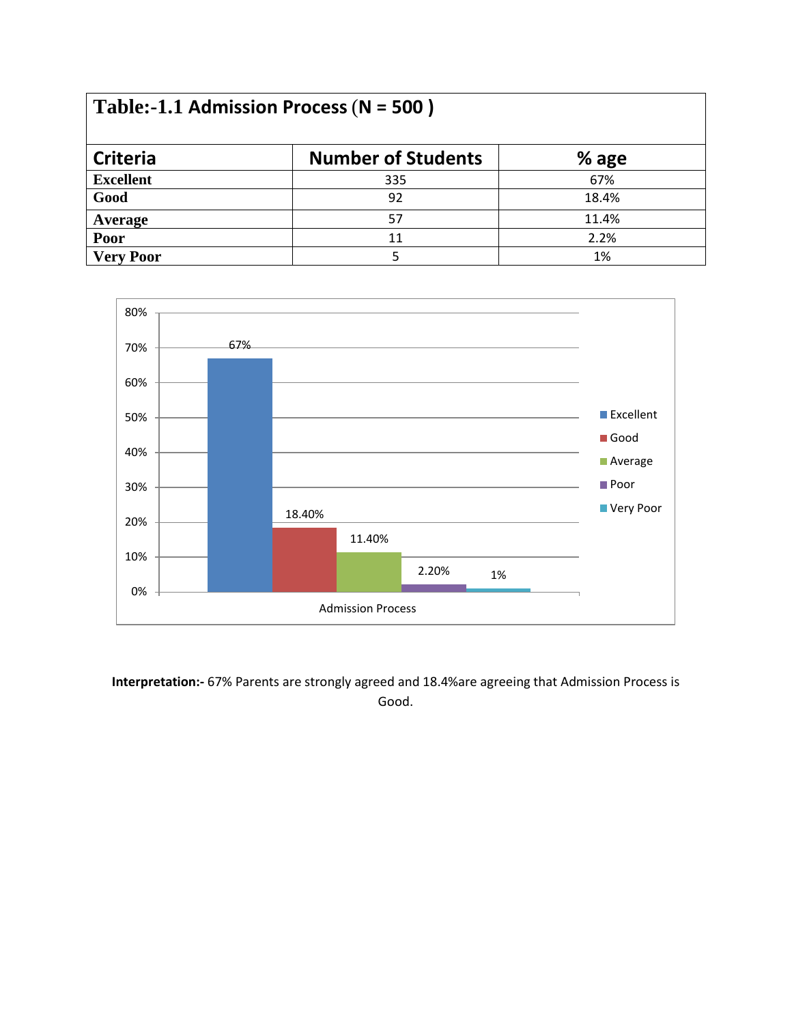| Table:-1.1 Admission Process ( $N = 500$ ) |                           |         |  |
|--------------------------------------------|---------------------------|---------|--|
| <b>Criteria</b>                            | <b>Number of Students</b> | $%$ age |  |
| <b>Excellent</b>                           | 335                       | 67%     |  |
| Good                                       | 92                        | 18.4%   |  |
| Average                                    | 57                        | 11.4%   |  |
| Poor                                       | 11                        | 2.2%    |  |
| <b>Very Poor</b>                           |                           | 1%      |  |



**Interpretation:-** 67% Parents are strongly agreed and 18.4%are agreeing that Admission Process is Good.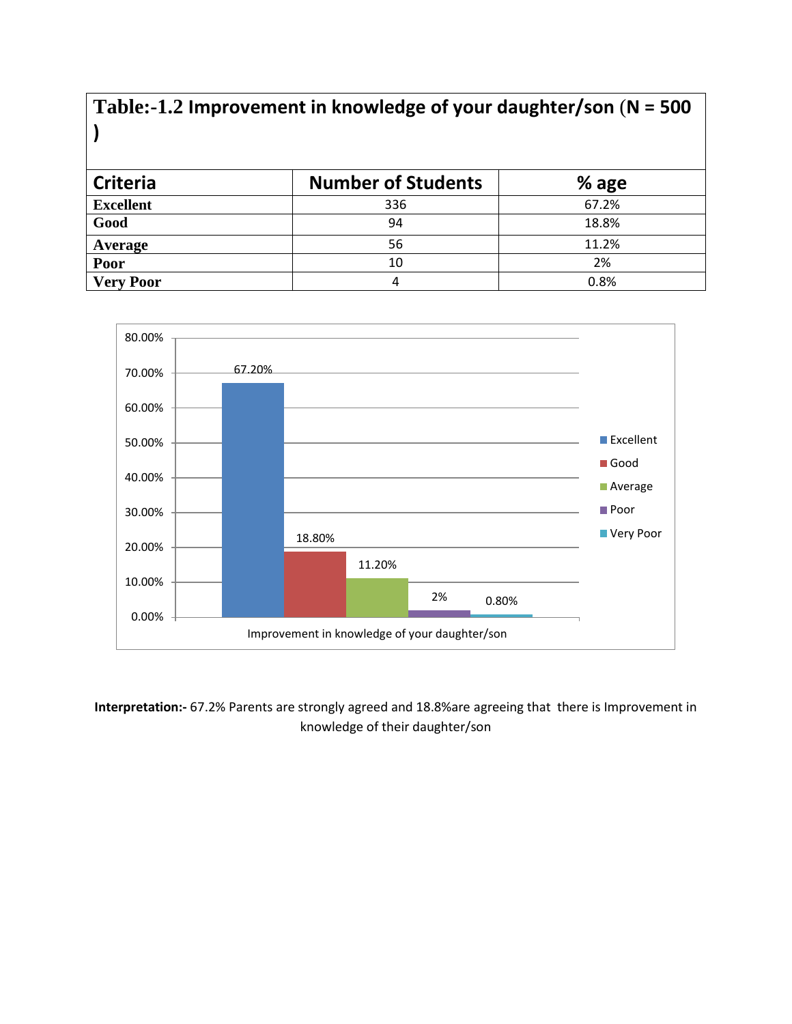| Table:-1.2 Improvement in knowledge of your daughter/son ( $N = 500$ |                           |       |  |
|----------------------------------------------------------------------|---------------------------|-------|--|
| <b>Criteria</b>                                                      | <b>Number of Students</b> | % age |  |
| <b>Excellent</b>                                                     | 336                       | 67.2% |  |
| Good                                                                 | 94                        | 18.8% |  |
| Average                                                              | 56                        | 11.2% |  |
| Poor                                                                 | 10                        | 2%    |  |
| <b>Very Poor</b>                                                     | 4                         | 0.8%  |  |



**Interpretation:-** 67.2% Parents are strongly agreed and 18.8%are agreeing that there is Improvement in knowledge of their daughter/son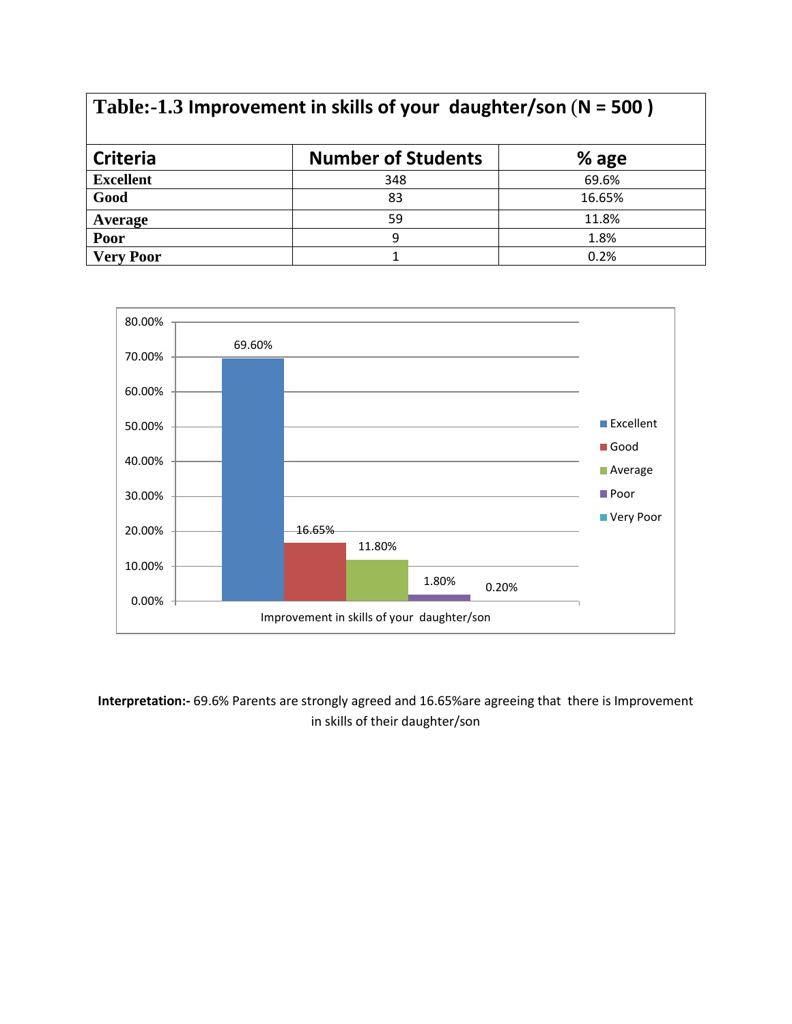| Table:-1.3 Improvement in skills of your daughter/son ( $N = 500$ ) |                           |         |  |
|---------------------------------------------------------------------|---------------------------|---------|--|
| <b>Criteria</b>                                                     | <b>Number of Students</b> | $%$ age |  |
| <b>Excellent</b>                                                    | 348                       | 69.6%   |  |
| Good                                                                | 83                        | 16.65%  |  |
| Average                                                             | 59                        | 11.8%   |  |
| Poor                                                                | 9                         | 1.8%    |  |
| <b>Very Poor</b>                                                    |                           | 0.2%    |  |



**Interpretation:-** 69.6% Parents are strongly agreed and 16.65%are agreeing that there is Improvement in skills of their daughter/son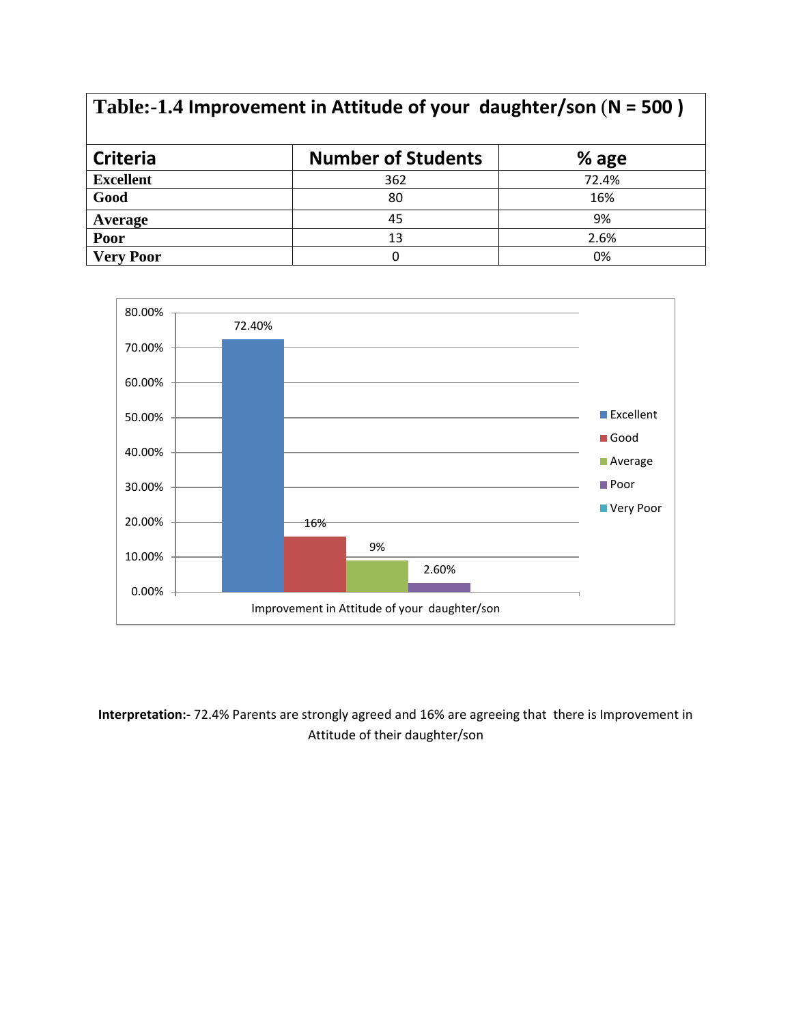| Table:-1.4 Improvement in Attitude of your daughter/son ( $N = 500$ ) |                           |       |  |
|-----------------------------------------------------------------------|---------------------------|-------|--|
| <b>Criteria</b>                                                       | <b>Number of Students</b> | % age |  |
| <b>Excellent</b>                                                      | 362                       | 72.4% |  |
| Good                                                                  | 80                        | 16%   |  |
| Average                                                               | 45                        | 9%    |  |
| Poor                                                                  | 13                        | 2.6%  |  |
| <b>Very Poor</b>                                                      | 0                         | 0%    |  |



**Interpretation:-** 72.4% Parents are strongly agreed and 16% are agreeing that there is Improvement in Attitude of their daughter/son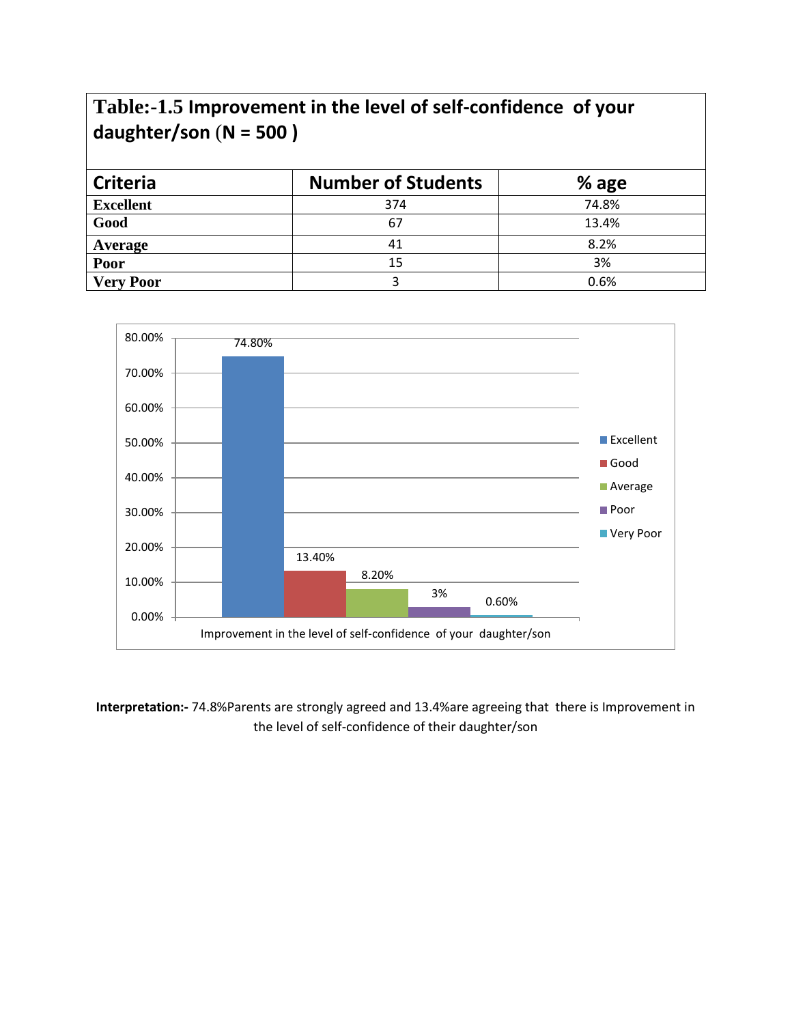### **Table:-1.5 Improvement in the level of self-confidence of your daughter/son** (**N = 500 )**

| <b>Criteria</b>  | <b>Number of Students</b> | % age |
|------------------|---------------------------|-------|
| <b>Excellent</b> | 374                       | 74.8% |
| Good             | 67                        | 13.4% |
| Average          | 41                        | 8.2%  |
| Poor             | 15                        | 3%    |
| <b>Very Poor</b> |                           | 0.6%  |



**Interpretation:-** 74.8%Parents are strongly agreed and 13.4%are agreeing that there is Improvement in the level of self-confidence of their daughter/son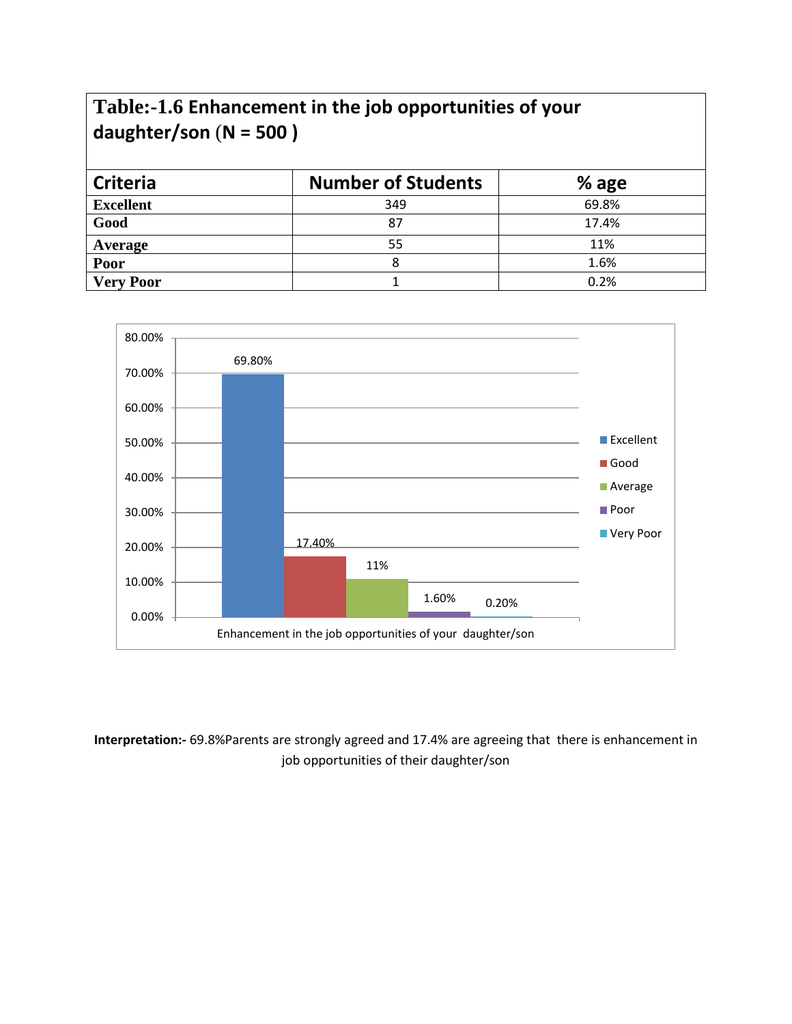#### **Table:-1.6 Enhancement in the job opportunities of your daughter/son** (**N = 500 )**

| <b>Criteria</b>  | <b>Number of Students</b> | % age |
|------------------|---------------------------|-------|
| <b>Excellent</b> | 349                       | 69.8% |
| Good             | 87                        | 17.4% |
| Average          | 55                        | 11%   |
| <b>Poor</b>      |                           | 1.6%  |
| <b>Very Poor</b> |                           | 0.2%  |



#### **Interpretation:-** 69.8%Parents are strongly agreed and 17.4% are agreeing that there is enhancement in job opportunities of their daughter/son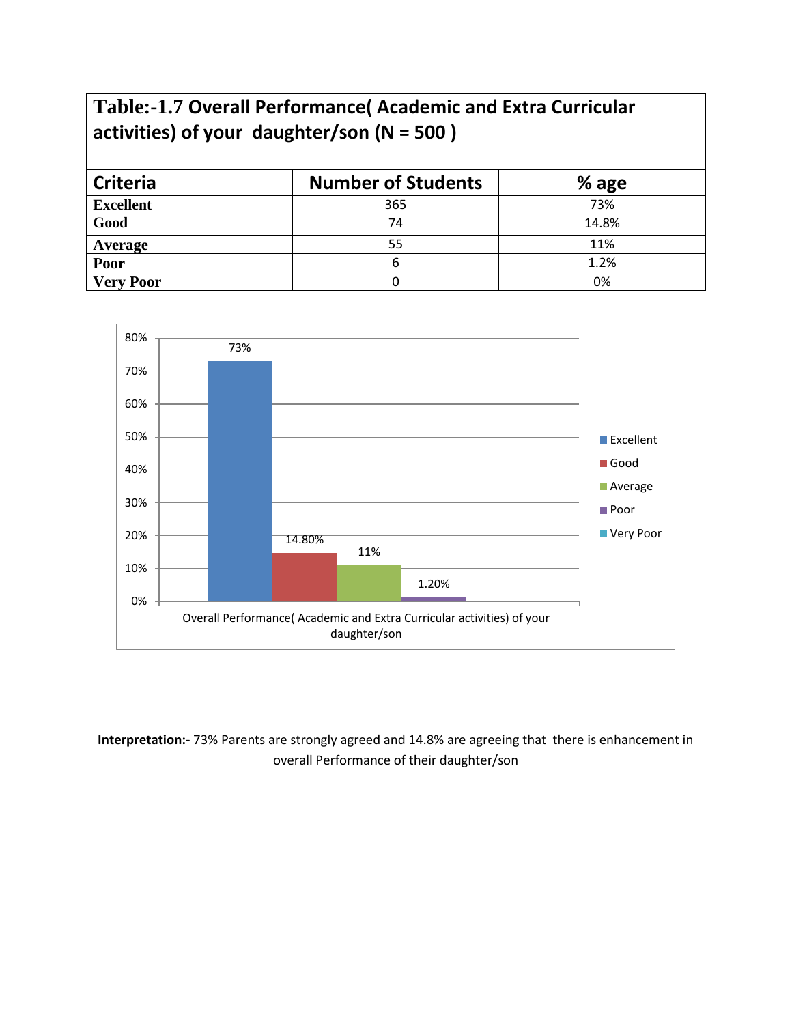#### **Table:-1.7 Overall Performance( Academic and Extra Curricular activities) of your daughter/son (N = 500 )**

| <b>Criteria</b>  | <b>Number of Students</b> | % age |
|------------------|---------------------------|-------|
| <b>Excellent</b> | 365                       | 73%   |
| Good             | 74                        | 14.8% |
| Average          | 55                        | 11%   |
| Poor             |                           | 1.2%  |
| <b>Very Poor</b> |                           | 0%    |



**Interpretation:-** 73% Parents are strongly agreed and 14.8% are agreeing that there is enhancement in overall Performance of their daughter/son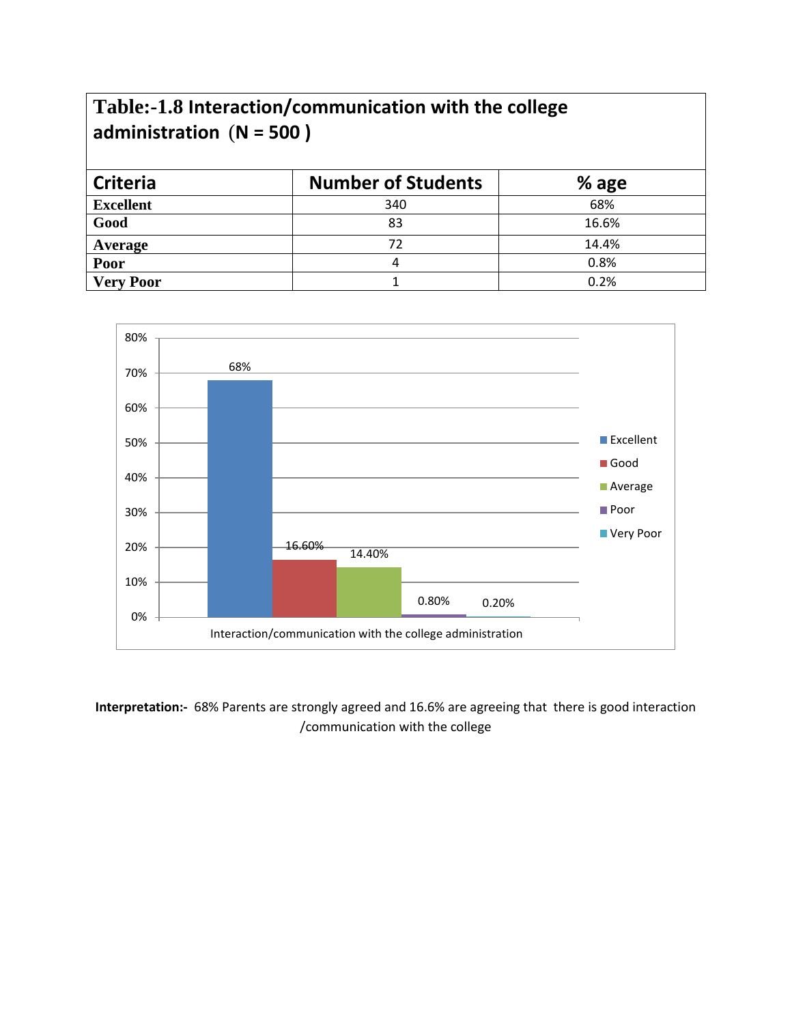### **Table:-1.8 Interaction/communication with the college administration** (**N = 500 )**

| <b>Criteria</b>  | <b>Number of Students</b> | $%$ age |
|------------------|---------------------------|---------|
| <b>Excellent</b> | 340                       | 68%     |
| Good             | 83                        | 16.6%   |
| Average          | 72                        | 14.4%   |
| Poor             |                           | 0.8%    |
| <b>Very Poor</b> |                           | 0.2%    |



**Interpretation:-** 68% Parents are strongly agreed and 16.6% are agreeing that there is good interaction /communication with the college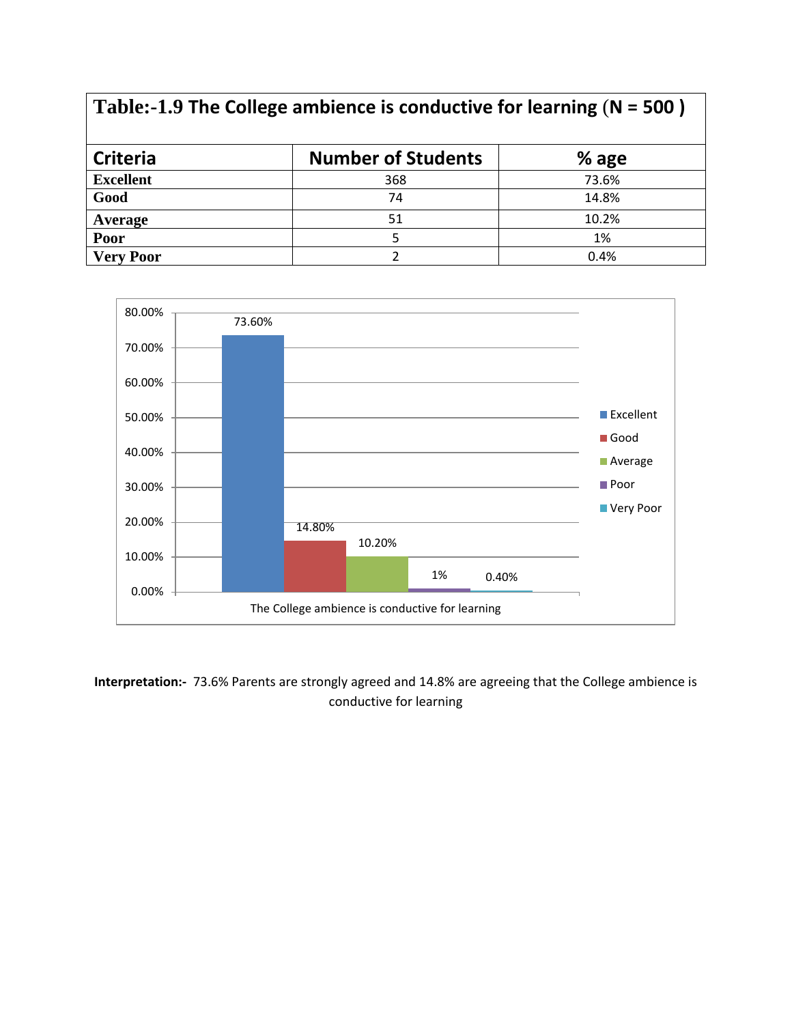| Table:-1.9 The College ambience is conductive for learning $(N = 500)$ |                           |         |  |
|------------------------------------------------------------------------|---------------------------|---------|--|
| <b>Criteria</b>                                                        | <b>Number of Students</b> | $%$ age |  |
| <b>Excellent</b>                                                       | 368                       | 73.6%   |  |
| Good                                                                   | 74                        | 14.8%   |  |
| Average                                                                | 51                        | 10.2%   |  |
| Poor                                                                   | 5                         | 1%      |  |
| <b>Very Poor</b>                                                       | C.                        | 0.4%    |  |



**Interpretation:-** 73.6% Parents are strongly agreed and 14.8% are agreeing that the College ambience is conductive for learning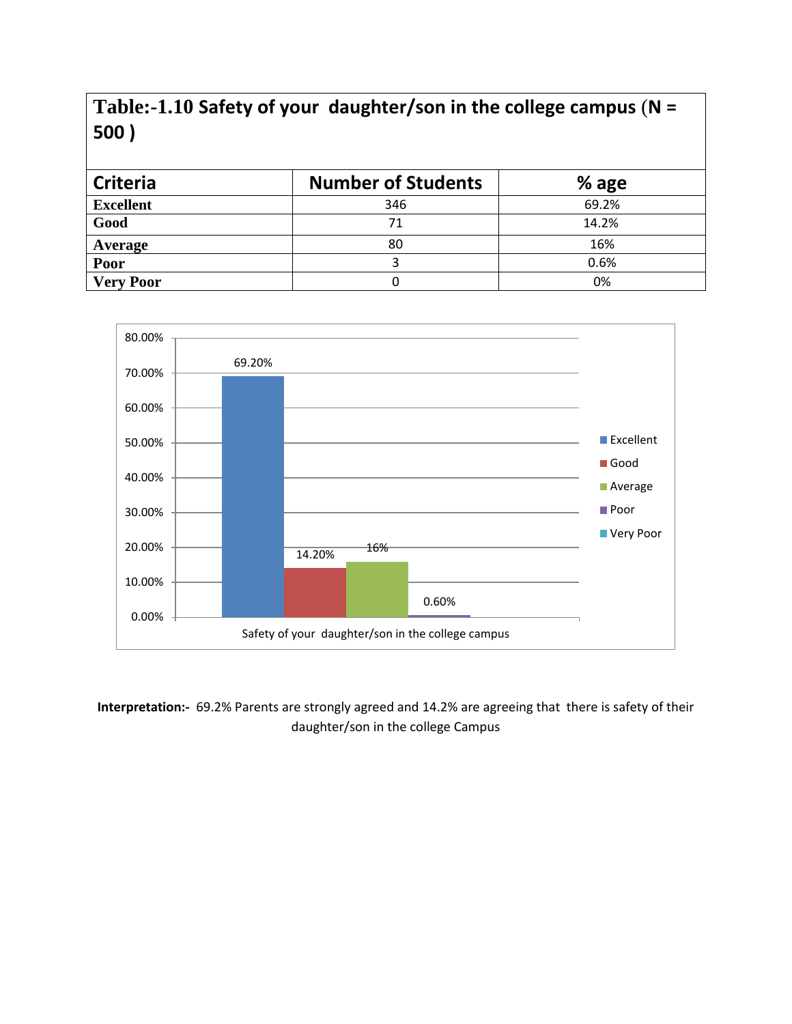### **Table:-1.10 Safety of your daughter/son in the college campus** (**N = 500 )**

| <b>Criteria</b>  | <b>Number of Students</b> | $%$ age |
|------------------|---------------------------|---------|
| <b>Excellent</b> | 346                       | 69.2%   |
| Good             | 71                        | 14.2%   |
| Average          | 80                        | 16%     |
| Poor             |                           | 0.6%    |
| <b>Very Poor</b> |                           | 0%      |



**Interpretation:-** 69.2% Parents are strongly agreed and 14.2% are agreeing that there is safety of their daughter/son in the college Campus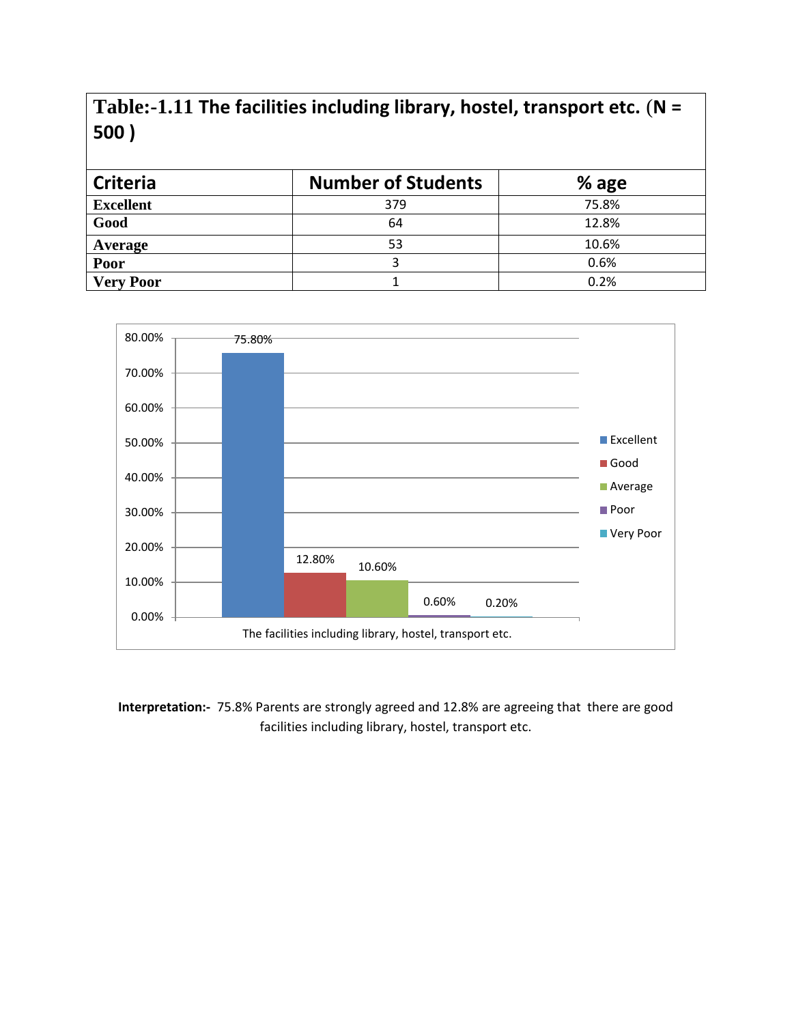#### **Table:-1.11 The facilities including library, hostel, transport etc.** (**N = 500 )**

| <b>Criteria</b>  | <b>Number of Students</b> | $%$ age |
|------------------|---------------------------|---------|
| <b>Excellent</b> | 379                       | 75.8%   |
| Good             | 64                        | 12.8%   |
| Average          | 53                        | 10.6%   |
| Poor             |                           | 0.6%    |
| <b>Very Poor</b> |                           | 0.2%    |



**Interpretation:-** 75.8% Parents are strongly agreed and 12.8% are agreeing that there are good facilities including library, hostel, transport etc.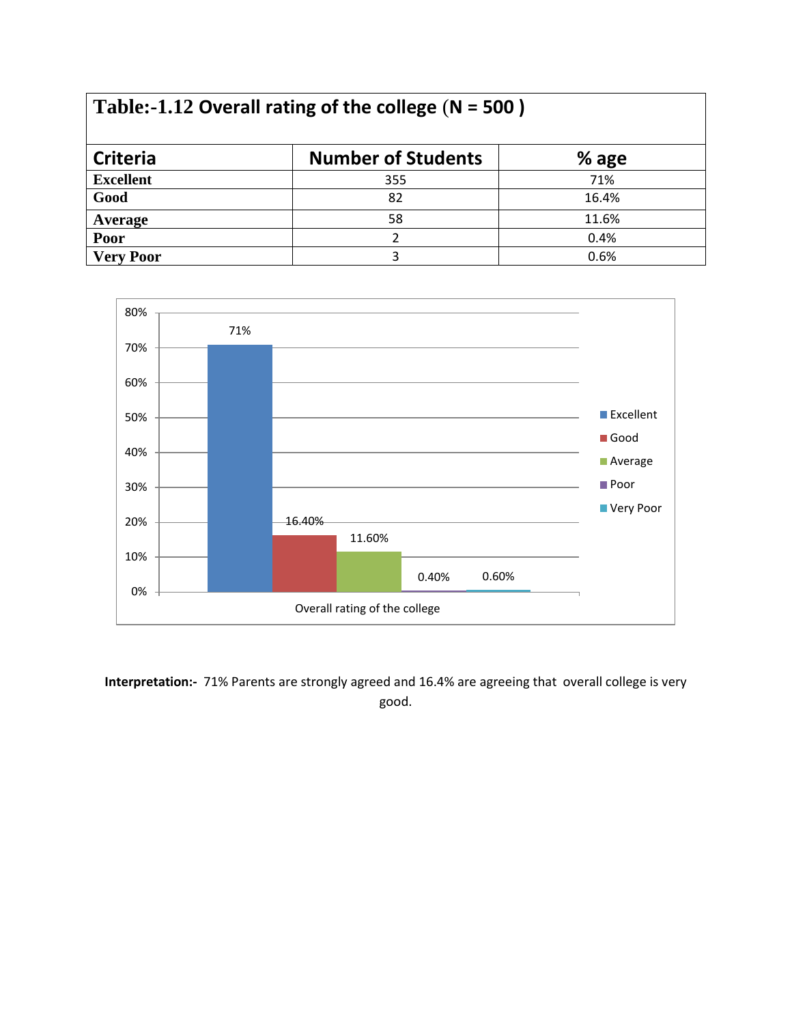| Table:-1.12 Overall rating of the college $(N = 500)$ |                           |         |  |
|-------------------------------------------------------|---------------------------|---------|--|
| <b>Criteria</b>                                       | <b>Number of Students</b> | $%$ age |  |
| <b>Excellent</b>                                      | 355                       | 71%     |  |
| Good                                                  | 82                        | 16.4%   |  |
| Average                                               | 58                        | 11.6%   |  |
| Poor                                                  | 2                         | 0.4%    |  |
| <b>Very Poor</b>                                      | 3                         | 0.6%    |  |



**Interpretation:-** 71% Parents are strongly agreed and 16.4% are agreeing that overall college is very good.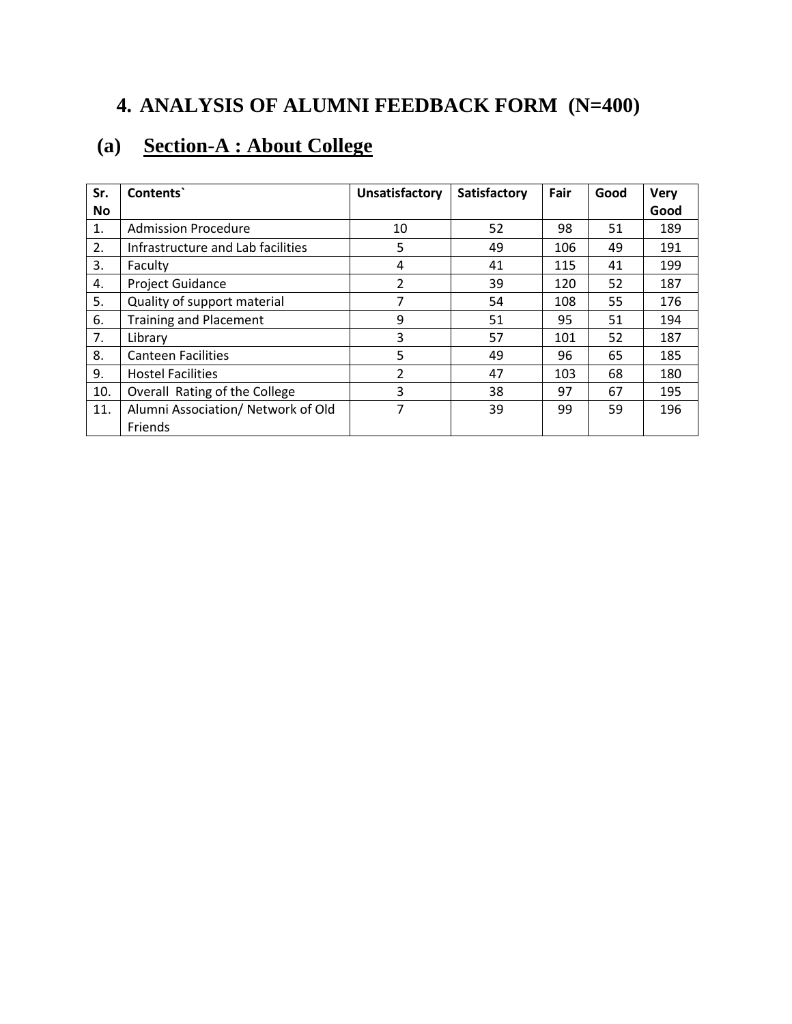## **4. ANALYSIS OF ALUMNI FEEDBACK FORM (N=400)**

### **(a) Section-A : About College**

| Sr.       | Contents`                                     | Unsatisfactory | <b>Satisfactory</b> | Fair | Good | <b>Very</b> |
|-----------|-----------------------------------------------|----------------|---------------------|------|------|-------------|
| <b>No</b> |                                               |                |                     |      |      | Good        |
| 1.        | <b>Admission Procedure</b>                    | 10             | 52                  | 98   | 51   | 189         |
| 2.        | Infrastructure and Lab facilities             | 5              | 49                  | 106  | 49   | 191         |
| 3.        | Faculty                                       | 4              | 41                  | 115  | 41   | 199         |
| 4.        | <b>Project Guidance</b>                       | 2              | 39                  | 120  | 52   | 187         |
| 5.        | Quality of support material                   | 7              | 54                  | 108  | 55   | 176         |
| 6.        | <b>Training and Placement</b>                 | 9              | 51                  | 95   | 51   | 194         |
| 7.        | Library                                       | 3              | 57                  | 101  | 52   | 187         |
| 8.        | <b>Canteen Facilities</b>                     | 5              | 49                  | 96   | 65   | 185         |
| 9.        | <b>Hostel Facilities</b>                      | 2              | 47                  | 103  | 68   | 180         |
| 10.       | Overall Rating of the College                 | 3              | 38                  | 97   | 67   | 195         |
| 11.       | Alumni Association/ Network of Old<br>Friends | 7              | 39                  | 99   | 59   | 196         |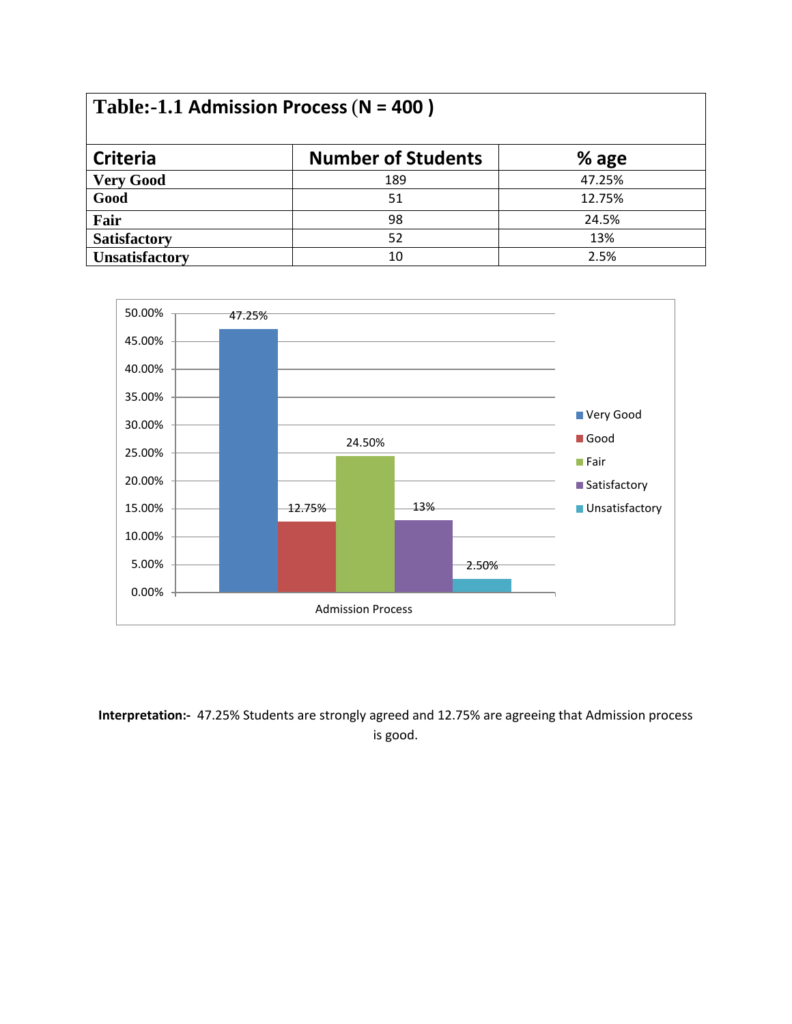| Table:-1.1 Admission Process ( $N = 400$ ) |                           |        |
|--------------------------------------------|---------------------------|--------|
| <b>Criteria</b>                            | <b>Number of Students</b> | % age  |
| <b>Very Good</b>                           | 189                       | 47.25% |
| Good                                       | 51                        | 12.75% |
| Fair                                       | 98                        | 24.5%  |
| <b>Satisfactory</b>                        | 52                        | 13%    |
| <b>Unsatisfactory</b>                      | 10                        | 2.5%   |



**Interpretation:-** 47.25% Students are strongly agreed and 12.75% are agreeing that Admission process is good.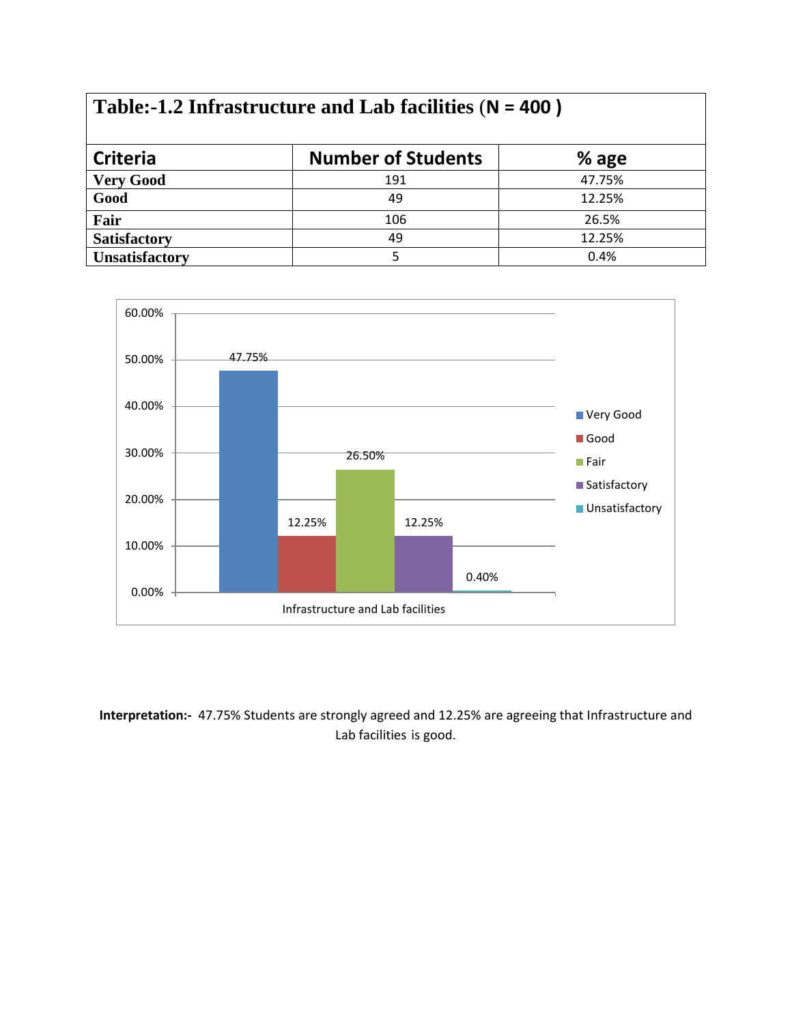### **Table:-1.2 Infrastructure and Lab facilities** (**N = 400 )**

| <b>Criteria</b>       | <b>Number of Students</b> | $%$ age |
|-----------------------|---------------------------|---------|
| <b>Very Good</b>      | 191                       | 47.75%  |
| Good                  | 49                        | 12.25%  |
| Fair                  | 106                       | 26.5%   |
| <b>Satisfactory</b>   | 49                        | 12.25%  |
| <b>Unsatisfactory</b> |                           | 0.4%    |



#### **Interpretation:-** 47.75% Students are strongly agreed and 12.25% are agreeing that Infrastructure and Lab facilities is good.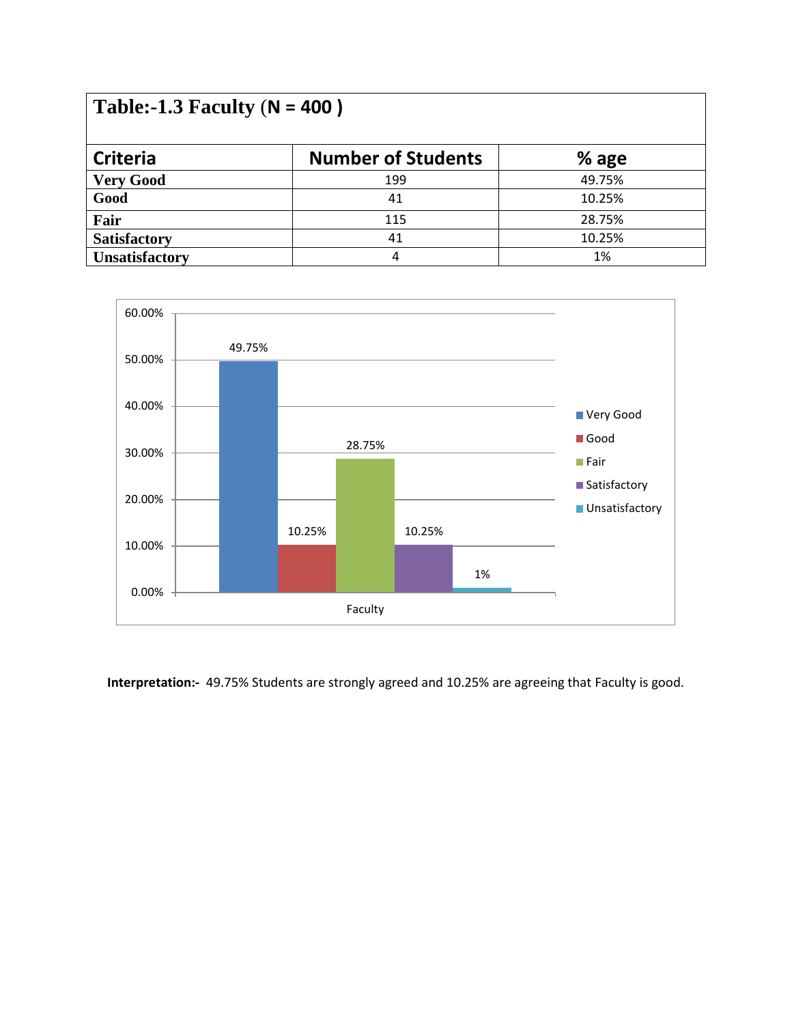| Table:-1.3 Faculty ( $N = 400$ ) |                           |        |  |
|----------------------------------|---------------------------|--------|--|
| <b>Criteria</b>                  | <b>Number of Students</b> | % age  |  |
| <b>Very Good</b>                 | 199                       | 49.75% |  |
| Good                             | 41                        | 10.25% |  |
| Fair                             | 115                       | 28.75% |  |
| <b>Satisfactory</b>              | 41                        | 10.25% |  |
| <b>Unsatisfactory</b>            | 4                         | 1%     |  |



**Interpretation:-** 49.75% Students are strongly agreed and 10.25% are agreeing that Faculty is good.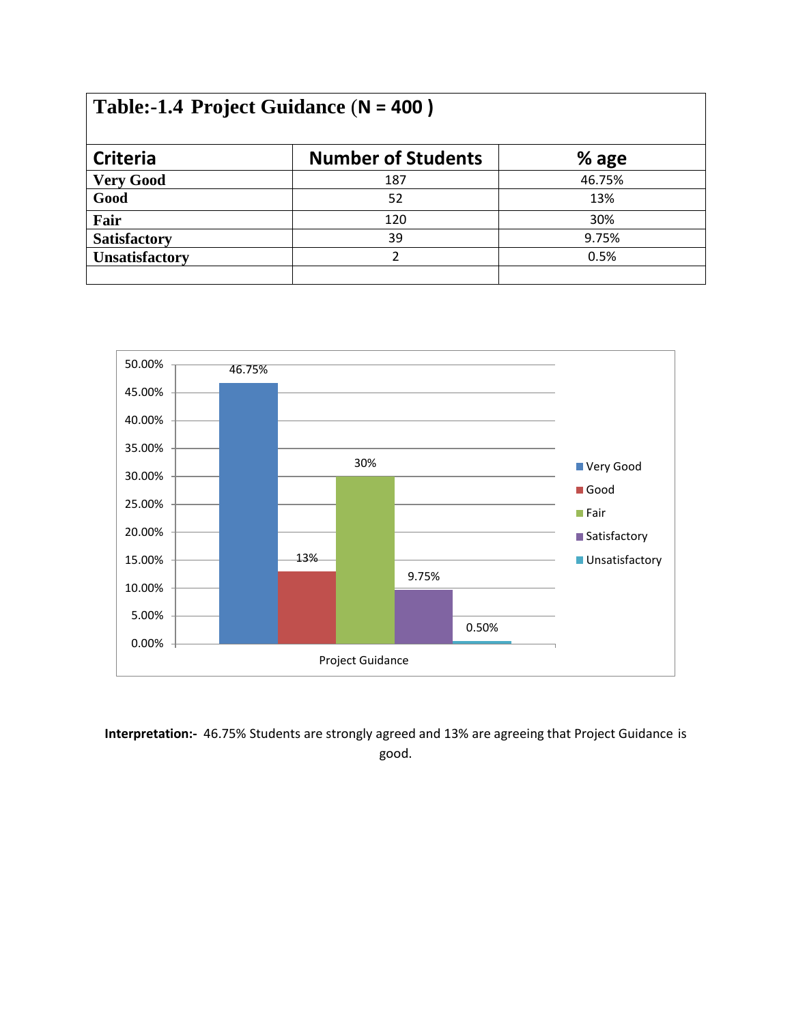## **Table:-1.4 Project Guidance** (**N = 400 )**

| <b>Criteria</b>       | <b>Number of Students</b> | % age  |
|-----------------------|---------------------------|--------|
| <b>Very Good</b>      | 187                       | 46.75% |
| Good                  | 52                        | 13%    |
| Fair                  | 120                       | 30%    |
| <b>Satisfactory</b>   | 39                        | 9.75%  |
| <b>Unsatisfactory</b> |                           | 0.5%   |
|                       |                           |        |



**Interpretation:-** 46.75% Students are strongly agreed and 13% are agreeing that Project Guidance is good.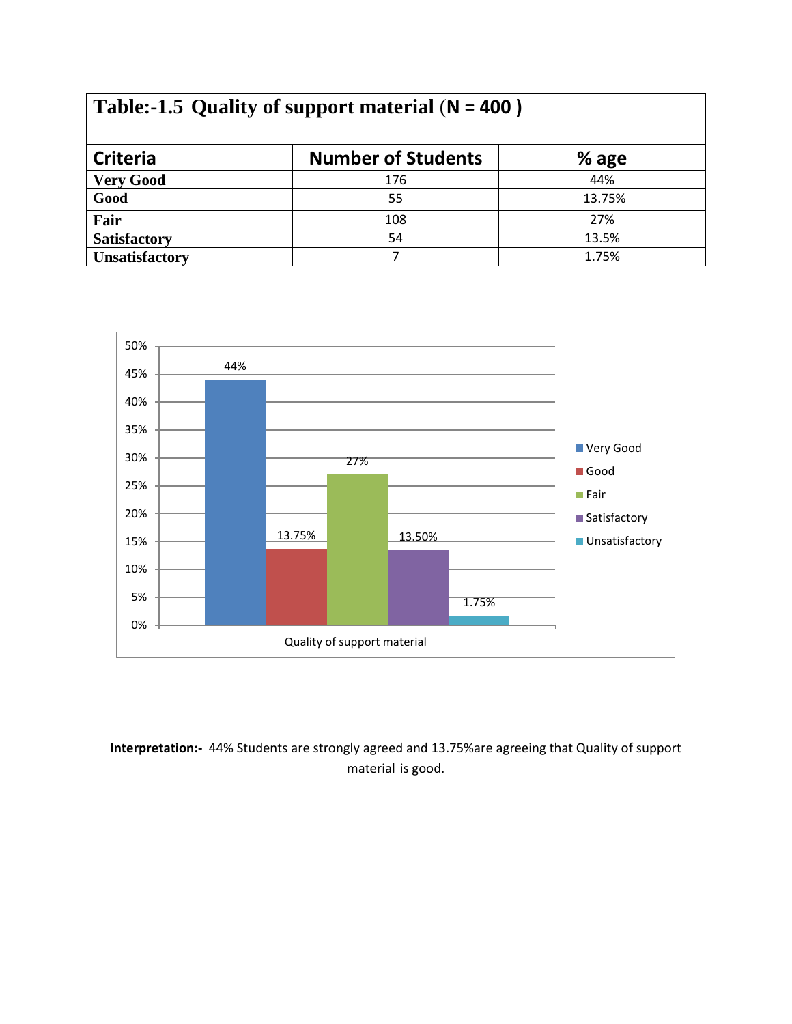# **Table:-1.5 Quality of support material** (**N = 400 )**

| <b>Criteria</b>       | <b>Number of Students</b> | % age  |
|-----------------------|---------------------------|--------|
| <b>Very Good</b>      | 176                       | 44%    |
| Good                  | 55                        | 13.75% |
| Fair                  | 108                       | 27%    |
| <b>Satisfactory</b>   | 54                        | 13.5%  |
| <b>Unsatisfactory</b> |                           | 1.75%  |



**Interpretation:-** 44% Students are strongly agreed and 13.75%are agreeing that Quality of support material is good.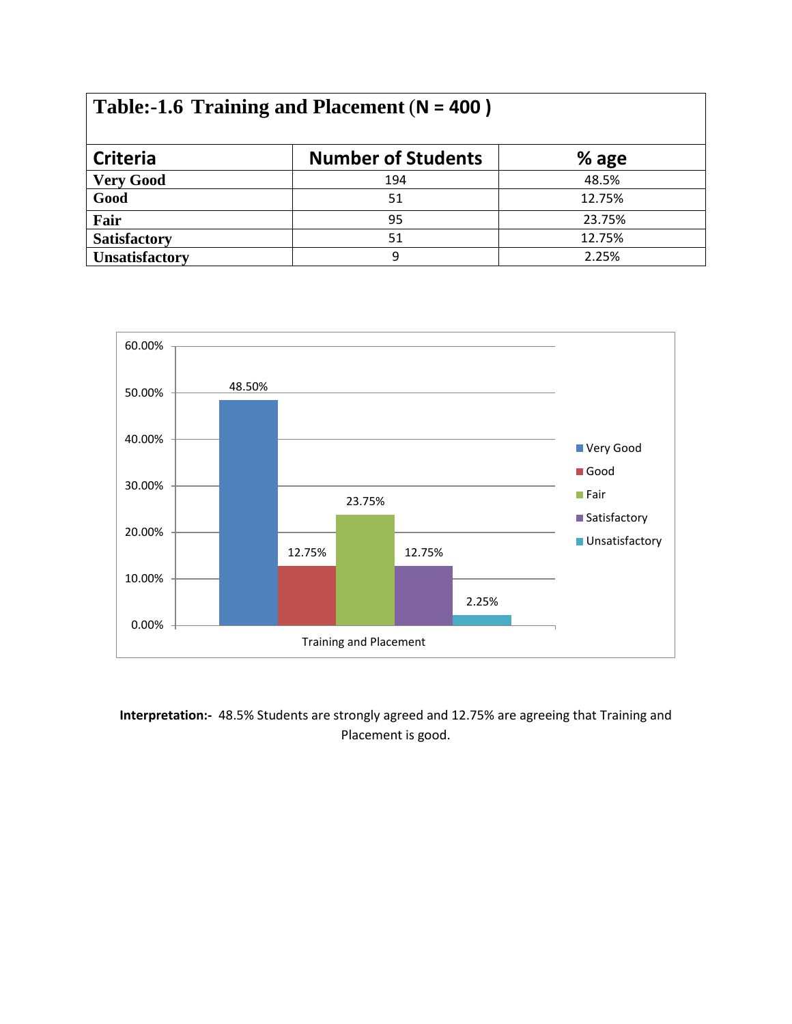| Table:-1.6 Training and Placement ( $N = 400$ ) |  |
|-------------------------------------------------|--|
|-------------------------------------------------|--|

| <b>Criteria</b>       | <b>Number of Students</b> | $%$ age |
|-----------------------|---------------------------|---------|
| <b>Very Good</b>      | 194                       | 48.5%   |
| Good                  | 51                        | 12.75%  |
| Fair                  | 95                        | 23.75%  |
| <b>Satisfactory</b>   | 51                        | 12.75%  |
| <b>Unsatisfactory</b> |                           | 2.25%   |



**Interpretation:-** 48.5% Students are strongly agreed and 12.75% are agreeing that Training and Placement is good.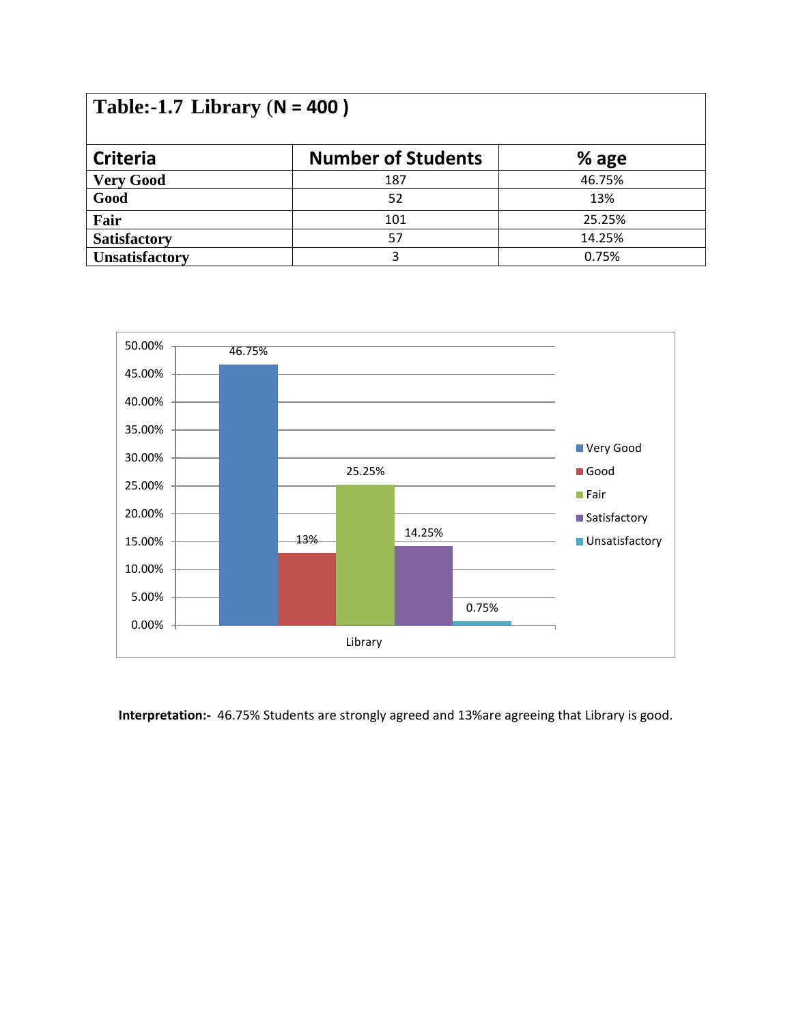| Table:-1.7 Library ( $N = 400$ ) |                           |        |  |
|----------------------------------|---------------------------|--------|--|
| <b>Criteria</b>                  | <b>Number of Students</b> | % age  |  |
| <b>Very Good</b>                 | 187                       | 46.75% |  |
| Good                             | 52                        | 13%    |  |
| Fair                             | 101                       | 25.25% |  |
| <b>Satisfactory</b>              | 57                        | 14.25% |  |
| <b>Unsatisfactory</b>            | 3                         | 0.75%  |  |



**Interpretation:-** 46.75% Students are strongly agreed and 13%are agreeing that Library is good.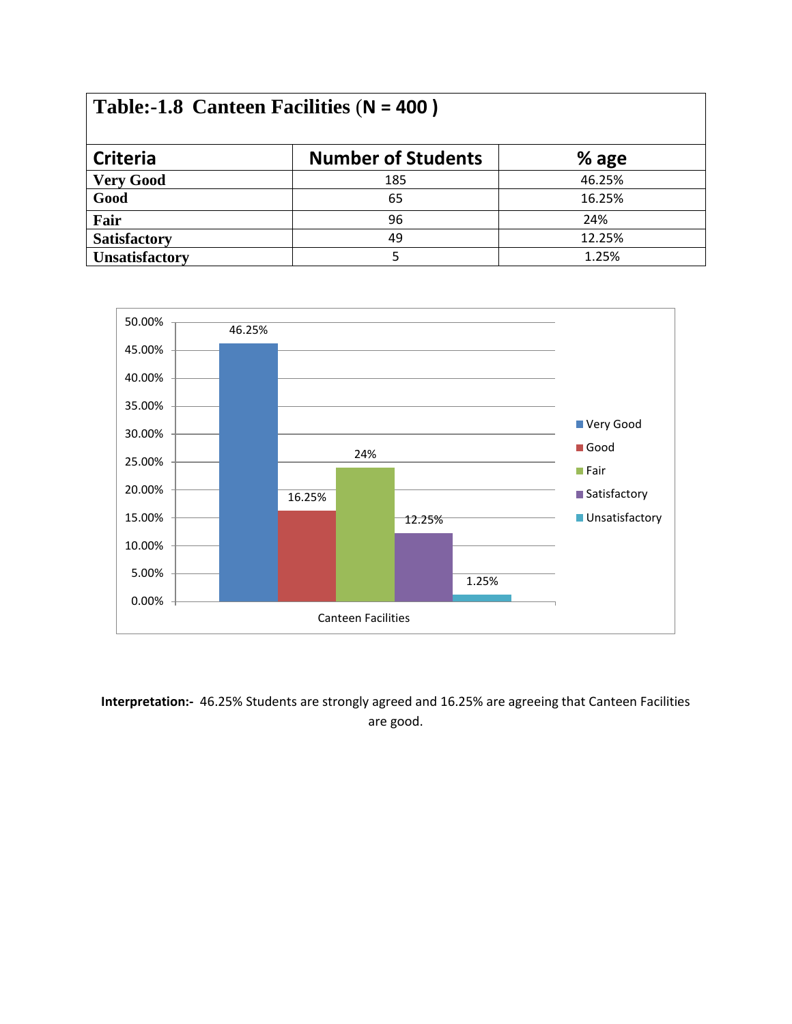| <b>Criteria</b>       | <b>Number of Students</b> | $%$ age |
|-----------------------|---------------------------|---------|
| <b>Very Good</b>      | 185                       | 46.25%  |
| Good                  | 65                        | 16.25%  |
| Fair                  | 96                        | 24%     |
| <b>Satisfactory</b>   | 49                        | 12.25%  |
| <b>Unsatisfactory</b> |                           | 1.25%   |



**Interpretation:-** 46.25% Students are strongly agreed and 16.25% are agreeing that Canteen Facilities are good.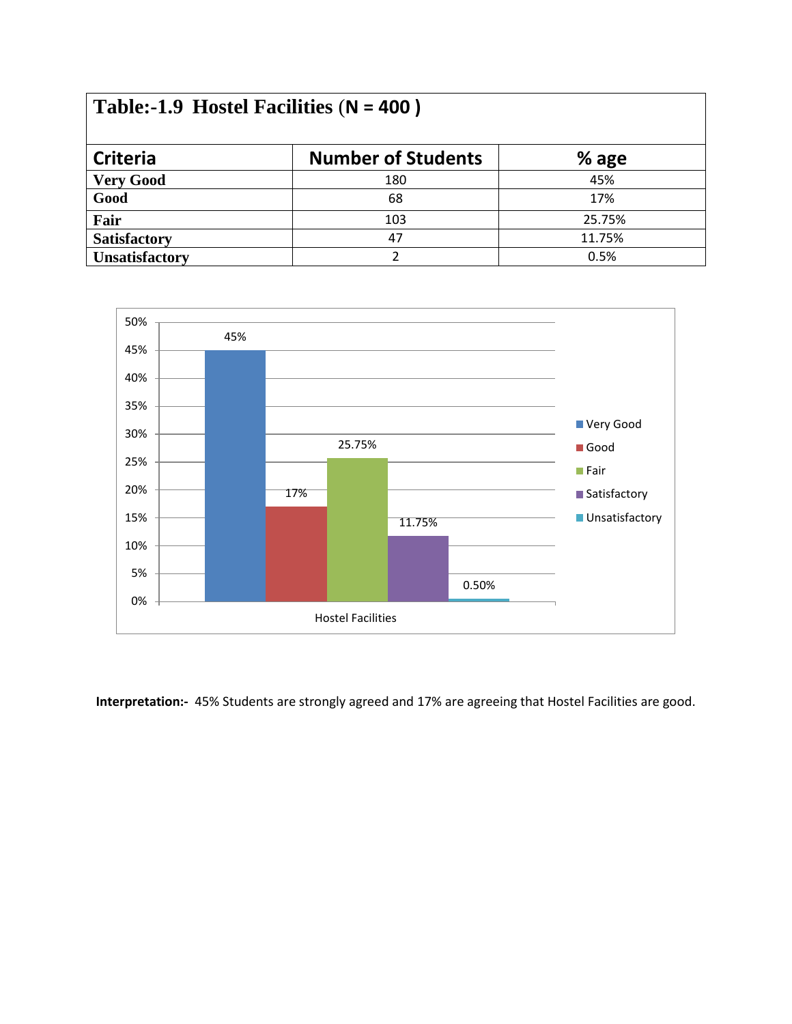| Table:-1.9 Hostel Facilities ( $N = 400$ ) |                           |        |  |  |  |  |
|--------------------------------------------|---------------------------|--------|--|--|--|--|
| <b>Criteria</b>                            | <b>Number of Students</b> | % age  |  |  |  |  |
| <b>Very Good</b>                           | 180                       | 45%    |  |  |  |  |
| Good                                       | 68                        | 17%    |  |  |  |  |
| Fair                                       | 103                       | 25.75% |  |  |  |  |
| <b>Satisfactory</b>                        | 47                        | 11.75% |  |  |  |  |
| <b>Unsatisfactory</b>                      | า                         | 0.5%   |  |  |  |  |



**Interpretation:-** 45% Students are strongly agreed and 17% are agreeing that Hostel Facilities are good.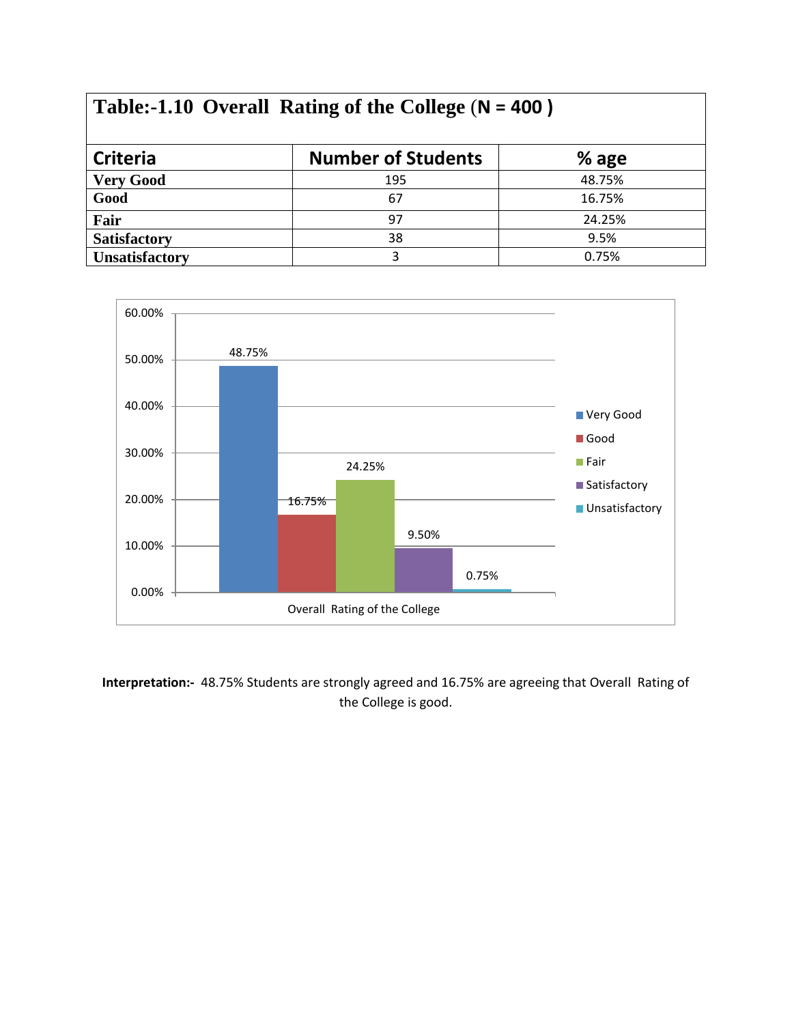## **Table:-1.10 Overall Rating of the College** (**N = 400 )**

| <b>Criteria</b>       | <b>Number of Students</b> | % age  |  |
|-----------------------|---------------------------|--------|--|
| <b>Very Good</b>      | 195                       | 48.75% |  |
| Good                  | 67                        | 16.75% |  |
| Fair                  | 97                        | 24.25% |  |
| <b>Satisfactory</b>   | 38                        | 9.5%   |  |
| <b>Unsatisfactory</b> |                           | 0.75%  |  |



**Interpretation:-** 48.75% Students are strongly agreed and 16.75% are agreeing that Overall Rating of the College is good.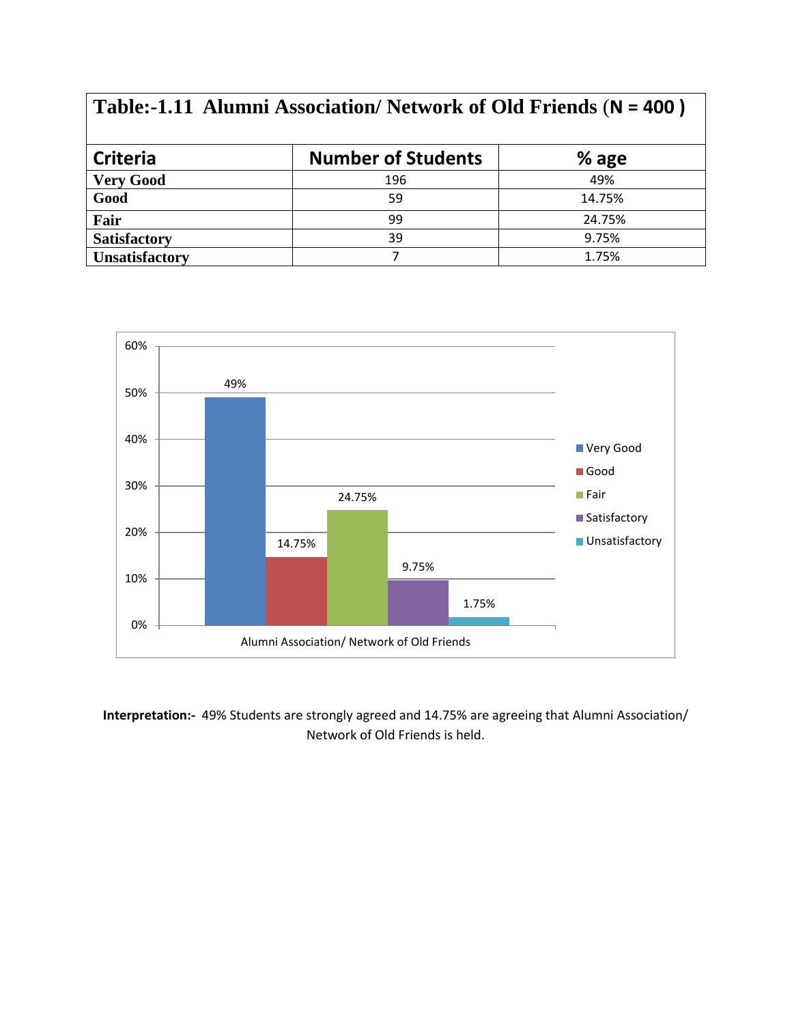## **Table:-1.11 Alumni Association/ Network of Old Friends** (**N = 400 ) Criteria Number of Students 8 age Very Good** 196 49% **Good** 59 14.75% **Fair** 24.75% **Satisfactory** 39 9.75% **Unsatisfactory** 7 1.75%



**Interpretation:-** 49% Students are strongly agreed and 14.75% are agreeing that Alumni Association/ Network of Old Friends is held.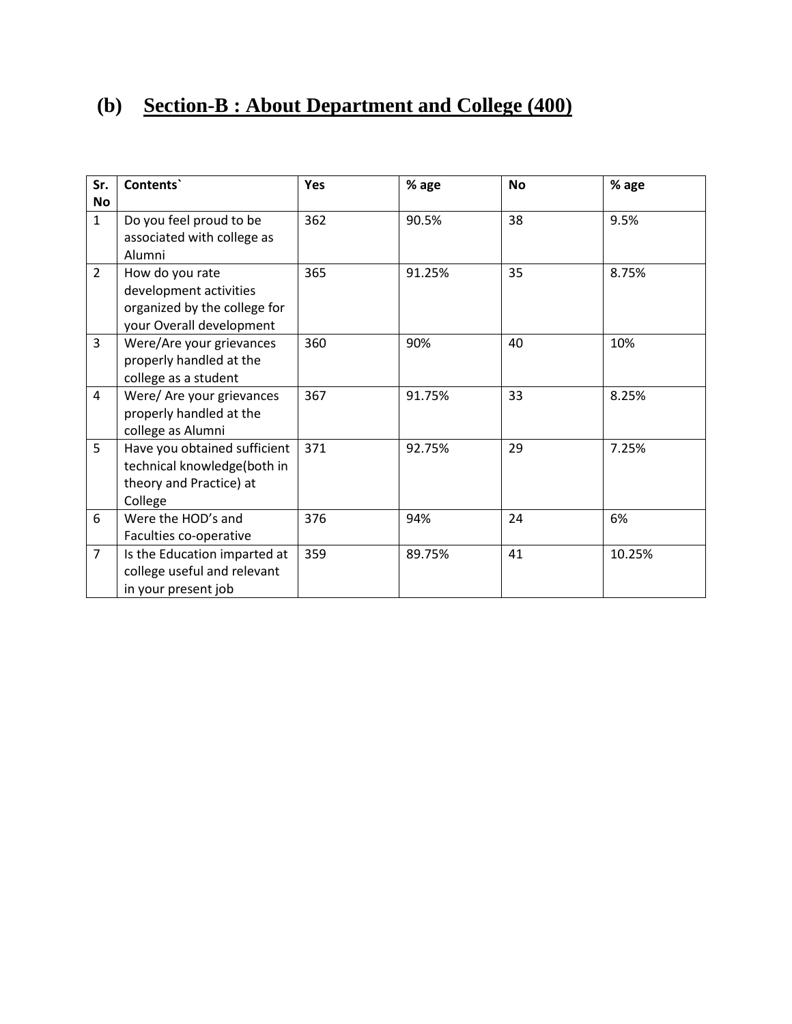## **(b) Section-B : About Department and College (400)**

| Sr.            | Contents`                                                                                             | <b>Yes</b> | % age  | <b>No</b> | % age  |
|----------------|-------------------------------------------------------------------------------------------------------|------------|--------|-----------|--------|
| No             |                                                                                                       |            |        |           |        |
| $\mathbf{1}$   | Do you feel proud to be<br>associated with college as<br>Alumni                                       | 362        | 90.5%  | 38        | 9.5%   |
| $\overline{2}$ | How do you rate<br>development activities<br>organized by the college for<br>your Overall development | 365        | 91.25% | 35        | 8.75%  |
| $\overline{3}$ | Were/Are your grievances<br>properly handled at the<br>college as a student                           | 360        | 90%    | 40        | 10%    |
| 4              | Were/ Are your grievances<br>properly handled at the<br>college as Alumni                             | 367        | 91.75% | 33        | 8.25%  |
| 5              | Have you obtained sufficient<br>technical knowledge(both in<br>theory and Practice) at<br>College     | 371        | 92.75% | 29        | 7.25%  |
| 6              | Were the HOD's and<br>Faculties co-operative                                                          | 376        | 94%    | 24        | 6%     |
| $\overline{7}$ | Is the Education imparted at<br>college useful and relevant<br>in your present job                    | 359        | 89.75% | 41        | 10.25% |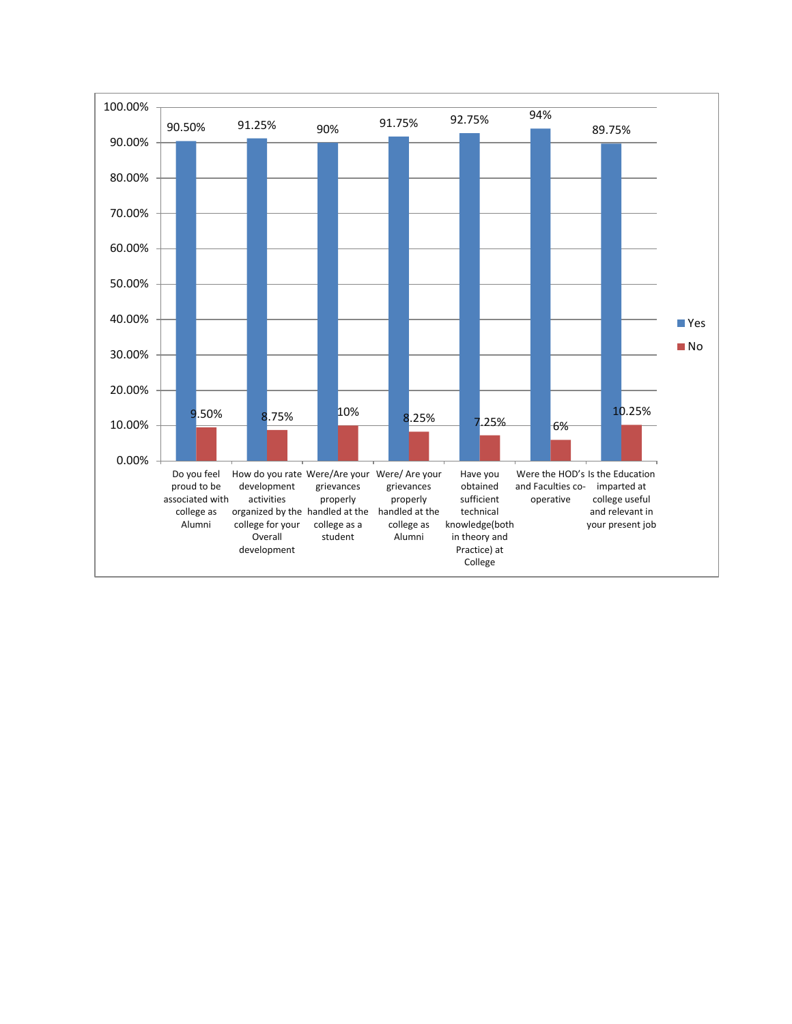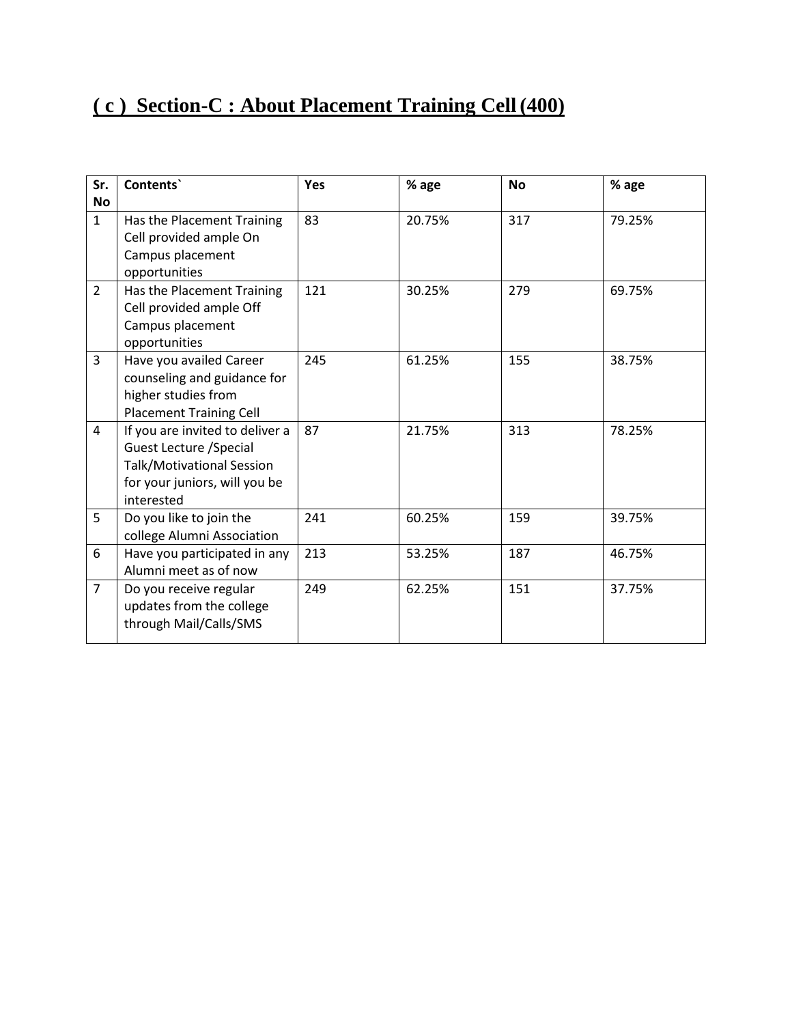## **( c ) Section-C : About Placement Training Cell (400)**

| Sr.            | Contents`                                                                                                                                     | Yes | % age  | <b>No</b> | % age  |
|----------------|-----------------------------------------------------------------------------------------------------------------------------------------------|-----|--------|-----------|--------|
| <b>No</b>      |                                                                                                                                               |     |        |           |        |
| $\mathbf{1}$   | Has the Placement Training<br>Cell provided ample On                                                                                          | 83  | 20.75% | 317       | 79.25% |
|                | Campus placement<br>opportunities                                                                                                             |     |        |           |        |
| $\overline{2}$ | Has the Placement Training<br>Cell provided ample Off<br>Campus placement                                                                     | 121 | 30.25% | 279       | 69.75% |
|                | opportunities                                                                                                                                 |     |        |           |        |
| $\overline{3}$ | Have you availed Career<br>counseling and guidance for<br>higher studies from<br><b>Placement Training Cell</b>                               | 245 | 61.25% | 155       | 38.75% |
| 4              | If you are invited to deliver a<br><b>Guest Lecture / Special</b><br>Talk/Motivational Session<br>for your juniors, will you be<br>interested | 87  | 21.75% | 313       | 78.25% |
| 5              | Do you like to join the<br>college Alumni Association                                                                                         | 241 | 60.25% | 159       | 39.75% |
| 6              | Have you participated in any<br>Alumni meet as of now                                                                                         | 213 | 53.25% | 187       | 46.75% |
| $\overline{7}$ | Do you receive regular<br>updates from the college<br>through Mail/Calls/SMS                                                                  | 249 | 62.25% | 151       | 37.75% |